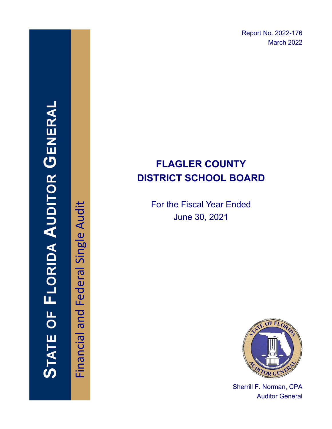Report No. 2022-176 March 2022

# STATE OF FLORIDA AUDITOR GENERAI

Financial and Federal Single Audit Financial and Federal Single Audit

# **FLAGLER COUNTY DISTRICT SCHOOL BOARD**

For the Fiscal Year Ended June 30, 2021



Sherrill F. Norman, CPA Auditor General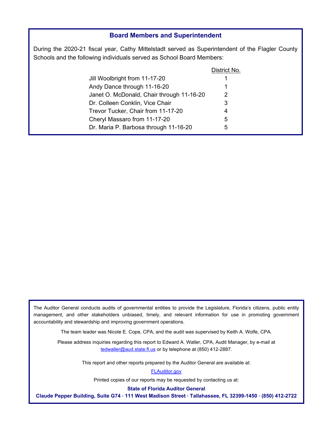#### **Board Members and Superintendent**

During the 2020-21 fiscal year, Cathy Mittelstadt served as Superintendent of the Flagler County Schools and the following individuals served as School Board Members:

|                                           | District No. |
|-------------------------------------------|--------------|
| Jill Woolbright from 11-17-20             | 1            |
| Andy Dance through 11-16-20               | 1            |
| Janet O. McDonald, Chair through 11-16-20 | 2            |
| Dr. Colleen Conklin, Vice Chair           | 3            |
| Trevor Tucker, Chair from 11-17-20        | 4            |
| Cheryl Massaro from 11-17-20              | 5            |
| Dr. Maria P. Barbosa through 11-16-20     | 5            |

The Auditor General conducts audits of governmental entities to provide the Legislature, Florida's citizens, public entity management, and other stakeholders unbiased, timely, and relevant information for use in promoting government accountability and stewardship and improving government operations.

The team leader was Nicole E. Cope, CPA, and the audit was supervised by Keith A. Wolfe, CPA.

Please address inquiries regarding this report to Edward A. Waller, CPA, Audit Manager, by e-mail at tedwaller@aud.state.fl.us or by telephone at (850) 412-2887.

This report and other reports prepared by the Auditor General are available at:

[FLAuditor.gov](http://flauditor.gov/)

Printed copies of our reports may be requested by contacting us at:

**State of Florida Auditor General** 

**Claude Pepper Building, Suite G74 · 111 West Madison Street · Tallahassee, FL 32399-1450 · (850) 412-2722**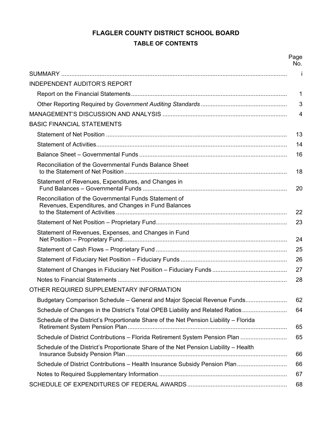# **FLAGLER COUNTY DISTRICT SCHOOL BOARD TABLE OF CONTENTS**

|                                                                                                               | Page<br>No.  |
|---------------------------------------------------------------------------------------------------------------|--------------|
|                                                                                                               | Ť            |
| <b>INDEPENDENT AUDITOR'S REPORT</b>                                                                           |              |
|                                                                                                               | $\mathbf{1}$ |
|                                                                                                               | 3            |
|                                                                                                               | 4            |
| <b>BASIC FINANCIAL STATEMENTS</b>                                                                             |              |
|                                                                                                               | 13           |
|                                                                                                               | 14           |
|                                                                                                               | 16           |
| Reconciliation of the Governmental Funds Balance Sheet                                                        | 18           |
| Statement of Revenues, Expenditures, and Changes in                                                           | 20           |
| Reconciliation of the Governmental Funds Statement of<br>Revenues, Expenditures, and Changes in Fund Balances | 22           |
|                                                                                                               | 23           |
| Statement of Revenues, Expenses, and Changes in Fund                                                          | 24           |
|                                                                                                               | 25           |
|                                                                                                               | 26           |
|                                                                                                               | 27           |
|                                                                                                               | 28           |
| OTHER REQUIRED SUPPLEMENTARY INFORMATION                                                                      |              |
| Budgetary Comparison Schedule - General and Major Special Revenue Funds                                       | 62           |
| Schedule of Changes in the District's Total OPEB Liability and Related Ratios                                 | 64           |
| Schedule of the District's Proportionate Share of the Net Pension Liability - Florida                         | 65           |
| Schedule of District Contributions - Florida Retirement System Pension Plan                                   | 65           |
| Schedule of the District's Proportionate Share of the Net Pension Liability – Health                          | 66           |
| Schedule of District Contributions - Health Insurance Subsidy Pension Plan                                    | 66           |
|                                                                                                               | 67           |
|                                                                                                               | 68           |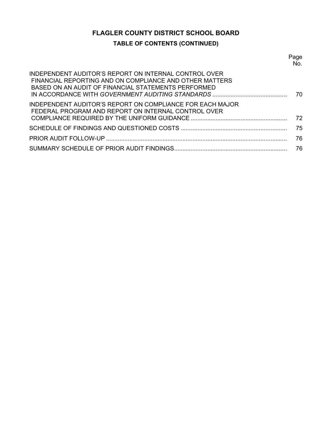# **FLAGLER COUNTY DISTRICT SCHOOL BOARD**

# **TABLE OF CONTENTS (CONTINUED)**

| age |
|-----|
| N٥  |

| INDEPENDENT AUDITOR'S REPORT ON INTERNAL CONTROL OVER<br>FINANCIAL REPORTING AND ON COMPLIANCE AND OTHER MATTERS<br>BASED ON AN AUDIT OF FINANCIAL STATEMENTS PERFORMED | 70 |
|-------------------------------------------------------------------------------------------------------------------------------------------------------------------------|----|
| INDEPENDENT AUDITOR'S REPORT ON COMPLIANCE FOR EACH MAJOR<br>FEDERAL PROGRAM AND REPORT ON INTERNAL CONTROL OVER                                                        | 72 |
|                                                                                                                                                                         | 75 |
|                                                                                                                                                                         | 76 |
|                                                                                                                                                                         | 76 |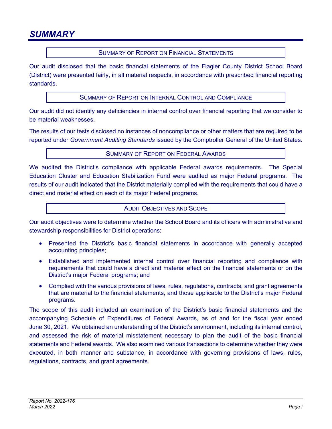#### SUMMARY OF REPORT ON FINANCIAL STATEMENTS

<span id="page-4-0"></span>Our audit disclosed that the basic financial statements of the Flagler County District School Board (District) were presented fairly, in all material respects, in accordance with prescribed financial reporting standards.

SUMMARY OF REPORT ON INTERNAL CONTROL AND COMPLIANCE

Our audit did not identify any deficiencies in internal control over financial reporting that we consider to be material weaknesses.

The results of our tests disclosed no instances of noncompliance or other matters that are required to be reported under *Government Auditing Standards* issued by the Comptroller General of the United States.

#### SUMMARY OF REPORT ON FEDERAL AWARDS

We audited the District's compliance with applicable Federal awards requirements. The Special Education Cluster and Education Stabilization Fund were audited as major Federal programs. The results of our audit indicated that the District materially complied with the requirements that could have a direct and material effect on each of its major Federal programs.

#### AUDIT OBJECTIVES AND SCOPE

Our audit objectives were to determine whether the School Board and its officers with administrative and stewardship responsibilities for District operations:

- Presented the District's basic financial statements in accordance with generally accepted accounting principles;
- Established and implemented internal control over financial reporting and compliance with requirements that could have a direct and material effect on the financial statements or on the District's major Federal programs; and
- Complied with the various provisions of laws, rules, regulations, contracts, and grant agreements that are material to the financial statements, and those applicable to the District's major Federal programs.

The scope of this audit included an examination of the District's basic financial statements and the accompanying Schedule of Expenditures of Federal Awards, as of and for the fiscal year ended June 30, 2021. We obtained an understanding of the District's environment, including its internal control, and assessed the risk of material misstatement necessary to plan the audit of the basic financial statements and Federal awards. We also examined various transactions to determine whether they were executed, in both manner and substance, in accordance with governing provisions of laws, rules, regulations, contracts, and grant agreements.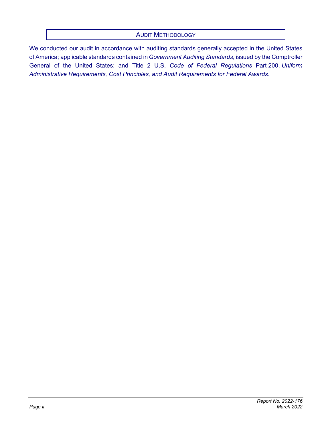#### AUDIT METHODOLOGY

We conducted our audit in accordance with auditing standards generally accepted in the United States of America; applicable standards contained in *Government Auditing Standards*, issued by the Comptroller General of the United States; and Title 2 U.S. *Code of Federal Regulations* Part 200, *Uniform Administrative Requirements, Cost Principles, and Audit Requirements for Federal Awards*.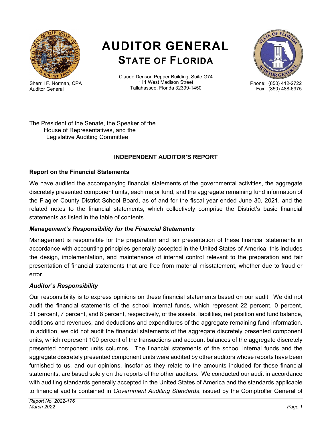<span id="page-6-0"></span>

Sherrill F. Norman, CPA Auditor General

# **AUDITOR GENERAL STATE OF FLORIDA**

Claude Denson Pepper Building, Suite G74 111 West Madison Street Tallahassee, Florida 32399-1450



Phone: (850) 412-2722 Fax: (850) 488-6975

The President of the Senate, the Speaker of the House of Representatives, and the Legislative Auditing Committee

# **INDEPENDENT AUDITOR'S REPORT**

#### **Report on the Financial Statements**

We have audited the accompanying financial statements of the governmental activities, the aggregate discretely presented component units, each major fund, and the aggregate remaining fund information of the Flagler County District School Board, as of and for the fiscal year ended June 30, 2021, and the related notes to the financial statements, which collectively comprise the District's basic financial statements as listed in the table of contents.

#### *Management's Responsibility for the Financial Statements*

Management is responsible for the preparation and fair presentation of these financial statements in accordance with accounting principles generally accepted in the United States of America; this includes the design, implementation, and maintenance of internal control relevant to the preparation and fair presentation of financial statements that are free from material misstatement, whether due to fraud or error.

#### *Auditor's Responsibility*

Our responsibility is to express opinions on these financial statements based on our audit. We did not audit the financial statements of the school internal funds, which represent 22 percent, 0 percent, 31 percent, 7 percent, and 8 percent, respectively, of the assets, liabilities, net position and fund balance, additions and revenues, and deductions and expenditures of the aggregate remaining fund information. In addition, we did not audit the financial statements of the aggregate discretely presented component units, which represent 100 percent of the transactions and account balances of the aggregate discretely presented component units columns. The financial statements of the school internal funds and the aggregate discretely presented component units were audited by other auditors whose reports have been furnished to us, and our opinions, insofar as they relate to the amounts included for those financial statements, are based solely on the reports of the other auditors. We conducted our audit in accordance with auditing standards generally accepted in the United States of America and the standards applicable to financial audits contained in *Government Auditing Standards*, issued by the Comptroller General of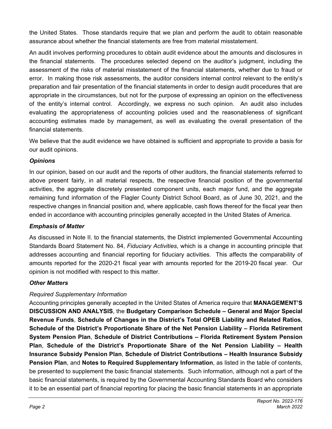the United States. Those standards require that we plan and perform the audit to obtain reasonable assurance about whether the financial statements are free from material misstatement.

An audit involves performing procedures to obtain audit evidence about the amounts and disclosures in the financial statements. The procedures selected depend on the auditor's judgment, including the assessment of the risks of material misstatement of the financial statements, whether due to fraud or error. In making those risk assessments, the auditor considers internal control relevant to the entity's preparation and fair presentation of the financial statements in order to design audit procedures that are appropriate in the circumstances, but not for the purpose of expressing an opinion on the effectiveness of the entity's internal control. Accordingly, we express no such opinion. An audit also includes evaluating the appropriateness of accounting policies used and the reasonableness of significant accounting estimates made by management, as well as evaluating the overall presentation of the financial statements.

We believe that the audit evidence we have obtained is sufficient and appropriate to provide a basis for our audit opinions.

#### *Opinions*

In our opinion, based on our audit and the reports of other auditors, the financial statements referred to above present fairly, in all material respects, the respective financial position of the governmental activities, the aggregate discretely presented component units, each major fund, and the aggregate remaining fund information of the Flagler County District School Board, as of June 30, 2021, and the respective changes in financial position and, where applicable, cash flows thereof for the fiscal year then ended in accordance with accounting principles generally accepted in the United States of America.

# *Emphasis of Matter*

As discussed in Note II. to the financial statements, the District implemented Governmental Accounting Standards Board Statement No. 84, *Fiduciary Activities*, which is a change in accounting principle that addresses accounting and financial reporting for fiduciary activities. This affects the comparability of amounts reported for the 2020-21 fiscal year with amounts reported for the 2019-20 fiscal year. Our opinion is not modified with respect to this matter.

# *Other Matters*

# *Required Supplementary Information*

Accounting principles generally accepted in the United States of America require that **MANAGEMENT'S DISCUSSION AND ANALYSIS**, the **Budgetary Comparison Schedule – General and Major Special Revenue Funds**, **Schedule of Changes in the District's Total OPEB Liability and Related Ratios**, **Schedule of the District's Proportionate Share of the Net Pension Liability – Florida Retirement System Pension Plan**, **Schedule of District Contributions – Florida Retirement System Pension Plan**, **Schedule of the District's Proportionate Share of the Net Pension Liability – Health Insurance Subsidy Pension Plan**, **Schedule of District Contributions – Health Insurance Subsidy Pension Plan**, and **Notes to Required Supplementary Information**, as listed in the table of contents, be presented to supplement the basic financial statements. Such information, although not a part of the basic financial statements, is required by the Governmental Accounting Standards Board who considers it to be an essential part of financial reporting for placing the basic financial statements in an appropriate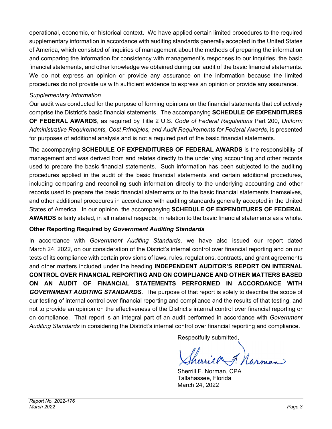<span id="page-8-0"></span>operational, economic, or historical context. We have applied certain limited procedures to the required supplementary information in accordance with auditing standards generally accepted in the United States of America, which consisted of inquiries of management about the methods of preparing the information and comparing the information for consistency with management's responses to our inquiries, the basic financial statements, and other knowledge we obtained during our audit of the basic financial statements. We do not express an opinion or provide any assurance on the information because the limited procedures do not provide us with sufficient evidence to express an opinion or provide any assurance.

#### *Supplementary Information*

Our audit was conducted for the purpose of forming opinions on the financial statements that collectively comprise the District's basic financial statements. The accompanying **SCHEDULE OF EXPENDITURES OF FEDERAL AWARDS**, as required by Title 2 U.S. *Code of Federal Regulations* Part 200, *Uniform Administrative Requirements, Cost Principles, and Audit Requirements for Federal Awards*, is presented for purposes of additional analysis and is not a required part of the basic financial statements.

The accompanying **SCHEDULE OF EXPENDITURES OF FEDERAL AWARDS** is the responsibility of management and was derived from and relates directly to the underlying accounting and other records used to prepare the basic financial statements. Such information has been subjected to the auditing procedures applied in the audit of the basic financial statements and certain additional procedures, including comparing and reconciling such information directly to the underlying accounting and other records used to prepare the basic financial statements or to the basic financial statements themselves, and other additional procedures in accordance with auditing standards generally accepted in the United States of America. In our opinion, the accompanying **SCHEDULE OF EXPENDITURES OF FEDERAL AWARDS** is fairly stated, in all material respects, in relation to the basic financial statements as a whole.

#### **Other Reporting Required by** *Government Auditing Standards*

In accordance with *Government Auditing Standards*, we have also issued our report dated March 24, 2022, on our consideration of the District's internal control over financial reporting and on our tests of its compliance with certain provisions of laws, rules, regulations, contracts, and grant agreements and other matters included under the heading **INDEPENDENT AUDITOR'S REPORT ON INTERNAL CONTROL OVER FINANCIAL REPORTING AND ON COMPLIANCE AND OTHER MATTERS BASED ON AN AUDIT OF FINANCIAL STATEMENTS PERFORMED IN ACCORDANCE WITH**  *GOVERNMENT AUDITING STANDARDS*. The purpose of that report is solely to describe the scope of our testing of internal control over financial reporting and compliance and the results of that testing, and not to provide an opinion on the effectiveness of the District's internal control over financial reporting or on compliance. That report is an integral part of an audit performed in accordance with *Government Auditing Standards* in considering the District's internal control over financial reporting and compliance.

Respectfully submitted,

Norman

Sherrill F. Norman, CPA Tallahassee, Florida March 24, 2022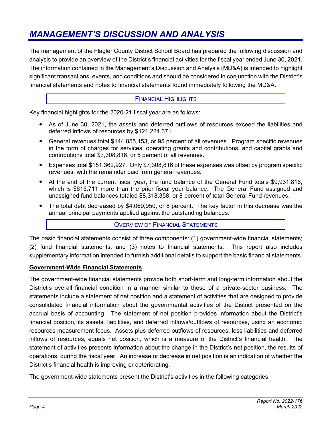# <span id="page-9-0"></span>*MANAGEMENT'S DISCUSSION AND ANALYSIS*

The management of the Flagler County District School Board has prepared the following discussion and analysis to provide an overview of the District's financial activities for the fiscal year ended June 30, 2021. The information contained in the Management's Discussion and Analysis (MD&A) is intended to highlight significant transactions, events, and conditions and should be considered in conjunction with the District's financial statements and notes to financial statements found immediately following the MD&A.

#### FINANCIAL HIGHLIGHTS

Key financial highlights for the 2020-21 fiscal year are as follows:

- As of June 30, 2021, the assets and deferred outflows of resources exceed the liabilities and deferred inflows of resources by \$121,224,371.
- General revenues total \$144,855,153, or 95 percent of all revenues. Program specific revenues in the form of charges for services, operating grants and contributions, and capital grants and contributions total \$7,308,816, or 5 percent of all revenues.
- Expenses total \$151,362,927. Only \$7,308,816 of these expenses was offset by program specific revenues, with the remainder paid from general revenues.
- At the end of the current fiscal year, the fund balance of the General Fund totals \$9,931,816, which is \$615,711 more than the prior fiscal year balance. The General Fund assigned and unassigned fund balances totaled \$8,318,358, or 8 percent of total General Fund revenues.
- The total debt decreased by \$4,069,950, or 8 percent. The key factor in this decrease was the annual principal payments applied against the outstanding balances.

#### OVERVIEW OF FINANCIAL STATEMENTS

The basic financial statements consist of three components: (1) government-wide financial statements; (2) fund financial statements; and (3) notes to financial statements. This report also includes supplementary information intended to furnish additional details to support the basic financial statements.

#### **Government-Wide Financial Statements**

The government-wide financial statements provide both short-term and long-term information about the District's overall financial condition in a manner similar to those of a private-sector business. The statements include a statement of net position and a statement of activities that are designed to provide consolidated financial information about the governmental activities of the District presented on the accrual basis of accounting. The statement of net position provides information about the District's financial position, its assets, liabilities, and deferred inflows/outflows of resources, using an economic resources measurement focus. Assets plus deferred outflows of resources, less liabilities and deferred inflows of resources, equals net position, which is a measure of the District's financial health. The statement of activities presents information about the change in the District's net position, the results of operations, during the fiscal year. An increase or decrease in net position is an indication of whether the District's financial health is improving or deteriorating.

The government-wide statements present the District's activities in the following categories: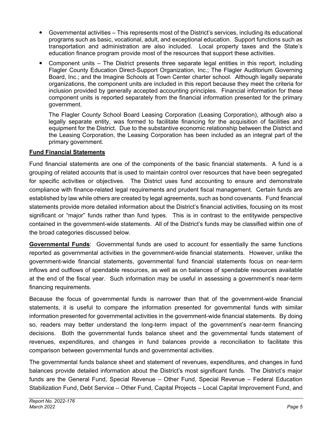- Governmental activities This represents most of the District's services, including its educational programs such as basic, vocational, adult, and exceptional education. Support functions such as transportation and administration are also included. Local property taxes and the State's education finance program provide most of the resources that support these activities.
- Component units The District presents three separate legal entities in this report, including Flagler County Education Direct-Support Organization, Inc.; The Flagler Auditorium Governing Board, Inc.; and the Imagine Schools at Town Center charter school. Although legally separate organizations, the component units are included in this report because they meet the criteria for inclusion provided by generally accepted accounting principles. Financial information for these component units is reported separately from the financial information presented for the primary government.

The Flagler County School Board Leasing Corporation (Leasing Corporation), although also a legally separate entity, was formed to facilitate financing for the acquisition of facilities and equipment for the District. Due to the substantive economic relationship between the District and the Leasing Corporation, the Leasing Corporation has been included as an integral part of the primary government.

#### **Fund Financial Statements**

Fund financial statements are one of the components of the basic financial statements. A fund is a grouping of related accounts that is used to maintain control over resources that have been segregated for specific activities or objectives. The District uses fund accounting to ensure and demonstrate compliance with finance-related legal requirements and prudent fiscal management. Certain funds are established by law while others are created by legal agreements, such as bond covenants. Fund financial statements provide more detailed information about the District's financial activities, focusing on its most significant or "major" funds rather than fund types. This is in contrast to the entitywide perspective contained in the government-wide statements. All of the District's funds may be classified within one of the broad categories discussed below.

**Governmental Funds**: Governmental funds are used to account for essentially the same functions reported as governmental activities in the government-wide financial statements. However, unlike the government-wide financial statements, governmental fund financial statements focus on near-term inflows and outflows of spendable resources, as well as on balances of spendable resources available at the end of the fiscal year. Such information may be useful in assessing a government's near-term financing requirements.

Because the focus of governmental funds is narrower than that of the government-wide financial statements, it is useful to compare the information presented for governmental funds with similar information presented for governmental activities in the government-wide financial statements. By doing so, readers may better understand the long-term impact of the government's near-term financing decisions. Both the governmental funds balance sheet and the governmental funds statement of revenues, expenditures, and changes in fund balances provide a reconciliation to facilitate this comparison between governmental funds and governmental activities.

The governmental funds balance sheet and statement of revenues, expenditures, and changes in fund balances provide detailed information about the District's most significant funds. The District's major funds are the General Fund, Special Revenue – Other Fund, Special Revenue – Federal Education Stabilization Fund, Debt Service – Other Fund, Capital Projects – Local Capital Improvement Fund, and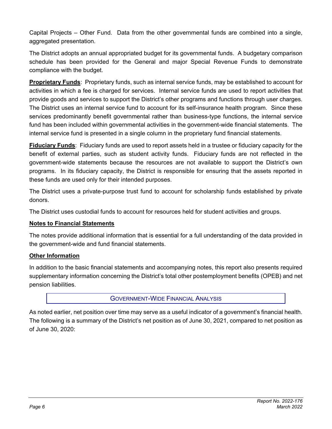Capital Projects – Other Fund. Data from the other governmental funds are combined into a single, aggregated presentation.

The District adopts an annual appropriated budget for its governmental funds. A budgetary comparison schedule has been provided for the General and major Special Revenue Funds to demonstrate compliance with the budget.

**Proprietary Funds**: Proprietary funds, such as internal service funds, may be established to account for activities in which a fee is charged for services. Internal service funds are used to report activities that provide goods and services to support the District's other programs and functions through user charges. The District uses an internal service fund to account for its self-insurance health program. Since these services predominantly benefit governmental rather than business-type functions, the internal service fund has been included within governmental activities in the government-wide financial statements. The internal service fund is presented in a single column in the proprietary fund financial statements.

**Fiduciary Funds**: Fiduciary funds are used to report assets held in a trustee or fiduciary capacity for the benefit of external parties, such as student activity funds. Fiduciary funds are not reflected in the government-wide statements because the resources are not available to support the District's own programs. In its fiduciary capacity, the District is responsible for ensuring that the assets reported in these funds are used only for their intended purposes.

The District uses a private-purpose trust fund to account for scholarship funds established by private donors.

The District uses custodial funds to account for resources held for student activities and groups.

#### **Notes to Financial Statements**

The notes provide additional information that is essential for a full understanding of the data provided in the government-wide and fund financial statements.

# **Other Information**

In addition to the basic financial statements and accompanying notes, this report also presents required supplementary information concerning the District's total other postemployment benefits (OPEB) and net pension liabilities.

GOVERNMENT-WIDE FINANCIAL ANALYSIS

As noted earlier, net position over time may serve as a useful indicator of a government's financial health. The following is a summary of the District's net position as of June 30, 2021, compared to net position as of June 30, 2020: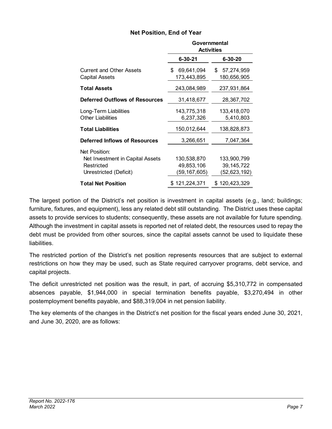|                                                                                           | Governmental<br><b>Activities</b>         |                                             |  |  |  |
|-------------------------------------------------------------------------------------------|-------------------------------------------|---------------------------------------------|--|--|--|
|                                                                                           | $6 - 30 - 21$                             | 6-30-20                                     |  |  |  |
| <b>Current and Other Assets</b><br><b>Capital Assets</b>                                  | 69,641,094<br>\$<br>173,443,895           | \$<br>57,274,959<br>180,656,905             |  |  |  |
| Total Assets                                                                              | 243,084,989                               | 237,931,864                                 |  |  |  |
| <b>Deferred Outflows of Resources</b>                                                     | 31,418,677                                | 28,367,702                                  |  |  |  |
| Long-Term Liabilities<br><b>Other Liabilities</b>                                         | 143,775,318<br>6,237,326                  | 133,418,070<br>5,410,803                    |  |  |  |
| <b>Total Liabilities</b>                                                                  | 150,012,644                               | 138,828,873                                 |  |  |  |
| <b>Deferred Inflows of Resources</b>                                                      | 3,266,651                                 | 7,047,364                                   |  |  |  |
| Net Position:<br>Net Investment in Capital Assets<br>Restricted<br>Unrestricted (Deficit) | 130,538,870<br>49,853,106<br>(59,167,605) | 133,900,799<br>39, 145, 722<br>(52,623,192) |  |  |  |
| <b>Total Net Position</b>                                                                 | \$121,224,371                             | \$120,423,329                               |  |  |  |

## **Net Position, End of Year**

The largest portion of the District's net position is investment in capital assets (e.g., land; buildings; furniture, fixtures, and equipment), less any related debt still outstanding. The District uses these capital assets to provide services to students; consequently, these assets are not available for future spending. Although the investment in capital assets is reported net of related debt, the resources used to repay the debt must be provided from other sources, since the capital assets cannot be used to liquidate these liabilities.

The restricted portion of the District's net position represents resources that are subject to external restrictions on how they may be used, such as State required carryover programs, debt service, and capital projects.

The deficit unrestricted net position was the result, in part, of accruing \$5,310,772 in compensated absences payable, \$1,944,000 in special termination benefits payable, \$3,270,494 in other postemployment benefits payable, and \$88,319,004 in net pension liability.

The key elements of the changes in the District's net position for the fiscal years ended June 30, 2021, and June 30, 2020, are as follows: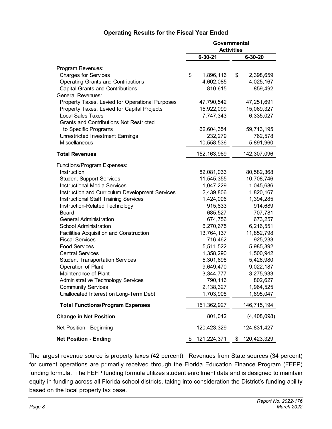#### **Operating Results for the Fiscal Year Ended**

|                                                 | Governmental      |                   |  |  |  |
|-------------------------------------------------|-------------------|-------------------|--|--|--|
|                                                 | <b>Activities</b> |                   |  |  |  |
|                                                 | $6 - 30 - 21$     | $6 - 30 - 20$     |  |  |  |
| Program Revenues:                               |                   |                   |  |  |  |
| <b>Charges for Services</b>                     | \$<br>1,896,116   | 2,398,659<br>\$   |  |  |  |
| <b>Operating Grants and Contributions</b>       | 4,602,085         | 4,025,167         |  |  |  |
| <b>Capital Grants and Contributions</b>         | 810,615           | 859,492           |  |  |  |
| <b>General Revenues:</b>                        |                   |                   |  |  |  |
| Property Taxes, Levied for Operational Purposes | 47,790,542        | 47,251,691        |  |  |  |
| Property Taxes, Levied for Capital Projects     | 15,922,099        | 15,069,327        |  |  |  |
| <b>Local Sales Taxes</b>                        | 7,747,343         | 6,335,027         |  |  |  |
| <b>Grants and Contributions Not Restricted</b>  |                   |                   |  |  |  |
| to Specific Programs                            | 62,604,354        | 59,713,195        |  |  |  |
| Unrestricted Investment Earnings                | 232,279           | 762,578           |  |  |  |
| Miscellaneous                                   | 10,558,536        | 5,891,960         |  |  |  |
| <b>Total Revenues</b>                           | 152, 163, 969     | 142,307,096       |  |  |  |
|                                                 |                   |                   |  |  |  |
| Functions/Program Expenses:<br>Instruction      | 82,081,033        | 80,582,368        |  |  |  |
| <b>Student Support Services</b>                 | 11,545,355        | 10,708,746        |  |  |  |
| <b>Instructional Media Services</b>             | 1,047,229         | 1,045,686         |  |  |  |
| Instruction and Curriculum Development Services | 2,439,806         | 1,820,167         |  |  |  |
| <b>Instructional Staff Training Services</b>    | 1,424,006         | 1,394,285         |  |  |  |
| Instruction-Related Technology                  | 915,833           | 914,689           |  |  |  |
| Board                                           | 685,527           | 707,781           |  |  |  |
| <b>General Administration</b>                   | 674,756           | 673,257           |  |  |  |
| <b>School Administration</b>                    | 6,270,675         | 6,216,551         |  |  |  |
| Facilities Acquisition and Construction         | 13,764,137        | 11,852,798        |  |  |  |
| <b>Fiscal Services</b>                          | 716,462           | 925,233           |  |  |  |
| <b>Food Services</b>                            | 5,511,522         | 5,985,392         |  |  |  |
| <b>Central Services</b>                         | 1,358,290         | 1,500,942         |  |  |  |
| <b>Student Transportation Services</b>          | 5,301,698         | 5,426,980         |  |  |  |
| Operation of Plant                              | 9,649,470         | 9,022,187         |  |  |  |
| Maintenance of Plant                            | 3,344,777         | 3,275,933         |  |  |  |
| <b>Administrative Technology Services</b>       | 790,116           | 802,627           |  |  |  |
| <b>Community Services</b>                       | 2,138,327         | 1,964,525         |  |  |  |
| Unallocated Interest on Long-Term Debt          | 1,703,908         | 1,895,047         |  |  |  |
| <b>Total Functions/Program Expenses</b>         | 151,362,927       | 146,715,194       |  |  |  |
| <b>Change in Net Position</b>                   | 801,042           | (4,408,098)       |  |  |  |
| Net Position - Beginning                        | 120,423,329       | 124,831,427       |  |  |  |
| <b>Net Position - Ending</b>                    | 121,224,371<br>\$ | \$<br>120,423,329 |  |  |  |

The largest revenue source is property taxes (42 percent). Revenues from State sources (34 percent) for current operations are primarily received through the Florida Education Finance Program (FEFP) funding formula. The FEFP funding formula utilizes student enrollment data and is designed to maintain equity in funding across all Florida school districts, taking into consideration the District's funding ability based on the local property tax base.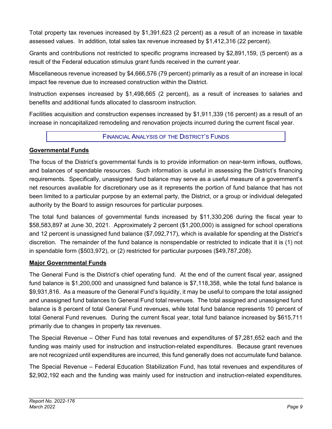Total property tax revenues increased by \$1,391,623 (2 percent) as a result of an increase in taxable assessed values. In addition, total sales tax revenue increased by \$1,412,316 (22 percent).

Grants and contributions not restricted to specific programs increased by \$2,891,159, (5 percent) as a result of the Federal education stimulus grant funds received in the current year.

Miscellaneous revenue increased by \$4,666,576 (79 percent) primarily as a result of an increase in local impact fee revenue due to increased construction within the District.

Instruction expenses increased by \$1,498,665 (2 percent), as a result of increases to salaries and benefits and additional funds allocated to classroom instruction.

Facilities acquisition and construction expenses increased by \$1,911,339 (16 percent) as a result of an increase in noncapitalized remodeling and renovation projects incurred during the current fiscal year.

FINANCIAL ANALYSIS OF THE DISTRICT'S FUNDS

#### **Governmental Funds**

The focus of the District's governmental funds is to provide information on near-term inflows, outflows, and balances of spendable resources. Such information is useful in assessing the District's financing requirements. Specifically, unassigned fund balance may serve as a useful measure of a government's net resources available for discretionary use as it represents the portion of fund balance that has not been limited to a particular purpose by an external party, the District, or a group or individual delegated authority by the Board to assign resources for particular purposes.

The total fund balances of governmental funds increased by \$11,330,206 during the fiscal year to \$58,583,897 at June 30, 2021. Approximately 2 percent (\$1,200,000) is assigned for school operations and 12 percent is unassigned fund balance (\$7,092,717), which is available for spending at the District's discretion. The remainder of the fund balance is nonspendable or restricted to indicate that it is (1) not in spendable form (\$503,972), or (2) restricted for particular purposes (\$49,787,208).

#### **Major Governmental Funds**

The General Fund is the District's chief operating fund. At the end of the current fiscal year, assigned fund balance is \$1,200,000 and unassigned fund balance is \$7,118,358, while the total fund balance is \$9,931,816. As a measure of the General Fund's liquidity, it may be useful to compare the total assigned and unassigned fund balances to General Fund total revenues. The total assigned and unassigned fund balance is 8 percent of total General Fund revenues, while total fund balance represents 10 percent of total General Fund revenues. During the current fiscal year, total fund balance increased by \$615,711 primarily due to changes in property tax revenues.

The Special Revenue – Other Fund has total revenues and expenditures of \$7,281,652 each and the funding was mainly used for instruction and instruction-related expenditures. Because grant revenues are not recognized until expenditures are incurred, this fund generally does not accumulate fund balance.

The Special Revenue – Federal Education Stabilization Fund, has total revenues and expenditures of \$2,902,192 each and the funding was mainly used for instruction and instruction-related expenditures.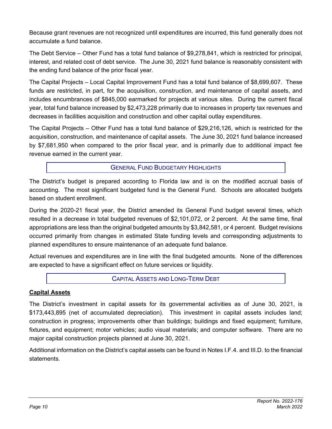Because grant revenues are not recognized until expenditures are incurred, this fund generally does not accumulate a fund balance.

The Debt Service – Other Fund has a total fund balance of \$9,278,841, which is restricted for principal, interest, and related cost of debt service. The June 30, 2021 fund balance is reasonably consistent with the ending fund balance of the prior fiscal year.

The Capital Projects – Local Capital Improvement Fund has a total fund balance of \$8,699,607. These funds are restricted, in part, for the acquisition, construction, and maintenance of capital assets, and includes encumbrances of \$845,000 earmarked for projects at various sites. During the current fiscal year, total fund balance increased by \$2,473,228 primarily due to increases in property tax revenues and decreases in facilities acquisition and construction and other capital outlay expenditures.

The Capital Projects – Other Fund has a total fund balance of \$29,216,126, which is restricted for the acquisition, construction, and maintenance of capital assets. The June 30, 2021 fund balance increased by \$7,681,950 when compared to the prior fiscal year, and is primarily due to additional impact fee revenue earned in the current year.

GENERAL FUND BUDGETARY HIGHLIGHTS

The District's budget is prepared according to Florida law and is on the modified accrual basis of accounting. The most significant budgeted fund is the General Fund. Schools are allocated budgets based on student enrollment.

During the 2020-21 fiscal year, the District amended its General Fund budget several times, which resulted in a decrease in total budgeted revenues of \$2,101,072, or 2 percent. At the same time, final appropriations are less than the original budgeted amounts by \$3,842,581, or 4 percent. Budget revisions occurred primarily from changes in estimated State funding levels and corresponding adjustments to planned expenditures to ensure maintenance of an adequate fund balance.

Actual revenues and expenditures are in line with the final budgeted amounts. None of the differences are expected to have a significant effect on future services or liquidity.

CAPITAL ASSETS AND LONG-TERM DEBT

# **Capital Assets**

The District's investment in capital assets for its governmental activities as of June 30, 2021, is \$173,443,895 (net of accumulated depreciation). This investment in capital assets includes land; construction in progress; improvements other than buildings; buildings and fixed equipment; furniture, fixtures, and equipment; motor vehicles; audio visual materials; and computer software. There are no major capital construction projects planned at June 30, 2021.

Additional information on the District's capital assets can be found in Notes I.F.4. and III.D. to the financial statements.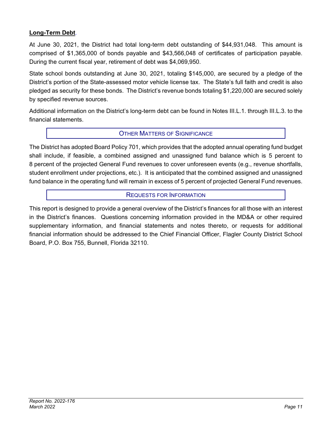## **Long-Term Debt**.

At June 30, 2021, the District had total long-term debt outstanding of \$44,931,048. This amount is comprised of \$1,365,000 of bonds payable and \$43,566,048 of certificates of participation payable. During the current fiscal year, retirement of debt was \$4,069,950.

State school bonds outstanding at June 30, 2021, totaling \$145,000, are secured by a pledge of the District's portion of the State-assessed motor vehicle license tax. The State's full faith and credit is also pledged as security for these bonds. The District's revenue bonds totaling \$1,220,000 are secured solely by specified revenue sources.

Additional information on the District's long-term debt can be found in Notes III.L.1. through III.L.3. to the financial statements.

#### OTHER MATTERS OF SIGNIFICANCE

The District has adopted Board Policy 701, which provides that the adopted annual operating fund budget shall include, if feasible, a combined assigned and unassigned fund balance which is 5 percent to 8 percent of the projected General Fund revenues to cover unforeseen events (e.g., revenue shortfalls, student enrollment under projections, etc.). It is anticipated that the combined assigned and unassigned fund balance in the operating fund will remain in excess of 5 percent of projected General Fund revenues.

#### REQUESTS FOR INFORMATION

This report is designed to provide a general overview of the District's finances for all those with an interest in the District's finances. Questions concerning information provided in the MD&A or other required supplementary information, and financial statements and notes thereto, or requests for additional financial information should be addressed to the Chief Financial Officer, Flagler County District School Board, P.O. Box 755, Bunnell, Florida 32110.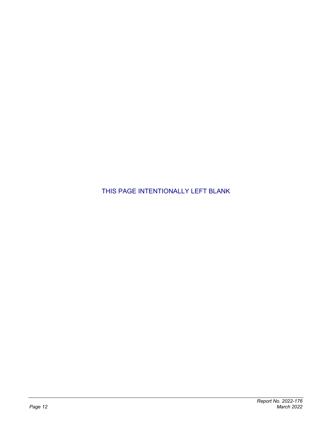THIS PAGE INTENTIONALLY LEFT BLANK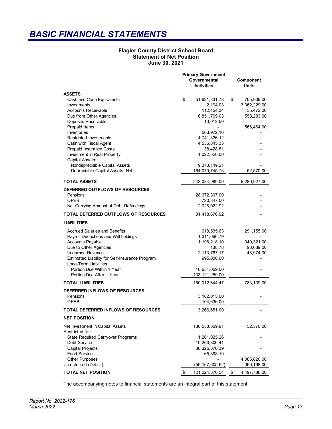# <span id="page-18-0"></span>*BASIC FINANCIAL STATEMENTS*

#### **Flagler County District School Board Statement of Net Position June 30, 2021**

|                                                                          |                                   | <b>Primary Government</b> |    |                           |  |  |
|--------------------------------------------------------------------------|-----------------------------------|---------------------------|----|---------------------------|--|--|
|                                                                          | Governmental<br><b>Activities</b> |                           |    | Component<br><b>Units</b> |  |  |
| <b>ASSETS</b>                                                            |                                   |                           |    |                           |  |  |
| Cash and Cash Equivalents                                                | \$                                | 51,821,831.78             | \$ | 705,909.00                |  |  |
| Investments                                                              |                                   | 2,194.03                  |    | 3,362,229.00              |  |  |
| <b>Accounts Receivable</b>                                               |                                   | 112, 154.34               |    | 35,472.00                 |  |  |
| Due from Other Agencies                                                  |                                   | 6,851,799.03              |    | 558,283.00                |  |  |
| Deposits Receivable                                                      |                                   | 10,012.50                 |    |                           |  |  |
| <b>Prepaid Items</b>                                                     |                                   |                           |    | 566,464.00                |  |  |
| Inventories                                                              |                                   | 503,972.16                |    |                           |  |  |
| <b>Restricted Investments</b>                                            |                                   | 4,741,336.12              |    |                           |  |  |
| Cash with Fiscal Agent                                                   |                                   | 4,536,845.33              |    |                           |  |  |
| <b>Prepaid Insurance Costs</b>                                           |                                   | 38,428.81                 |    |                           |  |  |
| Investment in Real Property                                              |                                   | 1,022,520.00              |    |                           |  |  |
| Capital Assets:                                                          |                                   |                           |    |                           |  |  |
| Nondepreciable Capital Assets                                            |                                   | 9,373,149.21              |    |                           |  |  |
| Depreciable Capital Assets, Net                                          |                                   | 164,070,745.78            |    | 52,570.00                 |  |  |
| <b>TOTAL ASSETS</b>                                                      |                                   | 243,084,989.09            |    | 5,280,927.00              |  |  |
| DEFERRED OUTFLOWS OF RESOURCES                                           |                                   |                           |    |                           |  |  |
| Pensions                                                                 |                                   | 28,672,307.00             |    |                           |  |  |
| <b>OPEB</b>                                                              |                                   | 720,347.00                |    |                           |  |  |
| Net Carrying Amount of Debt Refundings                                   |                                   | 2,026,022.92              |    |                           |  |  |
| TOTAL DEFERRED OUTFLOWS OF RESOURCES                                     |                                   | 31,418,676.92             |    |                           |  |  |
| <b>LIABILITIES</b>                                                       |                                   |                           |    |                           |  |  |
| <b>Accrued Salaries and Benefits</b>                                     |                                   | 618,535.63                |    | 291,155.00                |  |  |
| Payroll Deductions and Withholdings                                      |                                   | 1,311,666.79              |    |                           |  |  |
| <b>Accounts Payable</b>                                                  |                                   | 1,198,218.10              |    | 349,321.00                |  |  |
| Due to Other Agencies                                                    |                                   | 138.78                    |    | 93,689.00                 |  |  |
| Unearned Revenue                                                         |                                   | 2,113,767.17              |    | 48,974.00                 |  |  |
| Estimated Liability for Self-Insurance Program<br>Long-Term Liabilities: |                                   | 995,000.00                |    |                           |  |  |
| Portion Due Within 1 Year                                                |                                   | 10,654,059.00             |    |                           |  |  |
| Portion Due After 1 Year                                                 |                                   | 133, 121, 259.00          |    |                           |  |  |
| <b>TOTAL LIABILITIES</b>                                                 |                                   | 150,012,644.47            |    | 783,139.00                |  |  |
| DEFERRED INFLOWS OF RESOURCES                                            |                                   |                           |    |                           |  |  |
| Pensions                                                                 |                                   | 3,162,015.00              |    |                           |  |  |
| <b>OPEB</b>                                                              |                                   | 104,636.00                |    |                           |  |  |
| <b>TOTAL DEFERRED INFLOWS OF RESOURCES</b>                               |                                   | 3,266,651.00              |    |                           |  |  |
| <b>NET POSITION</b>                                                      |                                   |                           |    |                           |  |  |
| Net Investment in Capital Assets                                         |                                   | 130,538,869.91            |    | 52,570.00                 |  |  |
| Restricted for:                                                          |                                   |                           |    |                           |  |  |
| <b>State Required Carryover Programs</b>                                 |                                   | 1,201,025.26              |    |                           |  |  |
| Debt Service                                                             |                                   | 10,260,306.41             |    |                           |  |  |
| <b>Capital Projects</b>                                                  |                                   | 38,325,876.39             |    |                           |  |  |
| <b>Food Service</b>                                                      |                                   | 65,898.19                 |    |                           |  |  |
| <b>Other Purposes</b>                                                    |                                   |                           |    | 4,085,020.00              |  |  |
| Unrestricted (Deficit)                                                   |                                   | (59, 167, 605.62)         |    | 360,198.00                |  |  |
| <b>TOTAL NET POSITION</b>                                                | \$                                | 121,224,370.54            | \$ | 4,497,788.00              |  |  |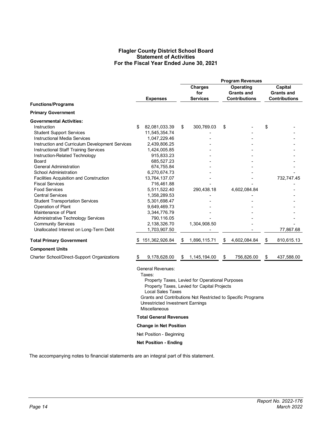#### **Flagler County District School Board Statement of Activities For the Fiscal Year Ended June 30, 2021**

<span id="page-19-0"></span>

|                                                    |    |                |    | <b>Program Revenues</b> |    |                                          |    |                                                        |  |                                                      |  |
|----------------------------------------------------|----|----------------|----|-------------------------|----|------------------------------------------|----|--------------------------------------------------------|--|------------------------------------------------------|--|
|                                                    |    |                |    | <b>Expenses</b>         |    | <b>Charges</b><br>for<br><b>Services</b> |    | Operating<br><b>Grants and</b><br><b>Contributions</b> |  | Capital<br><b>Grants and</b><br><b>Contributions</b> |  |
| <b>Functions/Programs</b>                          |    |                |    |                         |    |                                          |    |                                                        |  |                                                      |  |
| <b>Primary Government</b>                          |    |                |    |                         |    |                                          |    |                                                        |  |                                                      |  |
| <b>Governmental Activities:</b>                    |    |                |    |                         |    |                                          |    |                                                        |  |                                                      |  |
| Instruction                                        | \$ | 82,081,033.39  | \$ | 300,769.03              | \$ |                                          | \$ |                                                        |  |                                                      |  |
| <b>Student Support Services</b>                    |    | 11,545,354.74  |    |                         |    |                                          |    |                                                        |  |                                                      |  |
| <b>Instructional Media Services</b>                |    | 1,047,229.46   |    |                         |    |                                          |    |                                                        |  |                                                      |  |
| Instruction and Curriculum Development Services    |    | 2,439,806.25   |    |                         |    |                                          |    |                                                        |  |                                                      |  |
| <b>Instructional Staff Training Services</b>       |    | 1,424,005.85   |    |                         |    |                                          |    |                                                        |  |                                                      |  |
| Instruction-Related Technology                     |    | 915,833.23     |    |                         |    |                                          |    |                                                        |  |                                                      |  |
| Board                                              |    | 685,527.23     |    |                         |    |                                          |    |                                                        |  |                                                      |  |
| <b>General Administration</b>                      |    | 674.755.84     |    |                         |    |                                          |    |                                                        |  |                                                      |  |
| <b>School Administration</b>                       |    | 6,270,674.73   |    |                         |    |                                          |    |                                                        |  |                                                      |  |
| <b>Facilities Acquisition and Construction</b>     |    | 13,764,137.07  |    |                         |    |                                          |    | 732,747.45                                             |  |                                                      |  |
| <b>Fiscal Services</b>                             |    | 716,461.88     |    |                         |    |                                          |    |                                                        |  |                                                      |  |
| <b>Food Services</b>                               |    | 5,511,522.40   |    | 290,438.18              |    | 4,602,084.84                             |    |                                                        |  |                                                      |  |
| <b>Central Services</b>                            |    | 1,358,289.53   |    |                         |    |                                          |    |                                                        |  |                                                      |  |
| <b>Student Transportation Services</b>             |    | 5,301,698.47   |    |                         |    |                                          |    |                                                        |  |                                                      |  |
| Operation of Plant                                 |    | 9,649,469.73   |    |                         |    |                                          |    |                                                        |  |                                                      |  |
| Maintenance of Plant                               |    | 3,344,776.79   |    |                         |    |                                          |    |                                                        |  |                                                      |  |
| Administrative Technology Services                 |    | 790,116.05     |    |                         |    |                                          |    |                                                        |  |                                                      |  |
| <b>Community Services</b>                          |    | 2,138,326.70   |    | 1,304,908.50            |    |                                          |    |                                                        |  |                                                      |  |
| Unallocated Interest on Long-Term Debt             |    | 1,703,907.50   |    |                         |    |                                          |    | 77,867.68                                              |  |                                                      |  |
| <b>Total Primary Government</b>                    |    | 151,362,926.84 | \$ | 1,896,115.71            | \$ | 4,602,084.84                             | \$ | 810,615.13                                             |  |                                                      |  |
| <b>Component Units</b>                             |    |                |    |                         |    |                                          |    |                                                        |  |                                                      |  |
| <b>Charter School/Direct-Support Organizations</b> | S  | 9,178,628.00   | S  | 1,145,194.00            | S  | 756,826.00                               | \$ | 437,588.00                                             |  |                                                      |  |
|                                                    |    |                |    |                         |    |                                          |    |                                                        |  |                                                      |  |

General Revenues:

Taxes:

 Property Taxes, Levied for Operational Purposes Property Taxes, Levied for Capital Projects Local Sales Taxes

Grants and Contributions Not Restricted to Specific Programs

Unrestricted Investment Earnings

Miscellaneous

#### **Total General Revenues**

#### **Change in Net Position**

Net Position - Beginning

**Net Position - Ending**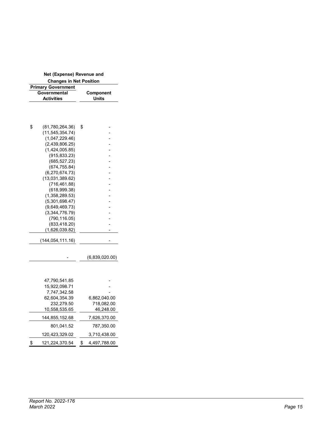| Net (Expense) Revenue and      |                                    |    |                |  |  |  |  |  |
|--------------------------------|------------------------------------|----|----------------|--|--|--|--|--|
| <b>Changes in Net Position</b> |                                    |    |                |  |  |  |  |  |
|                                | <b>Primary Government</b>          |    |                |  |  |  |  |  |
|                                | Governmental                       |    | Component      |  |  |  |  |  |
|                                | <b>Activities</b>                  |    | Units          |  |  |  |  |  |
|                                |                                    |    |                |  |  |  |  |  |
| \$                             | (81,780,264.36)                    | \$ |                |  |  |  |  |  |
|                                | (11, 545, 354.74)                  |    |                |  |  |  |  |  |
|                                | (1,047,229.46)                     |    |                |  |  |  |  |  |
|                                | (2, 439, 806.25)<br>(1,424,005.85) |    |                |  |  |  |  |  |
|                                | (915,833.23)                       |    |                |  |  |  |  |  |
|                                | (685, 527.23)                      |    |                |  |  |  |  |  |
|                                | (674,755.84)                       |    |                |  |  |  |  |  |
|                                | (6,270,674.73)                     |    |                |  |  |  |  |  |
|                                | (13,031,389.62)                    |    |                |  |  |  |  |  |
|                                | (716,461.88)                       |    |                |  |  |  |  |  |
|                                | (618,999.38)                       |    |                |  |  |  |  |  |
|                                | (1,358,289.53)<br>(5,301,698.47)   |    |                |  |  |  |  |  |
|                                | (9,649,469.73)                     |    |                |  |  |  |  |  |
|                                | (3,344,776.79)                     |    |                |  |  |  |  |  |
|                                | (790,116.05)                       |    |                |  |  |  |  |  |
|                                | (833, 418.20)                      |    |                |  |  |  |  |  |
|                                | (1,626,039.82)                     |    |                |  |  |  |  |  |
|                                | (144,054,111.16)                   |    |                |  |  |  |  |  |
|                                |                                    |    |                |  |  |  |  |  |
|                                |                                    |    | (6,839,020.00) |  |  |  |  |  |
|                                |                                    |    |                |  |  |  |  |  |
|                                | 47,790,541.85                      |    |                |  |  |  |  |  |
|                                | 15,922,098.71<br>7,747,342.58      |    |                |  |  |  |  |  |
|                                | 62,604,354.39                      |    | 6,862,040.00   |  |  |  |  |  |
|                                | 232,279.50                         |    | 718,082.00     |  |  |  |  |  |
|                                | 10,558,535.65                      |    | 46,248.00      |  |  |  |  |  |
|                                | 144,855,152.68                     |    | 7,626,370.00   |  |  |  |  |  |
|                                | 801,041.52                         |    | 787,350.00     |  |  |  |  |  |
|                                | 120,423,329.02                     |    | 3,710,438.00   |  |  |  |  |  |
| \$                             | 121,224,370.54                     | \$ | 4,497,788.00   |  |  |  |  |  |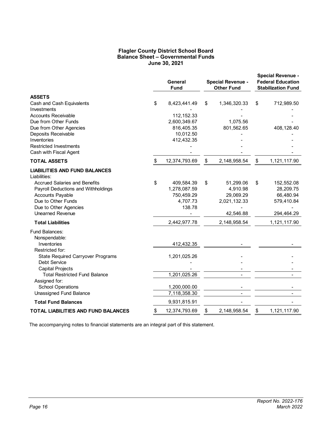#### **Flagler County District School Board Balance Sheet – Governmental Funds June 30, 2021**

<span id="page-21-0"></span>

|                                                                 | General<br><b>Fund</b> | <b>Special Revenue -</b><br><b>Other Fund</b> | <b>Special Revenue -</b><br><b>Federal Education</b><br><b>Stabilization Fund</b> |    |                          |
|-----------------------------------------------------------------|------------------------|-----------------------------------------------|-----------------------------------------------------------------------------------|----|--------------------------|
| <b>ASSETS</b>                                                   |                        |                                               |                                                                                   |    |                          |
| Cash and Cash Equivalents<br>Investments                        | \$<br>8,423,441.49     | \$                                            | 1,346,320.33                                                                      | \$ | 712,989.50               |
| <b>Accounts Receivable</b>                                      | 112,152.33             |                                               |                                                                                   |    |                          |
| Due from Other Funds                                            | 2,600,349.67           |                                               | 1,075.56                                                                          |    |                          |
| Due from Other Agencies                                         | 816,405.35             |                                               | 801,562.65                                                                        |    | 408,128.40               |
| Deposits Receivable                                             | 10,012.50              |                                               |                                                                                   |    |                          |
| Inventories                                                     | 412,432.35             |                                               |                                                                                   |    |                          |
| <b>Restricted Investments</b>                                   |                        |                                               |                                                                                   |    |                          |
| Cash with Fiscal Agent                                          |                        |                                               |                                                                                   |    |                          |
| <b>TOTAL ASSETS</b>                                             | \$<br>12,374,793.69    | \$                                            | 2,148,958.54                                                                      | \$ | 1,121,117.90             |
| <b>LIABILITIES AND FUND BALANCES</b><br>Liabilities:            |                        |                                               |                                                                                   |    |                          |
| <b>Accrued Salaries and Benefits</b>                            | \$<br>409,584.39       | \$                                            | 51,299.06                                                                         | \$ | 152,552.08               |
| Payroll Deductions and Withholdings                             | 1,278,087.59           |                                               | 4,910.98                                                                          |    | 28,209.75                |
| <b>Accounts Payable</b>                                         | 750,459.29             |                                               | 29,069.29                                                                         |    | 66,480.94                |
| Due to Other Funds                                              | 4,707.73               |                                               | 2,021,132.33                                                                      |    | 579,410.84               |
| Due to Other Agencies                                           | 138.78                 |                                               |                                                                                   |    |                          |
| <b>Unearned Revenue</b>                                         |                        |                                               | 42,546.88                                                                         |    | 294,464.29               |
| <b>Total Liabilities</b>                                        | 2,442,977.78           |                                               | 2,148,958.54                                                                      |    | 1,121,117.90             |
| Fund Balances:                                                  |                        |                                               |                                                                                   |    |                          |
| Nonspendable:                                                   |                        |                                               |                                                                                   |    |                          |
| Inventories                                                     | 412,432.35             |                                               |                                                                                   |    |                          |
| Restricted for:                                                 |                        |                                               |                                                                                   |    |                          |
| <b>State Required Carryover Programs</b>                        | 1,201,025.26           |                                               |                                                                                   |    |                          |
| <b>Debt Service</b>                                             |                        |                                               |                                                                                   |    |                          |
| <b>Capital Projects</b><br><b>Total Restricted Fund Balance</b> | 1,201,025.26           |                                               | $\overline{\phantom{0}}$                                                          |    | $\overline{\phantom{a}}$ |
| Assigned for:                                                   |                        |                                               |                                                                                   |    |                          |
| <b>School Operations</b>                                        | 1,200,000.00           |                                               |                                                                                   |    |                          |
| Unassigned Fund Balance                                         | 7,118,358.30           |                                               | $\overline{\phantom{a}}$                                                          |    | $\overline{\phantom{0}}$ |
| <b>Total Fund Balances</b>                                      | 9,931,815.91           |                                               |                                                                                   |    |                          |
| TOTAL LIABILITIES AND FUND BALANCES                             | \$<br>12,374,793.69    | \$                                            | 2,148,958.54                                                                      | \$ | 1,121,117.90             |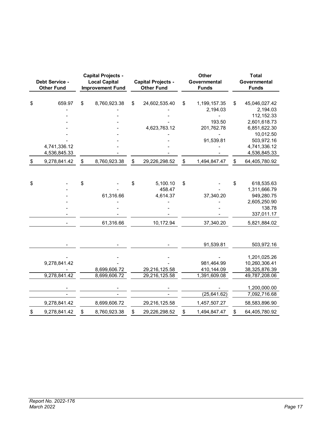| Debt Service -<br><b>Other Fund</b> | <b>Capital Projects -</b><br><b>Local Capital</b><br><b>Improvement Fund</b> |              |    | <b>Capital Projects -</b><br><b>Other Fund</b> |    | Other<br>Governmental<br><b>Funds</b> |    | <b>Total</b><br>Governmental<br><b>Funds</b> |
|-------------------------------------|------------------------------------------------------------------------------|--------------|----|------------------------------------------------|----|---------------------------------------|----|----------------------------------------------|
| \$<br>659.97                        | \$                                                                           | 8,760,923.38 | \$ | 24,602,535.40                                  | \$ | 1,199,157.35                          | \$ | 45,046,027.42                                |
|                                     |                                                                              |              |    |                                                |    | 2,194.03                              |    | 2,194.03                                     |
|                                     |                                                                              |              |    |                                                |    |                                       |    | 112, 152.33                                  |
|                                     |                                                                              |              |    |                                                |    | 193.50                                |    | 2,601,618.73                                 |
|                                     |                                                                              |              |    | 4,623,763.12                                   |    | 201,762.78                            |    | 6,851,622.30                                 |
|                                     |                                                                              |              |    |                                                |    |                                       |    | 10,012.50                                    |
|                                     |                                                                              |              |    |                                                |    | 91,539.81                             |    | 503,972.16                                   |
| 4,741,336.12                        |                                                                              |              |    |                                                |    |                                       |    | 4,741,336.12                                 |
| 4,536,845.33                        |                                                                              |              |    |                                                |    |                                       |    | 4,536,845.33                                 |
| \$<br>9,278,841.42                  | \$                                                                           | 8,760,923.38 | \$ | 29,226,298.52                                  | \$ | 1,494,847.47                          | \$ | 64,405,780.92                                |
|                                     |                                                                              |              |    |                                                |    |                                       |    |                                              |
| \$                                  | \$                                                                           |              | \$ | 5,100.10                                       | \$ |                                       | \$ | 618,535.63                                   |
|                                     |                                                                              |              |    | 458.47                                         |    |                                       |    | 1,311,666.79                                 |
|                                     |                                                                              | 61,316.66    |    | 4,614.37                                       |    | 37,340.20                             |    | 949,280.75                                   |
|                                     |                                                                              |              |    |                                                |    |                                       |    | 2,605,250.90                                 |
|                                     |                                                                              |              |    |                                                |    |                                       |    | 138.78                                       |
|                                     |                                                                              |              |    |                                                |    |                                       |    | 337,011.17                                   |
|                                     |                                                                              | 61,316.66    |    | 10,172.94                                      |    | 37,340.20                             |    | 5,821,884.02                                 |
|                                     |                                                                              |              |    |                                                |    |                                       |    |                                              |
|                                     |                                                                              |              |    |                                                |    | 91,539.81                             |    | 503,972.16                                   |
|                                     |                                                                              |              |    |                                                |    |                                       |    | 1,201,025.26                                 |
| 9,278,841.42                        |                                                                              |              |    |                                                |    | 981,464.99                            |    | 10,260,306.41                                |
|                                     |                                                                              | 8,699,606.72 |    | 29,216,125.58                                  |    | 410,144.09                            |    | 38,325,876.39                                |
| 9,278,841.42                        |                                                                              | 8,699,606.72 |    | 29,216,125.58                                  |    | 1,391,609.08                          |    | 49,787,208.06                                |
|                                     |                                                                              |              |    |                                                |    |                                       |    | 1,200,000.00                                 |
|                                     |                                                                              |              |    |                                                |    | (25, 641.62)                          |    | 7,092,716.68                                 |
| 9,278,841.42                        |                                                                              | 8,699,606.72 |    | 29,216,125.58                                  |    | 1,457,507.27                          |    | 58,583,896.90                                |
| \$<br>9,278,841.42                  | \$                                                                           | 8,760,923.38 | \$ | 29,226,298.52                                  | \$ | 1,494,847.47                          | \$ | 64,405,780.92                                |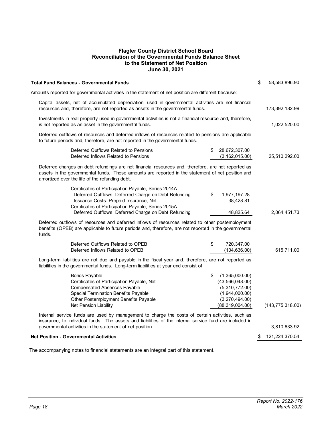#### **Flagler County District School Board Reconciliation of the Governmental Funds Balance Sheet to the Statement of Net Position June 30, 2021**

<span id="page-23-0"></span>

| <b>Total Fund Balances - Governmental Funds</b>                                                                                                                                                                                                                                                                      | \$<br>58,583,896.90  |
|----------------------------------------------------------------------------------------------------------------------------------------------------------------------------------------------------------------------------------------------------------------------------------------------------------------------|----------------------|
| Amounts reported for governmental activities in the statement of net position are different because:                                                                                                                                                                                                                 |                      |
| Capital assets, net of accumulated depreciation, used in governmental activities are not financial<br>resources and, therefore, are not reported as assets in the governmental funds.                                                                                                                                | 173,392,182.99       |
| Investments in real property used in governmental activities is not a financial resource and, therefore,<br>is not reported as an asset in the governmental funds.                                                                                                                                                   | 1,022,520.00         |
| Deferred outflows of resources and deferred inflows of resources related to pensions are applicable<br>to future periods and, therefore, are not reported in the governmental funds.                                                                                                                                 |                      |
| Deferred Outflows Related to Pensions<br>28,672,307.00<br>\$<br>Deferred Inflows Related to Pensions<br>(3, 162, 015.00)                                                                                                                                                                                             | 25,510,292.00        |
| Deferred charges on debt refundings are not financial resources and, therefore, are not reported as<br>assets in the governmental funds. These amounts are reported in the statement of net position and<br>amortized over the life of the refunding debt.                                                           |                      |
| Certificates of Participation Payable, Series 2014A<br>Deferred Outflows: Deferred Charge on Debt Refunding<br>\$<br>1,977,197.28<br>Issuance Costs: Prepaid Insurance, Net<br>38,428.81<br>Certificates of Participation Payable, Series 2015A<br>Deferred Outflows: Deferred Charge on Debt Refunding<br>48,825.64 | 2,064,451.73         |
| Deferred outflows of resources and deferred inflows of resources related to other postemployment<br>benefits (OPEB) are applicable to future periods and, therefore, are not reported in the governmental<br>funds.                                                                                                  |                      |
| Deferred Outflows Related to OPEB<br>\$<br>720,347.00<br>(104, 636.00)<br>Deferred Inflows Related to OPEB                                                                                                                                                                                                           | 615,711.00           |
| Long-term liabilities are not due and payable in the fiscal year and, therefore, are not reported as<br>liabilities in the governmental funds. Long-term liabilities at year end consist of:                                                                                                                         |                      |
| <b>Bonds Payable</b><br>\$<br>(1,365,000.00)<br>Certificates of Participation Payable, Net<br>(43,566,048.00)<br><b>Compensated Absences Payable</b><br>(5,310,772.00)<br>Special Termination Benefits Payable<br>(1,944,000.00)<br>(3,270,494.00)<br>Other Postemployment Benefits Payable                          |                      |
| Net Pension Liability<br>(88, 319, 004.00)<br>Internal service funds are used by management to charge the costs of certain activities, such as<br>insurance, to individual funds. The assets and liabilities of the internal service fund are included in                                                            | (143, 775, 318.00)   |
| governmental activities in the statement of net position.                                                                                                                                                                                                                                                            | 3,810,633.92         |
| <b>Net Position - Governmental Activities</b>                                                                                                                                                                                                                                                                        | \$<br>121,224,370.54 |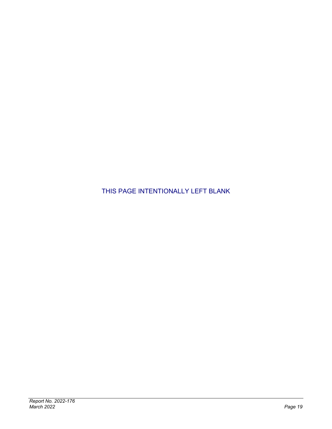THIS PAGE INTENTIONALLY LEFT BLANK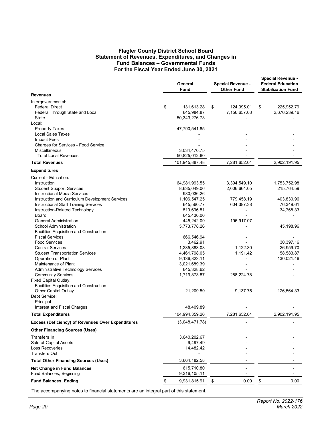#### **Flagler County District School Board Statement of Revenues, Expenditures, and Changes in Fund Balances – Governmental Funds For the Fiscal Year Ended June 30, 2021**

<span id="page-25-0"></span>

|                                                                                                 |    | General<br><b>Fund</b>        | <b>Special Revenue -</b><br><b>Other Fund</b> | <b>Special Revenue -</b><br><b>Federal Education</b><br><b>Stabilization Fund</b> |                        |
|-------------------------------------------------------------------------------------------------|----|-------------------------------|-----------------------------------------------|-----------------------------------------------------------------------------------|------------------------|
| <b>Revenues</b>                                                                                 |    |                               |                                               |                                                                                   |                        |
| Intergovernmental:                                                                              |    |                               |                                               |                                                                                   |                        |
| <b>Federal Direct</b>                                                                           | \$ | 131,613.28                    | \$<br>124,995.01                              | \$                                                                                | 225,952.79             |
| Federal Through State and Local                                                                 |    | 645,984.87                    | 7,156,657.03                                  |                                                                                   | 2,676,239.16           |
| State                                                                                           |    | 50,343,276.73                 |                                               |                                                                                   |                        |
| Local:                                                                                          |    |                               |                                               |                                                                                   |                        |
| <b>Property Taxes</b>                                                                           |    | 47,790,541.85                 |                                               |                                                                                   |                        |
| <b>Local Sales Taxes</b>                                                                        |    |                               |                                               |                                                                                   |                        |
| <b>Impact Fees</b>                                                                              |    |                               |                                               |                                                                                   |                        |
| Charges for Services - Food Service                                                             |    |                               |                                               |                                                                                   |                        |
| Miscellaneous<br><b>Total Local Revenues</b>                                                    |    | 3,034,470.75<br>50,825,012.60 |                                               |                                                                                   |                        |
|                                                                                                 |    |                               |                                               |                                                                                   |                        |
| <b>Total Revenues</b>                                                                           |    | 101,945,887.48                | 7,281,652.04                                  |                                                                                   | 2,902,191.95           |
| <b>Expenditures</b>                                                                             |    |                               |                                               |                                                                                   |                        |
| Current - Education:                                                                            |    |                               |                                               |                                                                                   |                        |
| Instruction                                                                                     |    | 64,981,993.55                 | 3,394,549.10                                  |                                                                                   | 1,753,752.98           |
| <b>Student Support Services</b>                                                                 |    | 8,635,049.06                  | 2,006,664.05                                  |                                                                                   | 215,764.59             |
| <b>Instructional Media Services</b>                                                             |    | 980,036.26                    | 779,458.19                                    |                                                                                   | 403,830.96             |
| Instruction and Curriculum Development Services<br><b>Instructional Staff Training Services</b> |    | 1,106,547.25                  |                                               |                                                                                   |                        |
| Instruction-Related Technology                                                                  |    | 645,560.77                    | 604,387.38                                    |                                                                                   | 76,349.61<br>34,768.33 |
| Board                                                                                           |    | 819,696.51<br>645,430.06      |                                               |                                                                                   |                        |
| <b>General Administration</b>                                                                   |    | 445,242.09                    | 196,917.07                                    |                                                                                   |                        |
| <b>School Administration</b>                                                                    |    | 5,773,778.26                  |                                               |                                                                                   | 45,198.96              |
| <b>Facilities Acquisition and Construction</b>                                                  |    |                               |                                               |                                                                                   |                        |
| <b>Fiscal Services</b>                                                                          |    | 666,546.94                    |                                               |                                                                                   |                        |
| <b>Food Services</b>                                                                            |    | 3,462.91                      |                                               |                                                                                   | 30,397.16              |
| <b>Central Services</b>                                                                         |    | 1,235,883.08                  | 1,122.30                                      |                                                                                   | 26,959.70              |
| <b>Student Transportation Services</b>                                                          |    | 4,461,798.05                  | 1,191.42                                      |                                                                                   | 58,583.87              |
| Operation of Plant                                                                              |    | 9,136,823.11                  |                                               |                                                                                   | 130,021.46             |
| Maintenance of Plant                                                                            |    | 3,021,689.39                  |                                               |                                                                                   |                        |
| <b>Administrative Technology Services</b>                                                       |    | 645,328.62                    |                                               |                                                                                   |                        |
| <b>Community Services</b>                                                                       |    | 1,719,873.87                  | 288,224.78                                    |                                                                                   |                        |
| Fixed Capital Outlay:                                                                           |    |                               |                                               |                                                                                   |                        |
| <b>Facilities Acquisition and Construction</b>                                                  |    |                               |                                               |                                                                                   |                        |
| Other Capital Outlay                                                                            |    | 21,209.59                     | 9,137.75                                      |                                                                                   | 126,564.33             |
| Debt Service:                                                                                   |    |                               |                                               |                                                                                   |                        |
| Principal                                                                                       |    |                               |                                               |                                                                                   |                        |
| Interest and Fiscal Charges                                                                     |    | 48,409.89                     |                                               |                                                                                   |                        |
| <b>Total Expenditures</b>                                                                       |    | 104,994,359.26                | 7,281,652.04                                  |                                                                                   | 2,902,191.95           |
| <b>Excess (Deficiency) of Revenues Over Expenditures</b>                                        |    | (3,048,471.78)                |                                               |                                                                                   |                        |
| <b>Other Financing Sources (Uses)</b>                                                           |    |                               |                                               |                                                                                   |                        |
| Transfers In                                                                                    |    | 3,640,202.67                  |                                               |                                                                                   |                        |
| Sale of Capital Assets                                                                          |    | 9,497.49                      |                                               |                                                                                   |                        |
| Loss Recoveries                                                                                 |    | 14,482.42                     |                                               |                                                                                   |                        |
| <b>Transfers Out</b>                                                                            |    | -                             |                                               |                                                                                   |                        |
| <b>Total Other Financing Sources (Uses)</b>                                                     |    | 3,664,182.58                  | $\overline{\phantom{a}}$                      |                                                                                   |                        |
| <b>Net Change in Fund Balances</b>                                                              |    | 615,710.80                    |                                               |                                                                                   |                        |
| Fund Balances, Beginning                                                                        |    | 9,316,105.11                  | $\overline{a}$                                |                                                                                   |                        |
| <b>Fund Balances, Ending</b>                                                                    | \$ | 9,931,815.91                  | \$<br>0.00                                    | \$                                                                                | 0.00                   |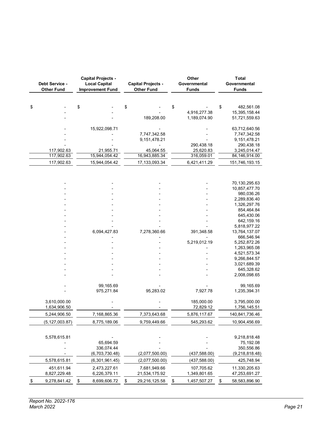| Debt Service -<br><b>Other Fund</b> | <b>Capital Projects -</b><br><b>Local Capital</b><br><b>Improvement Fund</b> | <b>Capital Projects -</b><br><b>Other Fund</b> | Other<br>Governmental<br><b>Funds</b> | <b>Total</b><br>Governmental<br><b>Funds</b> |
|-------------------------------------|------------------------------------------------------------------------------|------------------------------------------------|---------------------------------------|----------------------------------------------|
|                                     |                                                                              |                                                |                                       |                                              |
| \$                                  | \$                                                                           | \$                                             | \$                                    | \$<br>482,561.08                             |
|                                     |                                                                              |                                                | 4,916,277.38                          | 15,395,158.44                                |
|                                     |                                                                              | 189,208.00                                     | 1,189,074.90                          | 51,721,559.63                                |
|                                     | 15,922,098.71                                                                |                                                |                                       | 63,712,640.56                                |
|                                     |                                                                              | 7,747,342.58                                   |                                       | 7,747,342.58                                 |
|                                     |                                                                              | 9,151,478.21                                   |                                       | 9, 151, 478. 21                              |
|                                     |                                                                              |                                                | 290,438.18                            | 290,438.18                                   |
| 117,902.63                          | 21,955.71                                                                    | 45,064.55                                      | 25,620.83                             | 3,245,014.47                                 |
| 117,902.63                          | 15,944,054.42                                                                | 16,943,885.34                                  | 316,059.01                            | 84,146,914.00                                |
| 117,902.63                          | 15,944,054.42                                                                | 17, 133, 093. 34                               | 6,421,411.29                          | 151,746,193.15                               |
|                                     |                                                                              |                                                |                                       |                                              |
|                                     |                                                                              |                                                |                                       | 70,130,295.63                                |
|                                     |                                                                              |                                                |                                       | 10,857,477.70                                |
|                                     |                                                                              |                                                |                                       | 980,036.26                                   |
|                                     |                                                                              |                                                |                                       | 2,289,836.40                                 |
|                                     |                                                                              |                                                |                                       | 1,326,297.76                                 |
|                                     |                                                                              |                                                |                                       | 854,464.84                                   |
|                                     |                                                                              |                                                |                                       | 645,430.06                                   |
|                                     |                                                                              |                                                |                                       | 642,159.16                                   |
|                                     |                                                                              |                                                |                                       | 5,818,977.22                                 |
|                                     | 6,094,427.83                                                                 | 7,278,360.66                                   | 391,348.58                            | 13,764,137.07                                |
|                                     |                                                                              |                                                |                                       | 666,546.94                                   |
|                                     |                                                                              |                                                | 5,219,012.19                          | 5,252,872.26                                 |
|                                     |                                                                              |                                                |                                       | 1,263,965.08                                 |
|                                     |                                                                              |                                                |                                       | 4,521,573.34                                 |
|                                     |                                                                              |                                                |                                       | 9,266,844.57                                 |
|                                     |                                                                              |                                                |                                       | 3,021,689.39                                 |
|                                     |                                                                              |                                                |                                       | 645,328.62                                   |
|                                     |                                                                              |                                                |                                       | 2,008,098.65                                 |
|                                     | 99,165.69                                                                    |                                                |                                       | 99,165.69                                    |
|                                     | 975,271.84                                                                   | 95,283.02                                      | 7,927.78                              | 1,235,394.31                                 |
| 3,610,000.00                        |                                                                              |                                                | 185,000.00                            | 3,795,000.00                                 |
| 1,634,906.50                        |                                                                              |                                                | 72,829.12                             | 1,756,145.51                                 |
| 5,244,906.50                        | 7,168,865.36                                                                 | 7,373,643.68                                   | 5,876,117.67                          | 140,841,736.46                               |
| (5, 127, 003.87)                    | 8,775,189.06                                                                 | 9,759,449.66                                   | 545,293.62                            | 10,904,456.69                                |
| 5,578,615.81                        |                                                                              |                                                |                                       | 9,218,818.48                                 |
|                                     | 65,694.59                                                                    |                                                |                                       | 75,192.08                                    |
|                                     | 336,074.44                                                                   |                                                |                                       | 350,556.86                                   |
|                                     | (6,703,730.48)                                                               | (2,077,500.00)                                 | (437, 588.00)                         | (9,218,818.48)                               |
|                                     |                                                                              |                                                |                                       |                                              |
| 5,578,615.81                        | (6,301,961.45)                                                               | (2,077,500.00)                                 | (437, 588.00)                         | 425,748.94                                   |
| 451,611.94                          | 2,473,227.61                                                                 | 7,681,949.66                                   | 107,705.62                            | 11,330,205.63                                |
| 8,827,229.48                        | 6,226,379.11                                                                 | 21,534,175.92                                  | 1,349,801.65                          | 47,253,691.27                                |
| \$<br>9,278,841.42                  | \$<br>8,699,606.72                                                           | \$<br>29,216,125.58                            | \$<br>1,457,507.27                    | \$<br>58,583,896.90                          |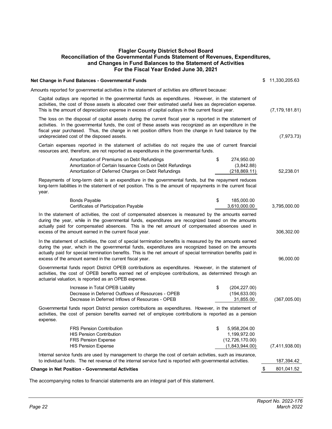#### <span id="page-27-0"></span>**Flagler County District School Board Reconciliation of the Governmental Funds Statement of Revenues, Expenditures, and Changes in Fund Balances to the Statement of Activities For the Fiscal Year Ended June 30, 2021**

| Net Change in Fund Balances - Governmental Funds                                                                                                                                                                                                                                                                                                                                              | 11,330,205.63<br>\$ |
|-----------------------------------------------------------------------------------------------------------------------------------------------------------------------------------------------------------------------------------------------------------------------------------------------------------------------------------------------------------------------------------------------|---------------------|
| Amounts reported for governmental activities in the statement of activities are different because:                                                                                                                                                                                                                                                                                            |                     |
| Capital outlays are reported in the governmental funds as expenditures. However, in the statement of<br>activities, the cost of those assets is allocated over their estimated useful lives as depreciation expense.<br>This is the amount of depreciation expense in excess of capital outlays in the current fiscal year.                                                                   | (7, 179, 181.81)    |
| The loss on the disposal of capital assets during the current fiscal year is reported in the statement of<br>activities. In the governmental funds, the cost of these assets was recognized as an expenditure in the<br>fiscal year purchased. Thus, the change in net position differs from the change in fund balance by the                                                                |                     |
| undepreciated cost of the disposed assets.<br>Certain expenses reported in the statement of activities do not require the use of current financial<br>resources and, therefore, are not reported as expenditures in the governmental funds.                                                                                                                                                   | (7, 973.73)         |
| \$<br>Amortization of Premiums on Debt Refundings<br>274,950.00<br>(3,842.88)<br>Amortization of Certain Issuance Costs on Debt Refundings<br>Amortization of Deferred Charges on Debt Refundings<br>(218, 869.11)                                                                                                                                                                            | 52,238.01           |
| Repayments of long-term debt is an expenditure in the governmental funds, but the repayment reduces<br>long-term liabilities in the statement of net position. This is the amount of repayments in the current fiscal<br>year.                                                                                                                                                                |                     |
| <b>Bonds Payable</b><br>\$<br>185,000.00<br>Certificates of Participation Payable<br>3,610,000.00                                                                                                                                                                                                                                                                                             | 3,795,000.00        |
| In the statement of activities, the cost of compensated absences is measured by the amounts earned<br>during the year, while in the governmental funds, expenditures are recognized based on the amounts<br>actually paid for compensated absences. This is the net amount of compensated absences used in<br>excess of the amount earned in the current fiscal year.                         | 306,302.00          |
| In the statement of activities, the cost of special termination benefits is measured by the amounts earned<br>during the year, which in the governmental funds, expenditures are recognized based on the amounts<br>actually paid for special termination benefits. This is the net amount of special termination benefits paid in<br>excess of the amount earned in the current fiscal year. | 96,000.00           |
| Governmental funds report District OPEB contributions as expenditures. However, in the statement of<br>activities, the cost of OPEB benefits earned net of employee contributions, as determined through an<br>actuarial valuation, is reported as an OPEB expense.                                                                                                                           |                     |
| (204, 227.00)<br>Increase in Total OPEB Liability<br>\$<br>Decrease in Deferred Outflows of Resources - OPEB<br>(194, 633.00)<br>Decrease in Deferred Inflows of Resources - OPEB<br>31,855.00                                                                                                                                                                                                | (367,005.00)        |
| Governmental funds report District pension contributions as expenditures. However, in the statement of<br>activities, the cost of pension benefits earned net of employee contributions is reported as a pension<br>expense.                                                                                                                                                                  |                     |
| <b>FRS Pension Contribution</b><br>\$<br>5,958,204.00<br>1,199,972.00<br><b>HIS Pension Contribution</b><br><b>FRS Pension Expense</b><br>(12, 726, 170.00)<br><b>HIS Pension Expense</b><br>(1,843,944.00)                                                                                                                                                                                   | (7,411,938.00)      |
| Internal service funds are used by management to charge the cost of certain activities, such as insurance,<br>to individual funds. The net revenue of the internal service fund is reported with governmental activities.                                                                                                                                                                     | 187,394.42          |
| <b>Change in Net Position - Governmental Activities</b>                                                                                                                                                                                                                                                                                                                                       | 801,041.52<br>\$    |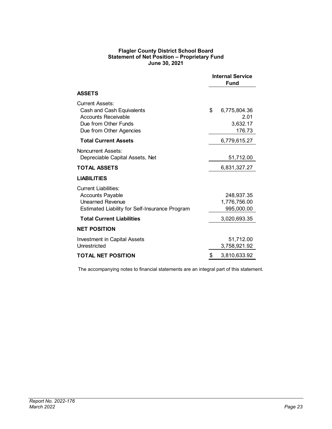#### **Flagler County District School Board Statement of Net Position – Proprietary Fund June 30, 2021**

<span id="page-28-0"></span>

|                                                                                                                                      | <b>Internal Service</b><br><b>Fund</b> |                                            |  |
|--------------------------------------------------------------------------------------------------------------------------------------|----------------------------------------|--------------------------------------------|--|
| <b>ASSETS</b>                                                                                                                        |                                        |                                            |  |
| <b>Current Assets:</b><br>Cash and Cash Equivalents<br><b>Accounts Receivable</b><br>Due from Other Funds<br>Due from Other Agencies | \$                                     | 6,775,804.36<br>2.01<br>3,632.17<br>176.73 |  |
| <b>Total Current Assets</b>                                                                                                          |                                        | 6,779,615.27                               |  |
| Noncurrent Assets:<br>Depreciable Capital Assets, Net                                                                                |                                        | 51,712.00                                  |  |
| <b>TOTAL ASSETS</b>                                                                                                                  |                                        | 6,831,327.27                               |  |
| <b>LIABILITIES</b>                                                                                                                   |                                        |                                            |  |
| <b>Current Liabilities:</b><br><b>Accounts Payable</b><br>Unearned Revenue<br>Estimated Liability for Self-Insurance Program         |                                        | 248,937.35<br>1,776,756.00<br>995,000.00   |  |
| <b>Total Current Liabilities</b>                                                                                                     |                                        | 3,020,693.35                               |  |
| <b>NET POSITION</b>                                                                                                                  |                                        |                                            |  |
| <b>Investment in Capital Assets</b><br>Unrestricted                                                                                  |                                        | 51,712.00<br>3,758,921.92                  |  |
| <b>TOTAL NET POSITION</b>                                                                                                            | \$                                     | 3,810,633.92                               |  |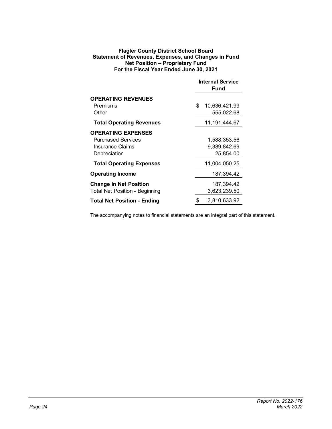#### <span id="page-29-0"></span>**Flagler County District School Board Statement of Revenues, Expenses, and Changes in Fund Net Position – Proprietary Fund For the Fiscal Year Ended June 30, 2021**

|                                                                                            | <b>Internal Service</b><br>Fund           |
|--------------------------------------------------------------------------------------------|-------------------------------------------|
| <b>OPERATING REVENUES</b><br>Premiums<br>Other                                             | \$<br>10,636,421.99<br>555,022.68         |
| <b>Total Operating Revenues</b>                                                            | 11, 191, 444.67                           |
| <b>OPERATING EXPENSES</b><br><b>Purchased Services</b><br>Insurance Claims<br>Depreciation | 1,588,353.56<br>9,389,842.69<br>25,854.00 |
| <b>Total Operating Expenses</b>                                                            | 11,004,050.25                             |
| <b>Operating Income</b>                                                                    | 187,394.42                                |
| <b>Change in Net Position</b><br><b>Total Net Position - Beginning</b>                     | 187,394.42<br>3,623,239.50                |
| <b>Total Net Position - Ending</b>                                                         | \$<br>3,810,633.92                        |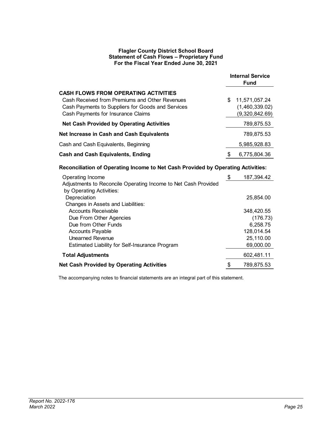#### **Flagler County District School Board Statement of Cash Flows – Proprietary Fund For the Fiscal Year Ended June 30, 2021**

<span id="page-30-0"></span>

|                                                                                                                                                                                          |        | <b>Internal Service</b><br><b>Fund</b>            |
|------------------------------------------------------------------------------------------------------------------------------------------------------------------------------------------|--------|---------------------------------------------------|
| <b>CASH FLOWS FROM OPERATING ACTIVITIES</b><br>Cash Received from Premiums and Other Revenues<br>Cash Payments to Suppliers for Goods and Services<br>Cash Payments for Insurance Claims |        | 11,571,057.24<br>(1,460,339.02)<br>(9,320,842.69) |
| <b>Net Cash Provided by Operating Activities</b>                                                                                                                                         |        | 789,875.53                                        |
| Net Increase in Cash and Cash Equivalents                                                                                                                                                |        | 789,875.53                                        |
| Cash and Cash Equivalents, Beginning                                                                                                                                                     |        | 5,985,928.83                                      |
| <b>Cash and Cash Equivalents, Ending</b>                                                                                                                                                 |        | 6,775,804.36                                      |
| Reconciliation of Operating Income to Net Cash Provided by Operating Activities:<br>As continued because                                                                                 | $\sim$ | 107.001.10                                        |

| Operating Income                                               | \$<br>187,394.42 |
|----------------------------------------------------------------|------------------|
| Adjustments to Reconcile Operating Income to Net Cash Provided |                  |
| by Operating Activities:                                       |                  |
| Depreciation                                                   | 25,854.00        |
| Changes in Assets and Liabilities:                             |                  |
| Accounts Receivable                                            | 348,420.55       |
| Due From Other Agencies                                        | (176.73)         |
| Due from Other Funds                                           | 6,258.75         |
| <b>Accounts Payable</b>                                        | 128,014.54       |
| Unearned Revenue                                               | 25,110.00        |
| Estimated Liability for Self-Insurance Program                 | 69,000.00        |
| <b>Total Adjustments</b>                                       | 602,481.11       |
| Net Cash Provided by Operating Activities                      | \$<br>789.875.53 |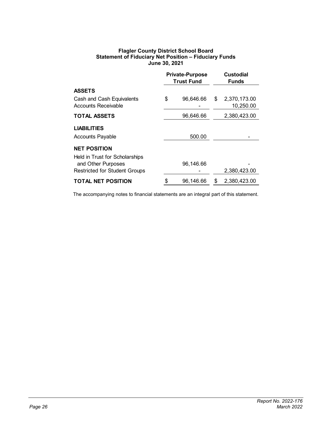#### **Flagler County District School Board Statement of Fiduciary Net Position – Fiduciary Funds June 30, 2021**

<span id="page-31-0"></span>

|                                                            | <b>Private-Purpose</b><br><b>Trust Fund</b> |           | <b>Custodial</b><br><b>Funds</b> |                           |
|------------------------------------------------------------|---------------------------------------------|-----------|----------------------------------|---------------------------|
| <b>ASSETS</b>                                              |                                             |           |                                  |                           |
| Cash and Cash Equivalents<br>Accounts Receivable           | \$                                          | 96,646.66 | \$                               | 2,370,173.00<br>10,250.00 |
| <b>TOTAL ASSETS</b>                                        |                                             | 96,646.66 |                                  | 2,380,423.00              |
| <b>LIABILITIES</b>                                         |                                             |           |                                  |                           |
| <b>Accounts Payable</b>                                    |                                             | 500.00    |                                  |                           |
| <b>NET POSITION</b><br>Held in Trust for Scholarships      |                                             |           |                                  |                           |
| and Other Purposes<br><b>Restricted for Student Groups</b> |                                             | 96,146.66 |                                  | 2,380,423.00              |
| <b>TOTAL NET POSITION</b>                                  |                                             | 96,146.66 | S                                | 2,380,423.00              |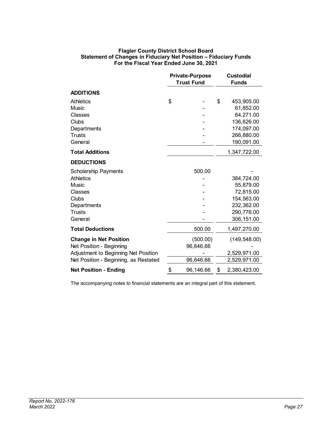#### <span id="page-32-0"></span>**Flagler County District School Board Statement of Changes in Fiduciary Net Position – Fiduciary Funds For the Fiscal Year Ended June 30, 2021**

|                                       | <b>Private-Purpose</b><br><b>Trust Fund</b> |           | <b>Custodial</b><br><b>Funds</b> |               |
|---------------------------------------|---------------------------------------------|-----------|----------------------------------|---------------|
| <b>ADDITIONS</b>                      |                                             |           |                                  |               |
| <b>Athletics</b>                      | \$                                          |           | \$                               | 453,905.00    |
| Music                                 |                                             |           |                                  | 61,852.00     |
| Classes                               |                                             |           |                                  | 64,271.00     |
| Clubs                                 |                                             |           |                                  | 136,626.00    |
| Departments                           |                                             |           |                                  | 174,097.00    |
| Trusts                                |                                             |           |                                  | 266,880.00    |
| General                               |                                             |           |                                  | 190,091.00    |
| <b>Total Additions</b>                |                                             |           |                                  | 1,347,722.00  |
| <b>DEDUCTIONS</b>                     |                                             |           |                                  |               |
| <b>Scholarship Payments</b>           |                                             | 500.00    |                                  |               |
| <b>Athletics</b>                      |                                             |           |                                  | 384,724.00    |
| Music                                 |                                             |           |                                  | 55,879.00     |
| <b>Classes</b>                        |                                             |           |                                  | 72,815.00     |
| Clubs                                 |                                             |           |                                  | 154,563.00    |
| Departments                           |                                             |           |                                  | 232,362.00    |
| <b>Trusts</b>                         |                                             |           |                                  | 290,776.00    |
| General                               |                                             |           |                                  | 306, 151.00   |
| <b>Total Deductions</b>               |                                             | 500.00    |                                  | 1,497,270.00  |
| <b>Change in Net Position</b>         |                                             | (500.00)  |                                  | (149, 548.00) |
| Net Position - Beginning              |                                             | 96,646.66 |                                  |               |
| Adjustment to Beginning Net Position  |                                             |           |                                  | 2,529,971.00  |
| Net Position - Beginning, as Restated |                                             | 96,646.66 |                                  | 2,529,971.00  |
| <b>Net Position - Ending</b>          | \$                                          | 96,146.66 | \$                               | 2,380,423.00  |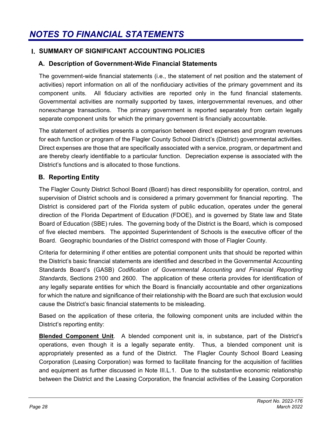# <span id="page-33-0"></span> **SUMMARY OF SIGNIFICANT ACCOUNTING POLICIES**

#### **A. Description of Government-Wide Financial Statements**

The government-wide financial statements (i.e., the statement of net position and the statement of activities) report information on all of the nonfiduciary activities of the primary government and its component units. All fiduciary activities are reported only in the fund financial statements. Governmental activities are normally supported by taxes, intergovernmental revenues, and other nonexchange transactions. The primary government is reported separately from certain legally separate component units for which the primary government is financially accountable.

The statement of activities presents a comparison between direct expenses and program revenues for each function or program of the Flagler County School District's (District) governmental activities. Direct expenses are those that are specifically associated with a service, program, or department and are thereby clearly identifiable to a particular function. Depreciation expense is associated with the District's functions and is allocated to those functions.

#### **B. Reporting Entity**

The Flagler County District School Board (Board) has direct responsibility for operation, control, and supervision of District schools and is considered a primary government for financial reporting. The District is considered part of the Florida system of public education, operates under the general direction of the Florida Department of Education (FDOE), and is governed by State law and State Board of Education (SBE) rules. The governing body of the District is the Board, which is composed of five elected members. The appointed Superintendent of Schools is the executive officer of the Board. Geographic boundaries of the District correspond with those of Flagler County.

Criteria for determining if other entities are potential component units that should be reported within the District's basic financial statements are identified and described in the Governmental Accounting Standards Board's (GASB) *Codification of Governmental Accounting and Financial Reporting Standards*, Sections 2100 and 2600. The application of these criteria provides for identification of any legally separate entities for which the Board is financially accountable and other organizations for which the nature and significance of their relationship with the Board are such that exclusion would cause the District's basic financial statements to be misleading.

Based on the application of these criteria, the following component units are included within the District's reporting entity:

**Blended Component Unit**. A blended component unit is, in substance, part of the District's operations, even though it is a legally separate entity. Thus, a blended component unit is appropriately presented as a fund of the District. The Flagler County School Board Leasing Corporation (Leasing Corporation) was formed to facilitate financing for the acquisition of facilities and equipment as further discussed in Note III.L.1. Due to the substantive economic relationship between the District and the Leasing Corporation, the financial activities of the Leasing Corporation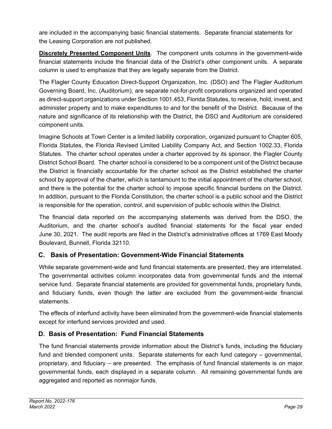are included in the accompanying basic financial statements. Separate financial statements for the Leasing Corporation are not published.

**Discretely Presented Component Units**. The component units columns in the government-wide financial statements include the financial data of the District's other component units. A separate column is used to emphasize that they are legally separate from the District.

The Flagler County Education Direct-Support Organization, Inc. (DSO) and The Flagler Auditorium Governing Board, Inc. (Auditorium), are separate not-for-profit corporations organized and operated as direct-support organizations under Section 1001.453, Florida Statutes, to receive, hold, invest, and administer property and to make expenditures to and for the benefit of the District. Because of the nature and significance of its relationship with the District, the DSO and Auditorium are considered component units.

Imagine Schools at Town Center is a limited liability corporation, organized pursuant to Chapter 605, Florida Statutes, the Florida Revised Limited Liability Company Act, and Section 1002.33, Florida Statutes. The charter school operates under a charter approved by its sponsor, the Flagler County District School Board. The charter school is considered to be a component unit of the District because the District is financially accountable for the charter school as the District established the charter school by approval of the charter, which is tantamount to the initial appointment of the charter school, and there is the potential for the charter school to impose specific financial burdens on the District. In addition, pursuant to the Florida Constitution, the charter school is a public school and the District is responsible for the operation, control, and supervision of public schools within the District.

The financial data reported on the accompanying statements was derived from the DSO, the Auditorium, and the charter school's audited financial statements for the fiscal year ended June 30, 2021. The audit reports are filed in the District's administrative offices at 1769 East Moody Boulevard, Bunnell, Florida 32110.

# **C. Basis of Presentation: Government-Wide Financial Statements**

While separate government-wide and fund financial statements are presented, they are interrelated. The governmental activities column incorporates data from governmental funds and the internal service fund. Separate financial statements are provided for governmental funds, proprietary funds, and fiduciary funds, even though the latter are excluded from the government-wide financial statements.

The effects of interfund activity have been eliminated from the government-wide financial statements except for interfund services provided and used.

# **D. Basis of Presentation: Fund Financial Statements**

The fund financial statements provide information about the District's funds, including the fiduciary fund and blended component units. Separate statements for each fund category – governmental, proprietary, and fiduciary – are presented. The emphasis of fund financial statements is on major governmental funds, each displayed in a separate column. All remaining governmental funds are aggregated and reported as nonmajor funds.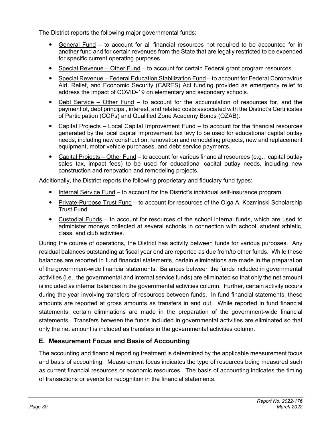The District reports the following major governmental funds:

- General Fund to account for all financial resources not required to be accounted for in another fund and for certain revenues from the State that are legally restricted to be expended for specific current operating purposes.
- Special Revenue Other Fund to account for certain Federal grant program resources.
- Special Revenue Federal Education Stabilization Fund to account for Federal Coronavirus Aid, Relief, and Economic Security (CARES) Act funding provided as emergency relief to address the impact of COVID-19 on elementary and secondary schools.
- Debt Service Other Fund to account for the accumulation of resources for, and the payment of, debt principal, interest, and related costs associated with the District's Certificates of Participation (COPs) and Qualified Zone Academy Bonds (QZAB).
- Capital Projects Local Capital Improvement Fund to account for the financial resources generated by the local capital improvement tax levy to be used for educational capital outlay needs, including new construction, renovation and remodeling projects, new and replacement equipment, motor vehicle purchases, and debt service payments.
- Capital Projects Other Fund to account for various financial resources (e.g., capital outlay sales tax, impact fees) to be used for educational capital outlay needs, including new construction and renovation and remodeling projects.

Additionally, the District reports the following proprietary and fiduciary fund types:

- Internal Service Fund to account for the District's individual self-insurance program.
- Private-Purpose Trust Fund to account for resources of the Olga A. Kozminski Scholarship Trust Fund.
- Custodial Funds to account for resources of the school internal funds, which are used to administer moneys collected at several schools in connection with school, student athletic, class, and club activities.

During the course of operations, the District has activity between funds for various purposes. Any residual balances outstanding at fiscal year end are reported as due from/to other funds. While these balances are reported in fund financial statements, certain eliminations are made in the preparation of the government-wide financial statements. Balances between the funds included in governmental activities (i.e., the governmental and internal service funds) are eliminated so that only the net amount is included as internal balances in the governmental activities column. Further, certain activity occurs during the year involving transfers of resources between funds. In fund financial statements, these amounts are reported at gross amounts as transfers in and out. While reported in fund financial statements, certain eliminations are made in the preparation of the government-wide financial statements. Transfers between the funds included in governmental activities are eliminated so that only the net amount is included as transfers in the governmental activities column.

# **E. Measurement Focus and Basis of Accounting**

The accounting and financial reporting treatment is determined by the applicable measurement focus and basis of accounting. Measurement focus indicates the type of resources being measured such as current financial resources or economic resources. The basis of accounting indicates the timing of transactions or events for recognition in the financial statements.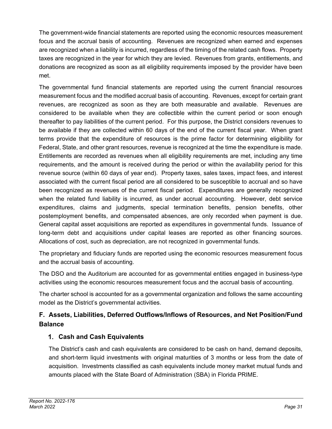The government-wide financial statements are reported using the economic resources measurement focus and the accrual basis of accounting. Revenues are recognized when earned and expenses are recognized when a liability is incurred, regardless of the timing of the related cash flows. Property taxes are recognized in the year for which they are levied. Revenues from grants, entitlements, and donations are recognized as soon as all eligibility requirements imposed by the provider have been met.

The governmental fund financial statements are reported using the current financial resources measurement focus and the modified accrual basis of accounting. Revenues, except for certain grant revenues, are recognized as soon as they are both measurable and available. Revenues are considered to be available when they are collectible within the current period or soon enough thereafter to pay liabilities of the current period. For this purpose, the District considers revenues to be available if they are collected within 60 days of the end of the current fiscal year. When grant terms provide that the expenditure of resources is the prime factor for determining eligibility for Federal, State, and other grant resources, revenue is recognized at the time the expenditure is made. Entitlements are recorded as revenues when all eligibility requirements are met, including any time requirements, and the amount is received during the period or within the availability period for this revenue source (within 60 days of year end). Property taxes, sales taxes, impact fees, and interest associated with the current fiscal period are all considered to be susceptible to accrual and so have been recognized as revenues of the current fiscal period. Expenditures are generally recognized when the related fund liability is incurred, as under accrual accounting. However, debt service expenditures, claims and judgments, special termination benefits, pension benefits, other postemployment benefits, and compensated absences, are only recorded when payment is due. General capital asset acquisitions are reported as expenditures in governmental funds. Issuance of long-term debt and acquisitions under capital leases are reported as other financing sources. Allocations of cost, such as depreciation, are not recognized in governmental funds.

The proprietary and fiduciary funds are reported using the economic resources measurement focus and the accrual basis of accounting.

The DSO and the Auditorium are accounted for as governmental entities engaged in business-type activities using the economic resources measurement focus and the accrual basis of accounting.

The charter school is accounted for as a governmental organization and follows the same accounting model as the District's governmental activities.

# **F. Assets, Liabilities, Deferred Outflows/Inflows of Resources, and Net Position/Fund Balance**

# **Cash and Cash Equivalents**

The District's cash and cash equivalents are considered to be cash on hand, demand deposits, and short-term liquid investments with original maturities of 3 months or less from the date of acquisition. Investments classified as cash equivalents include money market mutual funds and amounts placed with the State Board of Administration (SBA) in Florida PRIME.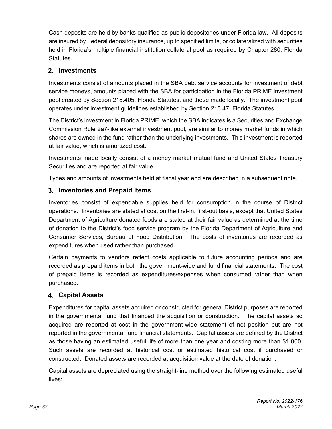Cash deposits are held by banks qualified as public depositories under Florida law. All deposits are insured by Federal depository insurance, up to specified limits, or collateralized with securities held in Florida's multiple financial institution collateral pool as required by Chapter 280, Florida Statutes.

# **Investments**

Investments consist of amounts placed in the SBA debt service accounts for investment of debt service moneys, amounts placed with the SBA for participation in the Florida PRIME investment pool created by Section 218.405, Florida Statutes, and those made locally. The investment pool operates under investment guidelines established by Section 215.47, Florida Statutes.

The District's investment in Florida PRIME, which the SBA indicates is a Securities and Exchange Commission Rule 2a7-like external investment pool, are similar to money market funds in which shares are owned in the fund rather than the underlying investments. This investment is reported at fair value, which is amortized cost.

Investments made locally consist of a money market mutual fund and United States Treasury Securities and are reported at fair value.

Types and amounts of investments held at fiscal year end are described in a subsequent note.

# **Inventories and Prepaid Items**

Inventories consist of expendable supplies held for consumption in the course of District operations. Inventories are stated at cost on the first-in, first-out basis, except that United States Department of Agriculture donated foods are stated at their fair value as determined at the time of donation to the District's food service program by the Florida Department of Agriculture and Consumer Services, Bureau of Food Distribution. The costs of inventories are recorded as expenditures when used rather than purchased.

Certain payments to vendors reflect costs applicable to future accounting periods and are recorded as prepaid items in both the government-wide and fund financial statements. The cost of prepaid items is recorded as expenditures/expenses when consumed rather than when purchased.

# **Capital Assets**

Expenditures for capital assets acquired or constructed for general District purposes are reported in the governmental fund that financed the acquisition or construction. The capital assets so acquired are reported at cost in the government-wide statement of net position but are not reported in the governmental fund financial statements. Capital assets are defined by the District as those having an estimated useful life of more than one year and costing more than \$1,000. Such assets are recorded at historical cost or estimated historical cost if purchased or constructed. Donated assets are recorded at acquisition value at the date of donation.

Capital assets are depreciated using the straight-line method over the following estimated useful lives: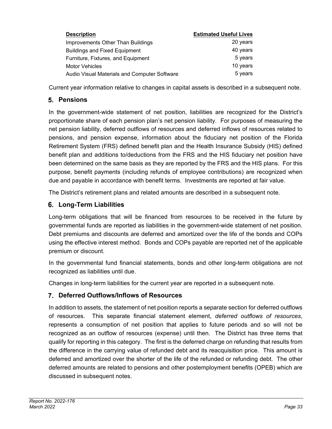| <b>Description</b>                           | <b>Estimated Useful Lives</b> |
|----------------------------------------------|-------------------------------|
| Improvements Other Than Buildings            | 20 years                      |
| <b>Buildings and Fixed Equipment</b>         | 40 years                      |
| Furniture, Fixtures, and Equipment           | 5 years                       |
| <b>Motor Vehicles</b>                        | 10 years                      |
| Audio Visual Materials and Computer Software | 5 years                       |

Current year information relative to changes in capital assets is described in a subsequent note.

# **Pensions**

In the government-wide statement of net position, liabilities are recognized for the District's proportionate share of each pension plan's net pension liability. For purposes of measuring the net pension liability, deferred outflows of resources and deferred inflows of resources related to pensions, and pension expense, information about the fiduciary net position of the Florida Retirement System (FRS) defined benefit plan and the Health Insurance Subsidy (HIS) defined benefit plan and additions to/deductions from the FRS and the HIS fiduciary net position have been determined on the same basis as they are reported by the FRS and the HIS plans. For this purpose, benefit payments (including refunds of employee contributions) are recognized when due and payable in accordance with benefit terms. Investments are reported at fair value.

The District's retirement plans and related amounts are described in a subsequent note.

# **Long-Term Liabilities**

Long-term obligations that will be financed from resources to be received in the future by governmental funds are reported as liabilities in the government-wide statement of net position. Debt premiums and discounts are deferred and amortized over the life of the bonds and COPs using the effective interest method. Bonds and COPs payable are reported net of the applicable premium or discount.

In the governmental fund financial statements, bonds and other long-term obligations are not recognized as liabilities until due.

Changes in long-term liabilities for the current year are reported in a subsequent note.

# **Deferred Outflows/Inflows of Resources**

In addition to assets, the statement of net position reports a separate section for deferred outflows of resources. This separate financial statement element, *deferred outflows of resources*, represents a consumption of net position that applies to future periods and so will not be recognized as an outflow of resources (expense) until then. The District has three items that qualify for reporting in this category. The first is the deferred charge on refunding that results from the difference in the carrying value of refunded debt and its reacquisition price. This amount is deferred and amortized over the shorter of the life of the refunded or refunding debt. The other deferred amounts are related to pensions and other postemployment benefits (OPEB) which are discussed in subsequent notes.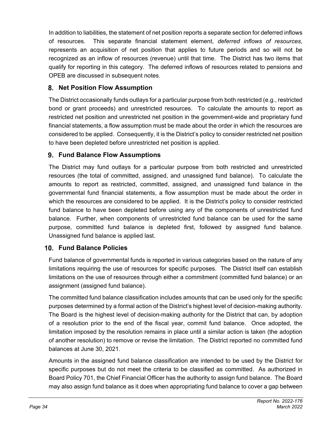In addition to liabilities, the statement of net position reports a separate section for deferred inflows of resources. This separate financial statement element, *deferred inflows of resources*, represents an acquisition of net position that applies to future periods and so will not be recognized as an inflow of resources (revenue) until that time. The District has two items that qualify for reporting in this category. The deferred inflows of resources related to pensions and OPEB are discussed in subsequent notes.

# **Net Position Flow Assumption**

The District occasionally funds outlays for a particular purpose from both restricted (e.g., restricted bond or grant proceeds) and unrestricted resources. To calculate the amounts to report as restricted net position and unrestricted net position in the government-wide and proprietary fund financial statements, a flow assumption must be made about the order in which the resources are considered to be applied. Consequently, it is the District's policy to consider restricted net position to have been depleted before unrestricted net position is applied.

### **Fund Balance Flow Assumptions**

The District may fund outlays for a particular purpose from both restricted and unrestricted resources (the total of committed, assigned, and unassigned fund balance). To calculate the amounts to report as restricted, committed, assigned, and unassigned fund balance in the governmental fund financial statements, a flow assumption must be made about the order in which the resources are considered to be applied. It is the District's policy to consider restricted fund balance to have been depleted before using any of the components of unrestricted fund balance. Further, when components of unrestricted fund balance can be used for the same purpose, committed fund balance is depleted first, followed by assigned fund balance. Unassigned fund balance is applied last.

### **Fund Balance Policies**

Fund balance of governmental funds is reported in various categories based on the nature of any limitations requiring the use of resources for specific purposes. The District itself can establish limitations on the use of resources through either a commitment (committed fund balance) or an assignment (assigned fund balance).

The committed fund balance classification includes amounts that can be used only for the specific purposes determined by a formal action of the District's highest level of decision-making authority. The Board is the highest level of decision-making authority for the District that can, by adoption of a resolution prior to the end of the fiscal year, commit fund balance. Once adopted, the limitation imposed by the resolution remains in place until a similar action is taken (the adoption of another resolution) to remove or revise the limitation. The District reported no committed fund balances at June 30, 2021.

Amounts in the assigned fund balance classification are intended to be used by the District for specific purposes but do not meet the criteria to be classified as committed. As authorized in Board Policy 701, the Chief Financial Officer has the authority to assign fund balance. The Board may also assign fund balance as it does when appropriating fund balance to cover a gap between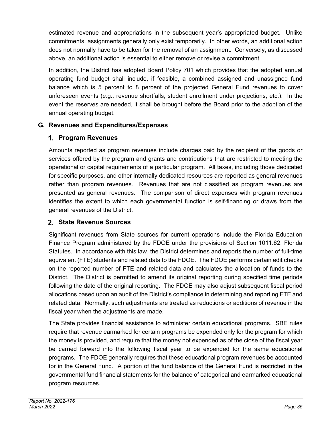estimated revenue and appropriations in the subsequent year's appropriated budget. Unlike commitments, assignments generally only exist temporarily. In other words, an additional action does not normally have to be taken for the removal of an assignment. Conversely, as discussed above, an additional action is essential to either remove or revise a commitment.

In addition, the District has adopted Board Policy 701 which provides that the adopted annual operating fund budget shall include, if feasible, a combined assigned and unassigned fund balance which is 5 percent to 8 percent of the projected General Fund revenues to cover unforeseen events (e.g., revenue shortfalls, student enrollment under projections, etc.). In the event the reserves are needed, it shall be brought before the Board prior to the adoption of the annual operating budget.

# **G. Revenues and Expenditures/Expenses**

# **Program Revenues**

Amounts reported as program revenues include charges paid by the recipient of the goods or services offered by the program and grants and contributions that are restricted to meeting the operational or capital requirements of a particular program. All taxes, including those dedicated for specific purposes, and other internally dedicated resources are reported as general revenues rather than program revenues. Revenues that are not classified as program revenues are presented as general revenues. The comparison of direct expenses with program revenues identifies the extent to which each governmental function is self-financing or draws from the general revenues of the District.

# **State Revenue Sources**

Significant revenues from State sources for current operations include the Florida Education Finance Program administered by the FDOE under the provisions of Section 1011.62, Florida Statutes. In accordance with this law, the District determines and reports the number of full-time equivalent (FTE) students and related data to the FDOE. The FDOE performs certain edit checks on the reported number of FTE and related data and calculates the allocation of funds to the District. The District is permitted to amend its original reporting during specified time periods following the date of the original reporting. The FDOE may also adjust subsequent fiscal period allocations based upon an audit of the District's compliance in determining and reporting FTE and related data. Normally, such adjustments are treated as reductions or additions of revenue in the fiscal year when the adjustments are made.

The State provides financial assistance to administer certain educational programs. SBE rules require that revenue earmarked for certain programs be expended only for the program for which the money is provided, and require that the money not expended as of the close of the fiscal year be carried forward into the following fiscal year to be expended for the same educational programs. The FDOE generally requires that these educational program revenues be accounted for in the General Fund. A portion of the fund balance of the General Fund is restricted in the governmental fund financial statements for the balance of categorical and earmarked educational program resources.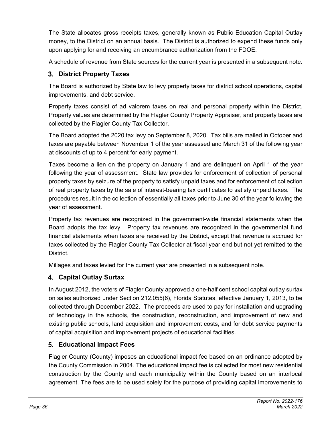The State allocates gross receipts taxes, generally known as Public Education Capital Outlay money, to the District on an annual basis. The District is authorized to expend these funds only upon applying for and receiving an encumbrance authorization from the FDOE.

A schedule of revenue from State sources for the current year is presented in a subsequent note.

# **District Property Taxes**

The Board is authorized by State law to levy property taxes for district school operations, capital improvements, and debt service.

Property taxes consist of ad valorem taxes on real and personal property within the District. Property values are determined by the Flagler County Property Appraiser, and property taxes are collected by the Flagler County Tax Collector.

The Board adopted the 2020 tax levy on September 8, 2020. Tax bills are mailed in October and taxes are payable between November 1 of the year assessed and March 31 of the following year at discounts of up to 4 percent for early payment.

Taxes become a lien on the property on January 1 and are delinquent on April 1 of the year following the year of assessment. State law provides for enforcement of collection of personal property taxes by seizure of the property to satisfy unpaid taxes and for enforcement of collection of real property taxes by the sale of interest-bearing tax certificates to satisfy unpaid taxes. The procedures result in the collection of essentially all taxes prior to June 30 of the year following the year of assessment.

Property tax revenues are recognized in the government-wide financial statements when the Board adopts the tax levy. Property tax revenues are recognized in the governmental fund financial statements when taxes are received by the District, except that revenue is accrued for taxes collected by the Flagler County Tax Collector at fiscal year end but not yet remitted to the District.

Millages and taxes levied for the current year are presented in a subsequent note.

# **Capital Outlay Surtax**

In August 2012, the voters of Flagler County approved a one-half cent school capital outlay surtax on sales authorized under Section 212.055(6), Florida Statutes, effective January 1, 2013, to be collected through December 2022. The proceeds are used to pay for installation and upgrading of technology in the schools, the construction, reconstruction, and improvement of new and existing public schools, land acquisition and improvement costs, and for debt service payments of capital acquisition and improvement projects of educational facilities.

# **Educational Impact Fees**

Flagler County (County) imposes an educational impact fee based on an ordinance adopted by the County Commission in 2004. The educational impact fee is collected for most new residential construction by the County and each municipality within the County based on an interlocal agreement. The fees are to be used solely for the purpose of providing capital improvements to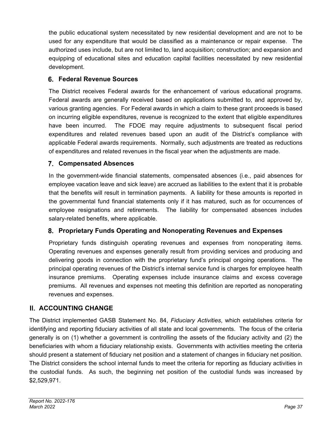the public educational system necessitated by new residential development and are not to be used for any expenditure that would be classified as a maintenance or repair expense. The authorized uses include, but are not limited to, land acquisition; construction; and expansion and equipping of educational sites and education capital facilities necessitated by new residential development.

# **Federal Revenue Sources**

The District receives Federal awards for the enhancement of various educational programs. Federal awards are generally received based on applications submitted to, and approved by, various granting agencies. For Federal awards in which a claim to these grant proceeds is based on incurring eligible expenditures, revenue is recognized to the extent that eligible expenditures have been incurred. The FDOE may require adjustments to subsequent fiscal period expenditures and related revenues based upon an audit of the District's compliance with applicable Federal awards requirements. Normally, such adjustments are treated as reductions of expenditures and related revenues in the fiscal year when the adjustments are made.

# **Compensated Absences**

In the government-wide financial statements, compensated absences (i.e., paid absences for employee vacation leave and sick leave) are accrued as liabilities to the extent that it is probable that the benefits will result in termination payments. A liability for these amounts is reported in the governmental fund financial statements only if it has matured, such as for occurrences of employee resignations and retirements. The liability for compensated absences includes salary-related benefits, where applicable.

# **Proprietary Funds Operating and Nonoperating Revenues and Expenses**

Proprietary funds distinguish operating revenues and expenses from nonoperating items. Operating revenues and expenses generally result from providing services and producing and delivering goods in connection with the proprietary fund's principal ongoing operations. The principal operating revenues of the District's internal service fund is charges for employee health insurance premiums. Operating expenses include insurance claims and excess coverage premiums. All revenues and expenses not meeting this definition are reported as nonoperating revenues and expenses.

# **II. ACCOUNTING CHANGE**

The District implemented GASB Statement No. 84, *Fiduciary Activities*, which establishes criteria for identifying and reporting fiduciary activities of all state and local governments. The focus of the criteria generally is on (1) whether a government is controlling the assets of the fiduciary activity and (2) the beneficiaries with whom a fiduciary relationship exists. Governments with activities meeting the criteria should present a statement of fiduciary net position and a statement of changes in fiduciary net position. The District considers the school internal funds to meet the criteria for reporting as fiduciary activities in the custodial funds. As such, the beginning net position of the custodial funds was increased by \$2,529,971.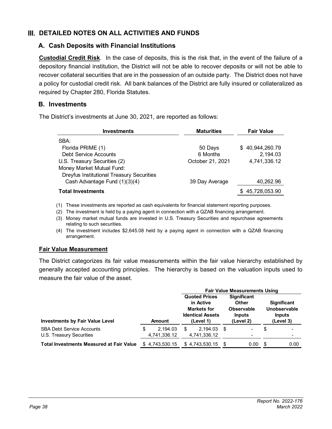### **DETAILED NOTES ON ALL ACTIVITIES AND FUNDS**

#### **A. Cash Deposits with Financial Institutions**

**Custodial Credit Risk**. In the case of deposits, this is the risk that, in the event of the failure of a depository financial institution, the District will not be able to recover deposits or will not be able to recover collateral securities that are in the possession of an outside party. The District does not have a policy for custodial credit risk. All bank balances of the District are fully insured or collateralized as required by Chapter 280, Florida Statutes.

#### **B. Investments**

The District's investments at June 30, 2021, are reported as follows:

| <b>Investments</b>                               | <b>Maturities</b> | <b>Fair Value</b> |
|--------------------------------------------------|-------------------|-------------------|
| SBA:                                             |                   |                   |
| Florida PRIME (1)                                | 50 Days           | \$40,944,260.79   |
| Debt Service Accounts                            | 6 Months          | 2,194.03          |
| U.S. Treasury Securities (2)                     | October 21, 2021  | 4,741,336.12      |
| Money Market Mutual Fund:                        |                   |                   |
| <b>Dreyfus Institutional Treasury Securities</b> |                   |                   |
| Cash Advantage Fund (1)(3)(4)                    | 39 Day Average    | 40,262.96         |
| <b>Total Investments</b>                         |                   | 45,728,053.90     |

- (1) These investments are reported as cash equivalents for financial statement reporting purposes.
- (2) The investment is held by a paying agent in connection with a QZAB financing arrangement.
- (3) Money market mutual funds are invested in U.S. Treasury Securities and repurchase agreements relating to such securities.
- (4) The investment includes \$2,645.08 held by a paying agent in connection with a QZAB financing arrangement.

#### **Fair Value Measurement**

The District categorizes its fair value measurements within the fair value hierarchy established by generally accepted accounting principles. The hierarchy is based on the valuation inputs used to measure the fair value of the asset.

|                                                              | <b>Fair Value Measurements Using</b> |                                                                                                 |                                                                                       |                                                                  |
|--------------------------------------------------------------|--------------------------------------|-------------------------------------------------------------------------------------------------|---------------------------------------------------------------------------------------|------------------------------------------------------------------|
| <b>Investments by Fair Value Level</b>                       | <b>Amount</b>                        | <b>Quoted Prices</b><br>in Active<br><b>Markets for</b><br><b>Identical Assets</b><br>(Level 1) | <b>Significant</b><br><b>Other</b><br><b>Observable</b><br><b>Inputs</b><br>(Level 2) | <b>Significant</b><br>Unobservable<br><b>Inputs</b><br>(Level 3) |
| <b>SBA Debt Service Accounts</b><br>U.S. Treasury Securities | 2,194.03<br>\$<br>4,741,336.12       | 2.194.03<br>S<br>4,741,336.12                                                                   | - \$<br>$\blacksquare$<br>$\blacksquare$                                              | \$                                                               |
| <b>Total Investments Measured at Fair Value</b>              | \$4,743,530.15                       | \$4,743,530.15                                                                                  | 0.00                                                                                  | \$.<br>0.00                                                      |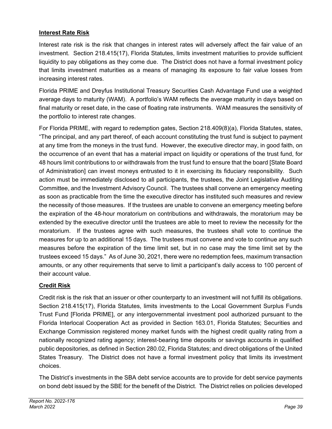### **Interest Rate Risk**

Interest rate risk is the risk that changes in interest rates will adversely affect the fair value of an investment. Section 218.415(17), Florida Statutes, limits investment maturities to provide sufficient liquidity to pay obligations as they come due. The District does not have a formal investment policy that limits investment maturities as a means of managing its exposure to fair value losses from increasing interest rates.

Florida PRIME and Dreyfus Institutional Treasury Securities Cash Advantage Fund use a weighted average days to maturity (WAM). A portfolio's WAM reflects the average maturity in days based on final maturity or reset date, in the case of floating rate instruments. WAM measures the sensitivity of the portfolio to interest rate changes.

For Florida PRIME, with regard to redemption gates, Section 218.409(8)(a), Florida Statutes, states, "The principal, and any part thereof, of each account constituting the trust fund is subject to payment at any time from the moneys in the trust fund. However, the executive director may, in good faith, on the occurrence of an event that has a material impact on liquidity or operations of the trust fund, for 48 hours limit contributions to or withdrawals from the trust fund to ensure that the board [State Board of Administration] can invest moneys entrusted to it in exercising its fiduciary responsibility. Such action must be immediately disclosed to all participants, the trustees, the Joint Legislative Auditing Committee, and the Investment Advisory Council. The trustees shall convene an emergency meeting as soon as practicable from the time the executive director has instituted such measures and review the necessity of those measures. If the trustees are unable to convene an emergency meeting before the expiration of the 48-hour moratorium on contributions and withdrawals, the moratorium may be extended by the executive director until the trustees are able to meet to review the necessity for the moratorium. If the trustees agree with such measures, the trustees shall vote to continue the measures for up to an additional 15 days. The trustees must convene and vote to continue any such measures before the expiration of the time limit set, but in no case may the time limit set by the trustees exceed 15 days." As of June 30, 2021, there were no redemption fees, maximum transaction amounts, or any other requirements that serve to limit a participant's daily access to 100 percent of their account value.

### **Credit Risk**

Credit risk is the risk that an issuer or other counterparty to an investment will not fulfill its obligations. Section 218.415(17), Florida Statutes, limits investments to the Local Government Surplus Funds Trust Fund [Florida PRIME], or any intergovernmental investment pool authorized pursuant to the Florida Interlocal Cooperation Act as provided in Section 163.01, Florida Statutes; Securities and Exchange Commission registered money market funds with the highest credit quality rating from a nationally recognized rating agency; interest-bearing time deposits or savings accounts in qualified public depositories, as defined in Section 280.02, Florida Statutes; and direct obligations of the United States Treasury. The District does not have a formal investment policy that limits its investment choices.

The District's investments in the SBA debt service accounts are to provide for debt service payments on bond debt issued by the SBE for the benefit of the District. The District relies on policies developed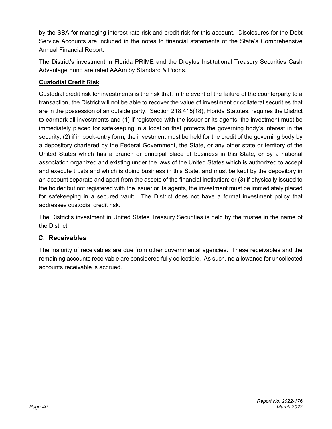by the SBA for managing interest rate risk and credit risk for this account. Disclosures for the Debt Service Accounts are included in the notes to financial statements of the State's Comprehensive Annual Financial Report.

The District's investment in Florida PRIME and the Dreyfus Institutional Treasury Securities Cash Advantage Fund are rated AAAm by Standard & Poor's.

## **Custodial Credit Risk**

Custodial credit risk for investments is the risk that, in the event of the failure of the counterparty to a transaction, the District will not be able to recover the value of investment or collateral securities that are in the possession of an outside party. Section 218.415(18), Florida Statutes, requires the District to earmark all investments and (1) if registered with the issuer or its agents, the investment must be immediately placed for safekeeping in a location that protects the governing body's interest in the security; (2) if in book-entry form, the investment must be held for the credit of the governing body by a depository chartered by the Federal Government, the State, or any other state or territory of the United States which has a branch or principal place of business in this State, or by a national association organized and existing under the laws of the United States which is authorized to accept and execute trusts and which is doing business in this State, and must be kept by the depository in an account separate and apart from the assets of the financial institution; or (3) if physically issued to the holder but not registered with the issuer or its agents, the investment must be immediately placed for safekeeping in a secured vault. The District does not have a formal investment policy that addresses custodial credit risk.

The District's investment in United States Treasury Securities is held by the trustee in the name of the District.

# **C. Receivables**

The majority of receivables are due from other governmental agencies. These receivables and the remaining accounts receivable are considered fully collectible. As such, no allowance for uncollected accounts receivable is accrued.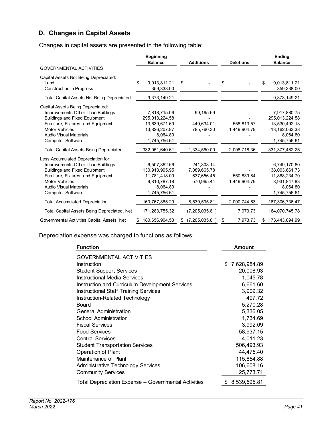## **D. Changes in Capital Assets**

Changes in capital assets are presented in the following table:

|                                                   | <b>Beginning</b><br><b>Balance</b> | <b>Additions</b>      | <b>Deletions</b> | <b>Ending</b><br><b>Balance</b> |
|---------------------------------------------------|------------------------------------|-----------------------|------------------|---------------------------------|
| <b>GOVERNMENTAL ACTIVITIES</b>                    |                                    |                       |                  |                                 |
| Capital Assets Not Being Depreciated:<br>Land     | \$<br>9,013,811.21                 | \$                    | \$               | \$<br>9,013,811.21              |
| <b>Construction in Progress</b>                   | 359,338.00                         |                       |                  | 359,338.00                      |
| <b>Total Capital Assets Not Being Depreciated</b> | 9,373,149.21                       |                       |                  | 9,373,149.21                    |
| Capital Assets Being Depreciated:                 |                                    |                       |                  |                                 |
| Improvements Other Than Buildings                 | 7,818,715.06                       | 99, 165.69            |                  | 7.917,880.75                    |
| <b>Buildings and Fixed Equipment</b>              | 295,013,224.58                     |                       |                  | 295,013,224.58                  |
| Furniture, Fixtures, and Equipment                | 13.639.671.69                      | 449.634.01            | 558.813.57       | 13,530,492.13                   |
| <b>Motor Vehicles</b>                             | 13,826,207.87                      | 785,760.30            | 1,449,904.79     | 13, 162, 063. 38                |
| <b>Audio Visual Materials</b>                     | 8.064.80                           |                       |                  | 8.064.80                        |
| <b>Computer Software</b>                          | 1,745,756.61                       |                       |                  | 1,745,756.61                    |
| <b>Total Capital Assets Being Depreciated</b>     | 332,051,640.61                     | 1,334,560.00          | 2,008,718.36     | 331, 377, 482. 25               |
| Less Accumulated Depreciation for:                |                                    |                       |                  |                                 |
| Improvements Other Than Buildings                 | 6,507,862.66                       | 241,308.14            |                  | 6,749,170.80                    |
| <b>Buildings and Fixed Equipment</b>              | 130,913,995.95                     | 7.089,665.78          |                  | 138,003,661.73                  |
| Furniture, Fixtures, and Equipment                | 11,781,418.09                      | 637.656.45            | 550.839.84       | 11,868,234.70                   |
| <b>Motor Vehicles</b>                             | 9,810,787.18                       | 570,965.44            | 1,449,904.79     | 8,931,847.83                    |
| <b>Audio Visual Materials</b>                     | 8.064.80                           |                       |                  | 8.064.80                        |
| <b>Computer Software</b>                          | 1,745,756.61                       |                       |                  | 1,745,756.61                    |
| <b>Total Accumulated Depreciation</b>             | 160,767,885.29                     | 8,539,595.81          | 2,000,744.63     | 167,306,736.47                  |
| Total Capital Assets Being Depreciated, Net       | 171,283,755.32                     | (7, 205, 035.81)      | 7,973.73         | 164,070,745.78                  |
| Governmental Activities Capital Assets, Net       | 180,656,904.53<br>\$               | (7, 205, 035.81)<br>S | 7,973.73<br>\$   | 173,443,894.99<br>S             |

Depreciation expense was charged to functions as follows:

| <b>Function</b>                                      | <b>Amount</b>      |
|------------------------------------------------------|--------------------|
| <b>GOVERNMENTAL ACTIVITIES</b>                       |                    |
| Instruction                                          | 7,628,984.89<br>S  |
| <b>Student Support Services</b>                      | 20,008.93          |
| Instructional Media Services                         | 1,045.78           |
| Instruction and Curriculum Development Services      | 6,661.60           |
| <b>Instructional Staff Training Services</b>         | 3,909.32           |
| Instruction-Related Technology                       | 497.72             |
| Board                                                | 5,270.28           |
| <b>General Administration</b>                        | 5,336.05           |
| <b>School Administration</b>                         | 1,734.69           |
| <b>Fiscal Services</b>                               | 3,992.09           |
| <b>Food Services</b>                                 | 58,937.15          |
| <b>Central Services</b>                              | 4,011.23           |
| <b>Student Transportation Services</b>               | 506,493.93         |
| Operation of Plant                                   | 44,475.40          |
| Maintenance of Plant                                 | 115,854.88         |
| Administrative Technology Services                   | 106,608.16         |
| <b>Community Services</b>                            | 25,773.71          |
| Total Depreciation Expense - Governmental Activities | 8,539,595.81<br>\$ |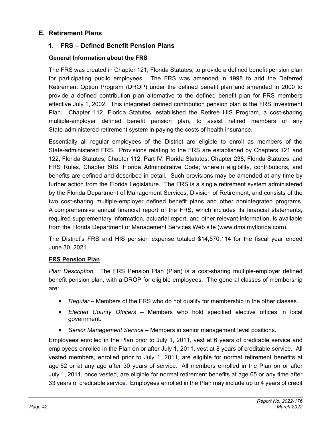#### **E. Retirement Plans**

### **FRS – Defined Benefit Pension Plans**

#### **General Information about the FRS**

The FRS was created in Chapter 121, Florida Statutes, to provide a defined benefit pension plan for participating public employees. The FRS was amended in 1998 to add the Deferred Retirement Option Program (DROP) under the defined benefit plan and amended in 2000 to provide a defined contribution plan alternative to the defined benefit plan for FRS members effective July 1, 2002. This integrated defined contribution pension plan is the FRS Investment Plan. Chapter 112, Florida Statutes, established the Retiree HIS Program, a cost-sharing multiple-employer defined benefit pension plan, to assist retired members of any State-administered retirement system in paying the costs of health insurance.

Essentially all regular employees of the District are eligible to enroll as members of the State-administered FRS. Provisions relating to the FRS are established by Chapters 121 and 122, Florida Statutes; Chapter 112, Part IV, Florida Statutes; Chapter 238, Florida Statutes; and FRS Rules, Chapter 60S, Florida Administrative Code; wherein eligibility, contributions, and benefits are defined and described in detail. Such provisions may be amended at any time by further action from the Florida Legislature. The FRS is a single retirement system administered by the Florida Department of Management Services, Division of Retirement, and consists of the two cost-sharing multiple-employer defined benefit plans and other nonintegrated programs. A comprehensive annual financial report of the FRS, which includes its financial statements, required supplementary information, actuarial report, and other relevant information, is available from the Florida Department of Management Services Web site (www.dms.myflorida.com).

The District's FRS and HIS pension expense totaled \$14,570,114 for the fiscal year ended June 30, 2021.

#### **FRS Pension Plan**

*Plan Description*. The FRS Pension Plan (Plan) is a cost-sharing multiple-employer defined benefit pension plan, with a DROP for eligible employees. The general classes of membership are:

- *Regular* Members of the FRS who do not qualify for membership in the other classes.
- *Elected County Officers* Members who hold specified elective offices in local government.
- *Senior Management Service*  Members in senior management level positions.

Employees enrolled in the Plan prior to July 1, 2011, vest at 6 years of creditable service and employees enrolled in the Plan on or after July 1, 2011, vest at 8 years of creditable service. All vested members, enrolled prior to July 1, 2011, are eligible for normal retirement benefits at age 62 or at any age after 30 years of service. All members enrolled in the Plan on or after July 1, 2011, once vested, are eligible for normal retirement benefits at age 65 or any time after 33 years of creditable service. Employees enrolled in the Plan may include up to 4 years of credit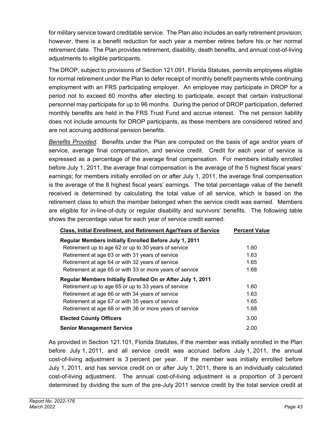for military service toward creditable service. The Plan also includes an early retirement provision; however, there is a benefit reduction for each year a member retires before his or her normal retirement date. The Plan provides retirement, disability, death benefits, and annual cost-of-living adjustments to eligible participants.

The DROP, subject to provisions of Section 121.091, Florida Statutes, permits employees eligible for normal retirement under the Plan to defer receipt of monthly benefit payments while continuing employment with an FRS participating employer. An employee may participate in DROP for a period not to exceed 60 months after electing to participate, except that certain instructional personnel may participate for up to 96 months. During the period of DROP participation, deferred monthly benefits are held in the FRS Trust Fund and accrue interest. The net pension liability does not include amounts for DROP participants, as these members are considered retired and are not accruing additional pension benefits.

*Benefits Provided*. Benefits under the Plan are computed on the basis of age and/or years of service, average final compensation, and service credit. Credit for each year of service is expressed as a percentage of the average final compensation. For members initially enrolled before July 1, 2011, the average final compensation is the average of the 5 highest fiscal years' earnings; for members initially enrolled on or after July 1, 2011, the average final compensation is the average of the 8 highest fiscal years' earnings. The total percentage value of the benefit received is determined by calculating the total value of all service, which is based on the retirement class to which the member belonged when the service credit was earned. Members are eligible for in-line-of-duty or regular disability and survivors' benefits. The following table shows the percentage value for each year of service credit earned:

| <b>Class, Initial Enrollment, and Retirement Age/Years of Service</b> | <b>Percent Value</b> |
|-----------------------------------------------------------------------|----------------------|
| Regular Members Initially Enrolled Before July 1, 2011                |                      |
| Retirement up to age 62 or up to 30 years of service                  | 1.60                 |
| Retirement at age 63 or with 31 years of service                      | 1.63                 |
| Retirement at age 64 or with 32 years of service                      | 1.65                 |
| Retirement at age 65 or with 33 or more years of service              | 1.68                 |
| Regular Members Initially Enrolled On or After July 1, 2011           |                      |
| Retirement up to age 65 or up to 33 years of service                  | 1.60                 |
| Retirement at age 66 or with 34 years of service                      | 1.63                 |
| Retirement at age 67 or with 35 years of service                      | 1.65                 |
| Retirement at age 68 or with 36 or more years of service              | 1.68                 |
| <b>Elected County Officers</b>                                        | 3.00                 |
| <b>Senior Management Service</b>                                      | 2.00                 |

As provided in Section 121.101, Florida Statutes, if the member was initially enrolled in the Plan before July 1, 2011, and all service credit was accrued before July 1, 2011, the annual cost-of-living adjustment is 3 percent per year. If the member was initially enrolled before July 1, 2011, and has service credit on or after July 1, 2011, there is an individually calculated cost-of-living adjustment. The annual cost-of-living adjustment is a proportion of 3 percent determined by dividing the sum of the pre-July 2011 service credit by the total service credit at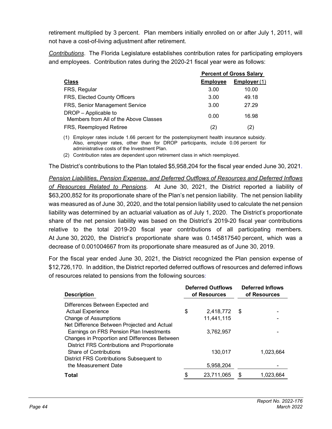retirement multiplied by 3 percent. Plan members initially enrolled on or after July 1, 2011, will not have a cost-of-living adjustment after retirement.

*Contributions*. The Florida Legislature establishes contribution rates for participating employers and employees. Contribution rates during the 2020-21 fiscal year were as follows:

|                                                               |                 | <b>Percent of Gross Salary</b> |
|---------------------------------------------------------------|-----------------|--------------------------------|
| <b>Class</b>                                                  | <b>Employee</b> | Employer $(1)$                 |
| FRS, Regular                                                  | 3.00            | 10.00                          |
| FRS, Elected County Officers                                  | 3.00            | 49.18                          |
| FRS, Senior Management Service                                | 3.00            | 27.29                          |
| DROP - Applicable to<br>Members from All of the Above Classes | 0.00            | 16.98                          |
| FRS, Reemployed Retiree                                       | (2)             | (2)                            |

(1) Employer rates include 1.66 percent for the postemployment health insurance subsidy. Also, employer rates, other than for DROP participants, include 0.06 percent for administrative costs of the Investment Plan.

(2) Contribution rates are dependent upon retirement class in which reemployed.

The District's contributions to the Plan totaled \$5,958,204 for the fiscal year ended June 30, 2021.

*Pension Liabilities, Pension Expense, and Deferred Outflows of Resources and Deferred Inflows of Resources Related to Pensions*. At June 30, 2021, the District reported a liability of \$63,200,852 for its proportionate share of the Plan's net pension liability. The net pension liability was measured as of June 30, 2020, and the total pension liability used to calculate the net pension liability was determined by an actuarial valuation as of July 1, 2020. The District's proportionate share of the net pension liability was based on the District's 2019-20 fiscal year contributions relative to the total 2019-20 fiscal year contributions of all participating members. At June 30, 2020, the District's proportionate share was 0.145817540 percent, which was a decrease of 0.001004667 from its proportionate share measured as of June 30, 2019.

For the fiscal year ended June 30, 2021, the District recognized the Plan pension expense of \$12,726,170. In addition, the District reported deferred outflows of resources and deferred inflows of resources related to pensions from the following sources:

| <b>Description</b>                            | <b>Deferred Outflows</b><br>of Resources |            | <b>Deferred Inflows</b><br>of Resources |           |
|-----------------------------------------------|------------------------------------------|------------|-----------------------------------------|-----------|
| Differences Between Expected and              |                                          |            |                                         |           |
| <b>Actual Experience</b>                      | \$                                       | 2,418,772  | - \$                                    |           |
| <b>Change of Assumptions</b>                  |                                          | 11,441,115 |                                         |           |
| Net Difference Between Projected and Actual   |                                          |            |                                         |           |
| Earnings on FRS Pension Plan Investments      |                                          | 3,762,957  |                                         |           |
| Changes in Proportion and Differences Between |                                          |            |                                         |           |
| District FRS Contributions and Proportionate  |                                          |            |                                         |           |
| <b>Share of Contributions</b>                 |                                          | 130.017    |                                         | 1.023.664 |
| District FRS Contributions Subsequent to      |                                          |            |                                         |           |
| the Measurement Date                          |                                          | 5,958,204  |                                         |           |
| Total                                         | œ                                        | 23,711,065 | S                                       | 1,023,664 |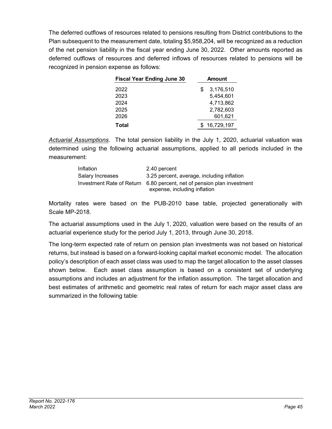The deferred outflows of resources related to pensions resulting from District contributions to the Plan subsequent to the measurement date, totaling \$5,958,204, will be recognized as a reduction of the net pension liability in the fiscal year ending June 30, 2022. Other amounts reported as deferred outflows of resources and deferred inflows of resources related to pensions will be recognized in pension expense as follows:

| <b>Fiscal Year Ending June 30</b> | Amount          |  |
|-----------------------------------|-----------------|--|
| 2022                              | 3,176,510<br>\$ |  |
| 2023                              | 5,454,601       |  |
| 2024                              | 4,713,862       |  |
| 2025                              | 2,782,603       |  |
| 2026                              | 601,621         |  |
| Total                             | 16,729,197      |  |

*Actuarial Assumptions*. The total pension liability in the July 1, 2020, actuarial valuation was determined using the following actuarial assumptions, applied to all periods included in the measurement:

| Inflation        | 2.40 percent                                                           |
|------------------|------------------------------------------------------------------------|
| Salary Increases | 3.25 percent, average, including inflation                             |
|                  | Investment Rate of Return 6.80 percent, net of pension plan investment |
|                  | expense, including inflation                                           |

Mortality rates were based on the PUB-2010 base table, projected generationally with Scale MP-2018.

The actuarial assumptions used in the July 1, 2020, valuation were based on the results of an actuarial experience study for the period July 1, 2013, through June 30, 2018.

The long-term expected rate of return on pension plan investments was not based on historical returns, but instead is based on a forward-looking capital market economic model. The allocation policy's description of each asset class was used to map the target allocation to the asset classes shown below. Each asset class assumption is based on a consistent set of underlying assumptions and includes an adjustment for the inflation assumption. The target allocation and best estimates of arithmetic and geometric real rates of return for each major asset class are summarized in the following table: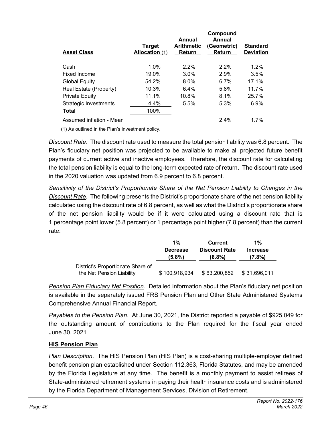| <b>Asset Class</b>           | <b>Target</b><br><b>Allocation (1)</b> | Annual<br><b>Arithmetic</b><br>Return | Compound<br>Annual<br>(Geometric)<br>Return | <b>Standard</b><br><b>Deviation</b> |
|------------------------------|----------------------------------------|---------------------------------------|---------------------------------------------|-------------------------------------|
| Cash                         | 1.0%                                   | 2.2%                                  | 2.2%                                        | $1.2\%$                             |
| <b>Fixed Income</b>          | 19.0%                                  | 3.0%                                  | 2.9%                                        | 3.5%                                |
| <b>Global Equity</b>         | 54.2%                                  | 8.0%                                  | 6.7%                                        | 17.1%                               |
| Real Estate (Property)       | 10.3%                                  | 6.4%                                  | 5.8%                                        | 11.7%                               |
| <b>Private Equity</b>        | 11.1%                                  | 10.8%                                 | 8.1%                                        | 25.7%                               |
| <b>Strategic Investments</b> | 4.4%                                   | 5.5%                                  | 5.3%                                        | 6.9%                                |
| Total                        | 100%                                   |                                       |                                             |                                     |
| Assumed inflation - Mean     |                                        |                                       | 2.4%                                        | 1.7%                                |

(1) As outlined in the Plan's investment policy.

*Discount Rate*. The discount rate used to measure the total pension liability was 6.8 percent. The Plan's fiduciary net position was projected to be available to make all projected future benefit payments of current active and inactive employees. Therefore, the discount rate for calculating the total pension liability is equal to the long-term expected rate of return. The discount rate used in the 2020 valuation was updated from 6.9 percent to 6.8 percent.

*Sensitivity of the District's Proportionate Share of the Net Pension Liability to Changes in the Discount Rate*. The following presents the District's proportionate share of the net pension liability calculated using the discount rate of 6.8 percent, as well as what the District's proportionate share of the net pension liability would be if it were calculated using a discount rate that is 1 percentage point lower (5.8 percent) or 1 percentage point higher (7.8 percent) than the current rate:

|                                                                | 1%                        | <b>Current</b>                    | 1%                           |
|----------------------------------------------------------------|---------------------------|-----------------------------------|------------------------------|
|                                                                | <b>Decrease</b><br>(5.8%) | <b>Discount Rate</b><br>$(6.8\%)$ | <b>Increase</b><br>$(7.8\%)$ |
| District's Proportionate Share of<br>the Net Pension Liability | \$100,918,934             | \$63,200,852                      | \$31,696,011                 |

*Pension Plan Fiduciary Net Position*. Detailed information about the Plan's fiduciary net position is available in the separately issued FRS Pension Plan and Other State Administered Systems Comprehensive Annual Financial Report.

*Payables to the Pension Plan*. At June 30, 2021, the District reported a payable of \$925,049 for the outstanding amount of contributions to the Plan required for the fiscal year ended June 30, 2021.

#### **HIS Pension Plan**

*Plan Description*. The HIS Pension Plan (HIS Plan) is a cost-sharing multiple-employer defined benefit pension plan established under Section 112.363, Florida Statutes, and may be amended by the Florida Legislature at any time. The benefit is a monthly payment to assist retirees of State-administered retirement systems in paying their health insurance costs and is administered by the Florida Department of Management Services, Division of Retirement.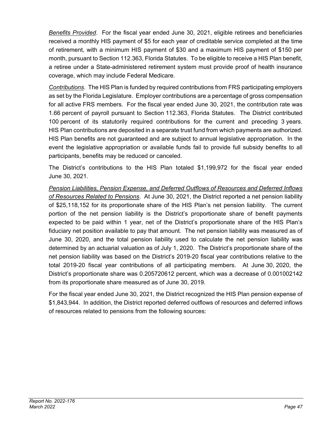*Benefits Provided*. For the fiscal year ended June 30, 2021, eligible retirees and beneficiaries received a monthly HIS payment of \$5 for each year of creditable service completed at the time of retirement, with a minimum HIS payment of \$30 and a maximum HIS payment of \$150 per month, pursuant to Section 112.363, Florida Statutes. To be eligible to receive a HIS Plan benefit, a retiree under a State-administered retirement system must provide proof of health insurance coverage, which may include Federal Medicare.

*Contributions*. The HIS Plan is funded by required contributions from FRS participating employers as set by the Florida Legislature. Employer contributions are a percentage of gross compensation for all active FRS members. For the fiscal year ended June 30, 2021, the contribution rate was 1.66 percent of payroll pursuant to Section 112.363, Florida Statutes. The District contributed 100 percent of its statutorily required contributions for the current and preceding 3 years. HIS Plan contributions are deposited in a separate trust fund from which payments are authorized. HIS Plan benefits are not guaranteed and are subject to annual legislative appropriation. In the event the legislative appropriation or available funds fail to provide full subsidy benefits to all participants, benefits may be reduced or canceled.

The District's contributions to the HIS Plan totaled \$1,199,972 for the fiscal year ended June 30, 2021.

*Pension Liabilities, Pension Expense, and Deferred Outflows of Resources and Deferred Inflows of Resources Related to Pensions*. At June 30, 2021, the District reported a net pension liability of \$25,118,152 for its proportionate share of the HIS Plan's net pension liability. The current portion of the net pension liability is the District's proportionate share of benefit payments expected to be paid within 1 year, net of the District's proportionate share of the HIS Plan's fiduciary net position available to pay that amount. The net pension liability was measured as of June 30, 2020, and the total pension liability used to calculate the net pension liability was determined by an actuarial valuation as of July 1, 2020. The District's proportionate share of the net pension liability was based on the District's 2019-20 fiscal year contributions relative to the total 2019-20 fiscal year contributions of all participating members. At June 30, 2020, the District's proportionate share was 0.205720612 percent, which was a decrease of 0.001002142 from its proportionate share measured as of June 30, 2019.

For the fiscal year ended June 30, 2021, the District recognized the HIS Plan pension expense of \$1,843,944. In addition, the District reported deferred outflows of resources and deferred inflows of resources related to pensions from the following sources: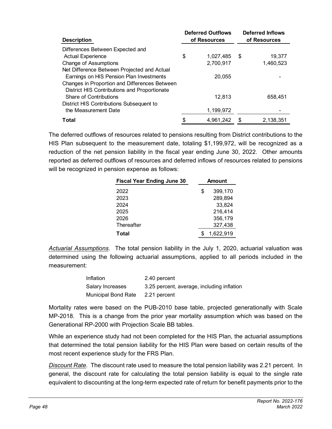|                                               | <b>Deferred Outflows</b> |              | <b>Deferred Inflows</b> |           |  |
|-----------------------------------------------|--------------------------|--------------|-------------------------|-----------|--|
| <b>Description</b>                            |                          | of Resources | of Resources            |           |  |
| Differences Between Expected and              |                          |              |                         |           |  |
| <b>Actual Experience</b>                      | \$                       | 1,027,485    | \$                      | 19.377    |  |
| <b>Change of Assumptions</b>                  |                          | 2,700,917    |                         | 1,460,523 |  |
| Net Difference Between Projected and Actual   |                          |              |                         |           |  |
| Earnings on HIS Pension Plan Investments      |                          | 20,055       |                         |           |  |
| Changes in Proportion and Differences Between |                          |              |                         |           |  |
| District HIS Contributions and Proportionate  |                          |              |                         |           |  |
| <b>Share of Contributions</b>                 |                          | 12,813       |                         | 658,451   |  |
| District HIS Contributions Subsequent to      |                          |              |                         |           |  |
| the Measurement Date                          |                          | 1,199,972    |                         |           |  |
| Total                                         | \$                       | 4.961.242    | S                       | 2,138,351 |  |

The deferred outflows of resources related to pensions resulting from District contributions to the HIS Plan subsequent to the measurement date, totaling \$1,199,972, will be recognized as a reduction of the net pension liability in the fiscal year ending June 30, 2022. Other amounts reported as deferred outflows of resources and deferred inflows of resources related to pensions will be recognized in pension expense as follows:

| <b>Fiscal Year Ending June 30</b> | <b>Amount</b> |           |  |
|-----------------------------------|---------------|-----------|--|
| 2022                              | \$            | 399,170   |  |
| 2023                              |               | 289,894   |  |
| 2024                              |               | 33,824    |  |
| 2025                              |               | 216,414   |  |
| 2026                              |               | 356,179   |  |
| Thereafter                        |               | 327,438   |  |
| Total                             |               | 1,622,919 |  |

*Actuarial Assumptions*. The total pension liability in the July 1, 2020, actuarial valuation was determined using the following actuarial assumptions, applied to all periods included in the measurement:

| Inflation           | 2.40 percent                               |
|---------------------|--------------------------------------------|
| Salary Increases    | 3.25 percent, average, including inflation |
| Municipal Bond Rate | 2.21 percent                               |

Mortality rates were based on the PUB-2010 base table, projected generationally with Scale MP-2018. This is a change from the prior year mortality assumption which was based on the Generational RP-2000 with Projection Scale BB tables.

While an experience study had not been completed for the HIS Plan, the actuarial assumptions that determined the total pension liability for the HIS Plan were based on certain results of the most recent experience study for the FRS Plan.

*Discount Rate*. The discount rate used to measure the total pension liability was 2.21 percent. In general, the discount rate for calculating the total pension liability is equal to the single rate equivalent to discounting at the long-term expected rate of return for benefit payments prior to the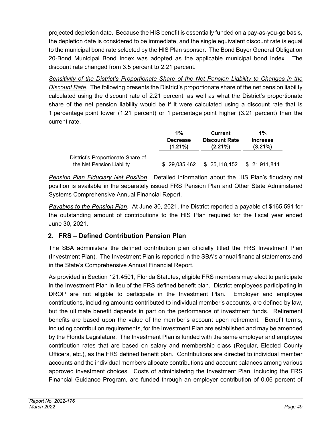projected depletion date. Because the HIS benefit is essentially funded on a pay-as-you-go basis, the depletion date is considered to be immediate, and the single equivalent discount rate is equal to the municipal bond rate selected by the HIS Plan sponsor. The Bond Buyer General Obligation 20-Bond Municipal Bond Index was adopted as the applicable municipal bond index. The discount rate changed from 3.5 percent to 2.21 percent.

*Sensitivity of the District's Proportionate Share of the Net Pension Liability to Changes in the Discount Rate*. The following presents the District's proportionate share of the net pension liability calculated using the discount rate of 2.21 percent, as well as what the District's proportionate share of the net pension liability would be if it were calculated using a discount rate that is 1 percentage point lower (1.21 percent) or 1 percentage point higher (3.21 percent) than the current rate.

|                                                                | $1\%$                         | <b>Current</b>                     | 1%                            |
|----------------------------------------------------------------|-------------------------------|------------------------------------|-------------------------------|
|                                                                | <b>Decrease</b><br>$(1.21\%)$ | <b>Discount Rate</b><br>$(2.21\%)$ | <b>Increase</b><br>$(3.21\%)$ |
| District's Proportionate Share of<br>the Net Pension Liability | \$29,035,462                  | \$ 25,118,152 \$ 21,911,844        |                               |

*Pension Plan Fiduciary Net Position*. Detailed information about the HIS Plan's fiduciary net position is available in the separately issued FRS Pension Plan and Other State Administered Systems Comprehensive Annual Financial Report.

*Payables to the Pension Plan*. At June 30, 2021, the District reported a payable of \$165,591 for the outstanding amount of contributions to the HIS Plan required for the fiscal year ended June 30, 2021.

# **FRS – Defined Contribution Pension Plan**

The SBA administers the defined contribution plan officially titled the FRS Investment Plan (Investment Plan). The Investment Plan is reported in the SBA's annual financial statements and in the State's Comprehensive Annual Financial Report.

As provided in Section 121.4501, Florida Statutes, eligible FRS members may elect to participate in the Investment Plan in lieu of the FRS defined benefit plan. District employees participating in DROP are not eligible to participate in the Investment Plan. Employer and employee contributions, including amounts contributed to individual member's accounts, are defined by law, but the ultimate benefit depends in part on the performance of investment funds. Retirement benefits are based upon the value of the member's account upon retirement. Benefit terms, including contribution requirements, for the Investment Plan are established and may be amended by the Florida Legislature. The Investment Plan is funded with the same employer and employee contribution rates that are based on salary and membership class (Regular, Elected County Officers, etc.), as the FRS defined benefit plan. Contributions are directed to individual member accounts and the individual members allocate contributions and account balances among various approved investment choices. Costs of administering the Investment Plan, including the FRS Financial Guidance Program, are funded through an employer contribution of 0.06 percent of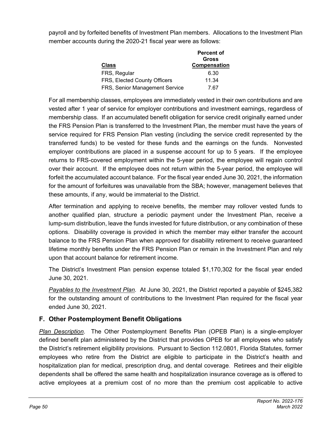payroll and by forfeited benefits of Investment Plan members. Allocations to the Investment Plan member accounts during the 2020-21 fiscal year were as follows:

|                                | <b>Percent of</b> |
|--------------------------------|-------------------|
|                                | Gross             |
| <b>Class</b>                   | Compensation      |
| FRS, Regular                   | 6.30              |
| FRS, Elected County Officers   | 11.34             |
| FRS, Senior Management Service | 7 67              |

For all membership classes, employees are immediately vested in their own contributions and are vested after 1 year of service for employer contributions and investment earnings, regardless of membership class. If an accumulated benefit obligation for service credit originally earned under the FRS Pension Plan is transferred to the Investment Plan, the member must have the years of service required for FRS Pension Plan vesting (including the service credit represented by the transferred funds) to be vested for these funds and the earnings on the funds. Nonvested employer contributions are placed in a suspense account for up to 5 years. If the employee returns to FRS-covered employment within the 5-year period, the employee will regain control over their account. If the employee does not return within the 5-year period, the employee will forfeit the accumulated account balance. For the fiscal year ended June 30, 2021, the information for the amount of forfeitures was unavailable from the SBA; however, management believes that these amounts, if any, would be immaterial to the District.

After termination and applying to receive benefits, the member may rollover vested funds to another qualified plan, structure a periodic payment under the Investment Plan, receive a lump-sum distribution, leave the funds invested for future distribution, or any combination of these options. Disability coverage is provided in which the member may either transfer the account balance to the FRS Pension Plan when approved for disability retirement to receive guaranteed lifetime monthly benefits under the FRS Pension Plan or remain in the Investment Plan and rely upon that account balance for retirement income.

The District's Investment Plan pension expense totaled \$1,170,302 for the fiscal year ended June 30, 2021.

*Payables to the Investment Plan.* At June 30, 2021, the District reported a payable of \$245,382 for the outstanding amount of contributions to the Investment Plan required for the fiscal year ended June 30, 2021.

### **F. Other Postemployment Benefit Obligations**

*Plan Description*. The Other Postemployment Benefits Plan (OPEB Plan) is a single-employer defined benefit plan administered by the District that provides OPEB for all employees who satisfy the District's retirement eligibility provisions. Pursuant to Section 112.0801, Florida Statutes, former employees who retire from the District are eligible to participate in the District's health and hospitalization plan for medical, prescription drug, and dental coverage. Retirees and their eligible dependents shall be offered the same health and hospitalization insurance coverage as is offered to active employees at a premium cost of no more than the premium cost applicable to active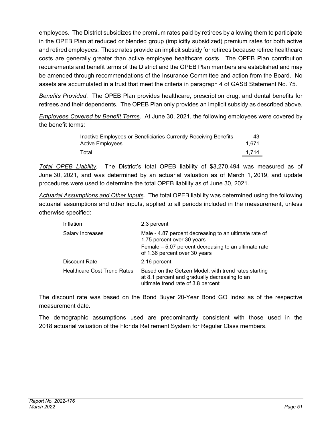employees. The District subsidizes the premium rates paid by retirees by allowing them to participate in the OPEB Plan at reduced or blended group (implicitly subsidized) premium rates for both active and retired employees. These rates provide an implicit subsidy for retirees because retiree healthcare costs are generally greater than active employee healthcare costs. The OPEB Plan contribution requirements and benefit terms of the District and the OPEB Plan members are established and may be amended through recommendations of the Insurance Committee and action from the Board. No assets are accumulated in a trust that meet the criteria in paragraph 4 of GASB Statement No. 75.

*Benefits Provided*.The OPEB Plan provides healthcare, prescription drug, and dental benefits for retirees and their dependents. The OPEB Plan only provides an implicit subsidy as described above.

*Employees Covered by Benefit Terms*. At June 30, 2021, the following employees were covered by the benefit terms:

| Inactive Employees or Beneficiaries Currently Receiving Benefits | 43    |
|------------------------------------------------------------------|-------|
| Active Employees                                                 | 1.671 |
| Total                                                            | 1.714 |

*Total OPEB Liability*. The District's total OPEB liability of \$3,270,494 was measured as of June 30, 2021, and was determined by an actuarial valuation as of March 1, 2019, and update procedures were used to determine the total OPEB liability as of June 30, 2021.

*Actuarial Assumptions and Other Inputs*. The total OPEB liability was determined using the following actuarial assumptions and other inputs, applied to all periods included in the measurement, unless otherwise specified:

| Inflation                          | 2.3 percent                                                                                                                                 |
|------------------------------------|---------------------------------------------------------------------------------------------------------------------------------------------|
| Salary Increases                   | Male - 4.87 percent decreasing to an ultimate rate of<br>1.75 percent over 30 years                                                         |
|                                    | Female – 5.07 percent decreasing to an ultimate rate<br>of 1.36 percent over 30 years                                                       |
| <b>Discount Rate</b>               | 2.16 percent                                                                                                                                |
| <b>Healthcare Cost Trend Rates</b> | Based on the Getzen Model, with trend rates starting<br>at 8.1 percent and gradually decreasing to an<br>ultimate trend rate of 3.8 percent |

The discount rate was based on the Bond Buyer 20-Year Bond GO Index as of the respective measurement date.

The demographic assumptions used are predominantly consistent with those used in the 2018 actuarial valuation of the Florida Retirement System for Regular Class members.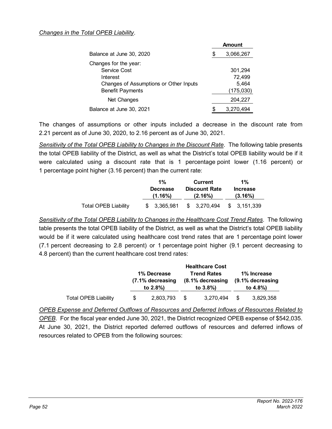#### *Changes in the Total OPEB Liability*.

|                                        |   | <b>Amount</b> |
|----------------------------------------|---|---------------|
| Balance at June 30, 2020               | S | 3,066,267     |
| Changes for the year:                  |   |               |
| Service Cost                           |   | 301,294       |
| Interest                               |   | 72,499        |
| Changes of Assumptions or Other Inputs |   | 5,464         |
| <b>Benefit Payments</b>                |   | (175,030)     |
| Net Changes                            |   | 204,227       |
| Balance at June 30, 2021               | S | 3,270,494     |

The changes of assumptions or other inputs included a decrease in the discount rate from 2.21 percent as of June 30, 2020, to 2.16 percent as of June 30, 2021.

*Sensitivity of the Total OPEB Liability to Changes in the Discount Rate*. The following table presents the total OPEB liability of the District, as well as what the District's total OPEB liability would be if it were calculated using a discount rate that is 1 percentage point lower (1.16 percent) or 1 percentage point higher (3.16 percent) than the current rate:

|                             | $1\%$<br><b>Decrease</b><br>$(1.16\%)$ | <b>Current</b><br><b>Discount Rate</b><br>$(2.16\%)$ |                           | 1%<br><b>Increase</b><br>(3.16%) |  |
|-----------------------------|----------------------------------------|------------------------------------------------------|---------------------------|----------------------------------|--|
| <b>Total OPEB Liability</b> | \$ 3,365,981                           |                                                      | \$ 3.270.494 \$ 3.151.339 |                                  |  |

*Sensitivity of the Total OPEB Liability to Changes in the Healthcare Cost Trend Rates*. The following table presents the total OPEB liability of the District, as well as what the District's total OPEB liability would be if it were calculated using healthcare cost trend rates that are 1 percentage point lower (7.1 percent decreasing to 2.8 percent) or 1 percentage point higher (9.1 percent decreasing to 4.8 percent) than the current healthcare cost trend rates:

|                             |   |                                  |    | <b>Healthcare Cost</b>           |                                  |
|-----------------------------|---|----------------------------------|----|----------------------------------|----------------------------------|
|                             |   | 1% Decrease                      |    | <b>Trend Rates</b>               | 1% Increase                      |
|                             |   | (7.1% decreasing<br>to $2.8\%$ ) |    | (8.1% decreasing<br>to $3.8\%$ ) | (9.1% decreasing<br>to $4.8\%$ ) |
| <b>Total OPEB Liability</b> | S | 2,803,793                        | -S | 3.270.494                        | 3,829,358                        |

*OPEB Expense and Deferred Outflows of Resources and Deferred Inflows of Resources Related to OPEB*. For the fiscal year ended June 30, 2021, the District recognized OPEB expense of \$542,035. At June 30, 2021, the District reported deferred outflows of resources and deferred inflows of resources related to OPEB from the following sources: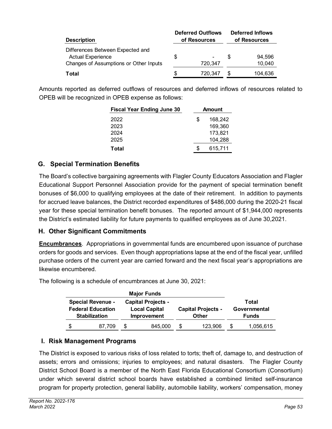| <b>Description</b>                                                                                     |    | <b>Deferred Outflows</b><br>of Resources | <b>Deferred Inflows</b><br>of Resources |
|--------------------------------------------------------------------------------------------------------|----|------------------------------------------|-----------------------------------------|
| Differences Between Expected and<br><b>Actual Experience</b><br>Changes of Assumptions or Other Inputs | S  | 720,347                                  | 94,596<br>10,040                        |
| Total                                                                                                  | ß. | 720,347                                  | 104,636                                 |

Amounts reported as deferred outflows of resources and deferred inflows of resources related to OPEB will be recognized in OPEB expense as follows:

| <b>Fiscal Year Ending June 30</b> | Amount |         |
|-----------------------------------|--------|---------|
| 2022                              | S      | 168.242 |
| 2023                              |        | 169,360 |
| 2024                              |        | 173.821 |
| 2025                              |        | 104,288 |
| Total                             | S.     | 615,711 |

## **G. Special Termination Benefits**

The Board's collective bargaining agreements with Flagler County Educators Association and Flagler Educational Support Personnel Association provide for the payment of special termination benefit bonuses of \$6,000 to qualifying employees at the date of their retirement. In addition to payments for accrued leave balances, the District recorded expenditures of \$486,000 during the 2020-21 fiscal year for these special termination benefit bonuses. The reported amount of \$1,944,000 represents the District's estimated liability for future payments to qualified employees as of June 30,2021.

### **H. Other Significant Commitments**

**Encumbrances**. Appropriations in governmental funds are encumbered upon issuance of purchase orders for goods and services. Even though appropriations lapse at the end of the fiscal year, unfilled purchase orders of the current year are carried forward and the next fiscal year's appropriations are likewise encumbered.

|                                                                                                                                                         |   | <b>Major Funds</b>                 |   |                                       |   |           |
|---------------------------------------------------------------------------------------------------------------------------------------------------------|---|------------------------------------|---|---------------------------------------|---|-----------|
| <b>Capital Projects -</b><br><b>Special Revenue -</b><br><b>Federal Education</b><br><b>Local Capital</b><br><b>Stabilization</b><br><b>Improvement</b> |   | <b>Capital Projects -</b><br>Other |   | Total<br>Governmental<br><b>Funds</b> |   |           |
| \$<br>87.709                                                                                                                                            | S | 845,000                            | S | 123,906                               | S | 1,056,615 |

The following is a schedule of encumbrances at June 30, 2021:

### **I. Risk Management Programs**

The District is exposed to various risks of loss related to torts; theft of, damage to, and destruction of assets; errors and omissions; injuries to employees; and natural disasters. The Flagler County District School Board is a member of the North East Florida Educational Consortium (Consortium) under which several district school boards have established a combined limited self-insurance program for property protection, general liability, automobile liability, workers' compensation, money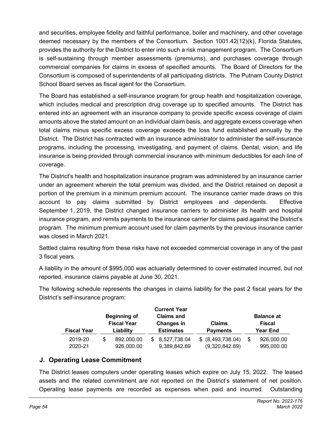and securities, employee fidelity and faithful performance, boiler and machinery, and other coverage deemed necessary by the members of the Consortium. Section 1001.42(12)(k), Florida Statutes, provides the authority for the District to enter into such a risk management program. The Consortium is self-sustaining through member assessments (premiums), and purchases coverage through commercial companies for claims in excess of specified amounts. The Board of Directors for the Consortium is composed of superintendents of all participating districts. The Putnam County District School Board serves as fiscal agent for the Consortium.

The Board has established a self-insurance program for group health and hospitalization coverage, which includes medical and prescription drug coverage up to specified amounts. The District has entered into an agreement with an insurance company to provide specific excess coverage of claim amounts above the stated amount on an individual claim basis, and aggregate excess coverage when total claims minus specific excess coverage exceeds the loss fund established annually by the District. The District has contracted with an insurance administrator to administer the self-insurance programs, including the processing, investigating, and payment of claims. Dental, vision, and life insurance is being provided through commercial insurance with minimum deductibles for each line of coverage.

The District's health and hospitalization insurance program was administered by an insurance carrier under an agreement wherein the total premium was divided, and the District retained on deposit a portion of the premium in a minimum premium account. The insurance carrier made draws on this account to pay claims submitted by District employees and dependents. Effective September 1, 2019, the District changed insurance carriers to administer its health and hospital insurance program, and remits payments to the insurance carrier for claims paid against the District's program. The minimum premium account used for claim payments by the previous insurance carrier was closed in March 2021.

Settled claims resulting from these risks have not exceeded commercial coverage in any of the past 3 fiscal years.

A liability in the amount of \$995,000 was actuarially determined to cover estimated incurred, but not reported, insurance claims payable at June 30, 2021.

The following schedule represents the changes in claims liability for the past 2 fiscal years for the District's self-insurance program:

| <b>Beginning of</b><br><b>Fiscal Year</b><br><b>Fiscal Year</b><br>Liability |    |                          | <b>Current Year</b><br><b>Claims and</b><br><b>Changes in</b><br><b>Estimates</b> | <b>Claims</b><br><b>Payments</b> |  | <b>Balance at</b><br><b>Fiscal</b><br><b>Year End</b> |   |                          |
|------------------------------------------------------------------------------|----|--------------------------|-----------------------------------------------------------------------------------|----------------------------------|--|-------------------------------------------------------|---|--------------------------|
| 2019-20<br>2020-21                                                           | \$ | 892,000.00<br>926,000.00 | \$.                                                                               | 8,527,738.04<br>9,389,842.69     |  | \$ (8,493,738.04)<br>(9,320,842.69)                   | S | 926,000.00<br>995,000.00 |

### **J. Operating Lease Commitment**

The District leases computers under operating leases which expire on July 15, 2022. The leased assets and the related commitment are not reported on the District's statement of net position. Operating lease payments are recorded as expenses when paid and incurred. Outstanding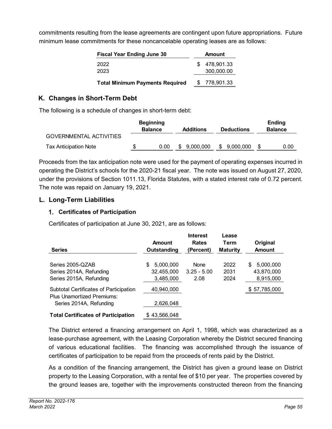commitments resulting from the lease agreements are contingent upon future appropriations. Future minimum lease commitments for these noncancelable operating leases are as follows:

| <b>Fiscal Year Ending June 30</b>      | Amount                     |  |  |  |
|----------------------------------------|----------------------------|--|--|--|
| 2022<br>2023                           | \$478.901.33<br>300,000.00 |  |  |  |
| <b>Total Minimum Payments Required</b> | \$778,901.33               |  |  |  |

### **K. Changes in Short-Term Debt**

The following is a schedule of changes in short-term debt:

|                                | <b>Beginning</b><br><b>Balance</b> |      |   | <b>Additions</b> | <b>Deductions</b> | <b>Ending</b><br><b>Balance</b> |
|--------------------------------|------------------------------------|------|---|------------------|-------------------|---------------------------------|
| <b>GOVERNMENTAL ACTIVITIES</b> |                                    |      |   |                  |                   |                                 |
| <b>Tax Anticipation Note</b>   |                                    | 0.00 | S | 9.000.000        | \$<br>9,000,000   | 0.00                            |

Proceeds from the tax anticipation note were used for the payment of operating expenses incurred in operating the District's schools for the 2020-21 fiscal year. The note was issued on August 27, 2020, under the provisions of Section 1011.13, Florida Statutes, with a stated interest rate of 0.72 percent. The note was repaid on January 19, 2021.

#### **L. Long-Term Liabilities**

#### **Certificates of Participation**

Certificates of participation at June 30, 2021, are as follows:

| <b>Series</b>                                                | <b>Amount</b><br>Outstanding | <b>Interest</b><br><b>Rates</b><br>(Percent) | Lease<br>Term<br><b>Maturity</b> | Original<br><b>Amount</b> |
|--------------------------------------------------------------|------------------------------|----------------------------------------------|----------------------------------|---------------------------|
|                                                              |                              |                                              |                                  |                           |
| Series 2005-QZAB                                             | 5,000,000<br>\$              | None                                         | 2022                             | 5,000,000<br>\$.          |
| Series 2014A, Refunding                                      | 32,455,000                   | $3.25 - 5.00$                                | 2031                             | 43,870,000                |
| Series 2015A, Refunding                                      | 3,485,000                    | 2.08                                         | 2024                             | 8,915,000                 |
| Subtotal Certificates of Participation                       | 40,940,000                   |                                              |                                  | \$57,785,000              |
| <b>Plus Unamortized Premiums:</b><br>Series 2014A, Refunding | 2,626,048                    |                                              |                                  |                           |
| <b>Total Certificates of Participation</b>                   | \$43,566,048                 |                                              |                                  |                           |

The District entered a financing arrangement on April 1, 1998, which was characterized as a lease-purchase agreement, with the Leasing Corporation whereby the District secured financing of various educational facilities. The financing was accomplished through the issuance of certificates of participation to be repaid from the proceeds of rents paid by the District.

As a condition of the financing arrangement, the District has given a ground lease on District property to the Leasing Corporation, with a rental fee of \$10 per year. The properties covered by the ground leases are, together with the improvements constructed thereon from the financing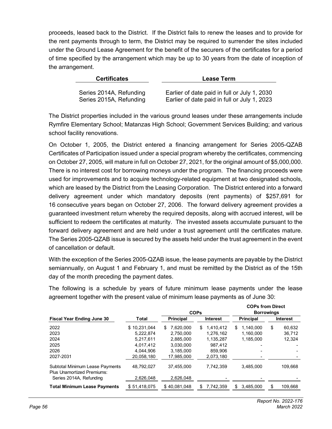proceeds, leased back to the District. If the District fails to renew the leases and to provide for the rent payments through to term, the District may be required to surrender the sites included under the Ground Lease Agreement for the benefit of the securers of the certificates for a period of time specified by the arrangement which may be up to 30 years from the date of inception of the arrangement.

| <b>Certificates</b>     | <b>Lease Term</b>                            |  |  |  |  |
|-------------------------|----------------------------------------------|--|--|--|--|
|                         |                                              |  |  |  |  |
| Series 2014A, Refunding | Earlier of date paid in full or July 1, 2030 |  |  |  |  |
| Series 2015A, Refunding | Earlier of date paid in full or July 1, 2023 |  |  |  |  |

The District properties included in the various ground leases under these arrangements include Rymfire Elementary School; Matanzas High School; Government Services Building; and various school facility renovations.

On October 1, 2005, the District entered a financing arrangement for Series 2005-QZAB Certificates of Participation issued under a special program whereby the certificates, commencing on October 27, 2005, will mature in full on October 27, 2021, for the original amount of \$5,000,000. There is no interest cost for borrowing moneys under the program. The financing proceeds were used for improvements and to acquire technology-related equipment at two designated schools, which are leased by the District from the Leasing Corporation. The District entered into a forward delivery agreement under which mandatory deposits (rent payments) of \$257,691 for 16 consecutive years began on October 27, 2006. The forward delivery agreement provides a guaranteed investment return whereby the required deposits, along with accrued interest, will be sufficient to redeem the certificates at maturity. The invested assets accumulate pursuant to the forward delivery agreement and are held under a trust agreement until the certificates mature. The Series 2005-QZAB issue is secured by the assets held under the trust agreement in the event of cancellation or default.

With the exception of the Series 2005-QZAB issue, the lease payments are payable by the District semiannually, on August 1 and February 1, and must be remitted by the District as of the 15th day of the month preceding the payment dates.

The following is a schedule by years of future minimum lease payments under the lease agreement together with the present value of minimum lease payments as of June 30:

|                                                                      |              |                  | <b>COPs</b>      | <b>COPs from Direct</b><br><b>Borrowings</b> |                 |  |  |
|----------------------------------------------------------------------|--------------|------------------|------------------|----------------------------------------------|-----------------|--|--|
| <b>Fiscal Year Ending June 30</b>                                    | Total        | <b>Principal</b> | <b>Interest</b>  | <b>Principal</b>                             | <b>Interest</b> |  |  |
| 2022                                                                 | \$10,231,044 | 7.620.000<br>\$  | 1.410.412<br>\$. | 1.140.000<br>S                               | \$<br>60,632    |  |  |
| 2023                                                                 | 5.222.874    | 2.750.000        | 1.276.162        | 1.160.000                                    | 36.712          |  |  |
| 2024                                                                 | 5,217,611    | 2,885,000        | 1,135,287        | 1.185.000                                    | 12,324          |  |  |
| 2025                                                                 | 4.017.412    | 3.030.000        | 987.412          |                                              |                 |  |  |
| 2026                                                                 | 4.044.906    | 3.185.000        | 859,906          |                                              |                 |  |  |
| 2027-2031                                                            | 20.058.180   | 17.985.000       | 2,073,180        |                                              |                 |  |  |
| Subtotal Minimum Lease Payments<br><b>Plus Unamortized Premiums:</b> | 48.792.027   | 37.455.000       | 7.742.359        | 3.485.000                                    | 109.668         |  |  |
| Series 2014A, Refunding                                              | 2,626,048    | 2.626.048        |                  |                                              |                 |  |  |
| <b>Total Minimum Lease Payments</b>                                  | \$51,418,075 | \$40,081,048     | 7,742,359<br>S.  | 3,485,000<br>S                               | \$<br>109,668   |  |  |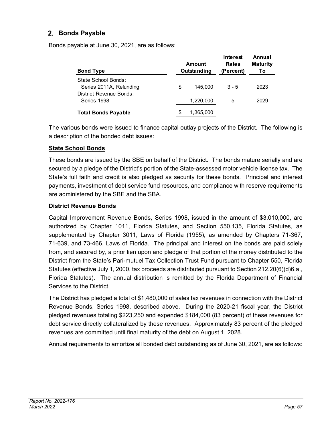## **Bonds Payable**

Bonds payable at June 30, 2021, are as follows:

| <b>Bond Type</b>                                                          |    | Amount<br>Outstanding | Interest<br><b>Rates</b><br>(Percent) | Annual<br><b>Maturity</b><br>Τo |  |
|---------------------------------------------------------------------------|----|-----------------------|---------------------------------------|---------------------------------|--|
| State School Bonds:<br>Series 2011A, Refunding<br>District Revenue Bonds: | \$ | 145.000               | $3 - 5$                               | 2023                            |  |
| Series 1998                                                               |    | 1,220,000             | 5                                     | 2029                            |  |
| <b>Total Bonds Payable</b>                                                | S  | 1,365,000             |                                       |                                 |  |

The various bonds were issued to finance capital outlay projects of the District. The following is a description of the bonded debt issues:

#### **State School Bonds**

These bonds are issued by the SBE on behalf of the District. The bonds mature serially and are secured by a pledge of the District's portion of the State-assessed motor vehicle license tax. The State's full faith and credit is also pledged as security for these bonds. Principal and interest payments, investment of debt service fund resources, and compliance with reserve requirements are administered by the SBE and the SBA.

#### **District Revenue Bonds**

Capital Improvement Revenue Bonds, Series 1998, issued in the amount of \$3,010,000, are authorized by Chapter 1011, Florida Statutes, and Section 550.135, Florida Statutes, as supplemented by Chapter 3011, Laws of Florida (1955), as amended by Chapters 71-367, 71-639, and 73-466, Laws of Florida. The principal and interest on the bonds are paid solely from, and secured by, a prior lien upon and pledge of that portion of the money distributed to the District from the State's Pari-mutuel Tax Collection Trust Fund pursuant to Chapter 550, Florida Statutes (effective July 1, 2000, tax proceeds are distributed pursuant to Section 212.20(6)(d)6.a., Florida Statutes). The annual distribution is remitted by the Florida Department of Financial Services to the District.

The District has pledged a total of \$1,480,000 of sales tax revenues in connection with the District Revenue Bonds, Series 1998, described above. During the 2020-21 fiscal year, the District pledged revenues totaling \$223,250 and expended \$184,000 (83 percent) of these revenues for debt service directly collateralized by these revenues. Approximately 83 percent of the pledged revenues are committed until final maturity of the debt on August 1, 2028.

Annual requirements to amortize all bonded debt outstanding as of June 30, 2021, are as follows: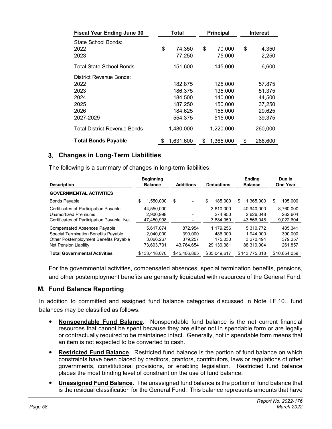| <b>Fiscal Year Ending June 30</b>                                            | Total                                                          | <b>Principal</b>                                               | <b>Interest</b>                                          |  |
|------------------------------------------------------------------------------|----------------------------------------------------------------|----------------------------------------------------------------|----------------------------------------------------------|--|
| State School Bonds:<br>2022<br>2023                                          | \$<br>74,350<br>77,250                                         | \$<br>70,000<br>75,000                                         | \$<br>4,350<br>2,250                                     |  |
| <b>Total State School Bonds</b>                                              | 151,600                                                        | 145,000                                                        | 6,600                                                    |  |
| District Revenue Bonds:<br>2022<br>2023<br>2024<br>2025<br>2026<br>2027-2029 | 182,875<br>186,375<br>184,500<br>187,250<br>184,625<br>554,375 | 125,000<br>135,000<br>140,000<br>150,000<br>155,000<br>515,000 | 57,875<br>51,375<br>44,500<br>37,250<br>29,625<br>39,375 |  |
| Total District Revenue Bonds                                                 | 1,480,000                                                      | 1,220,000                                                      | 260,000                                                  |  |
| <b>Total Bonds Payable</b>                                                   | 1,631,600<br>S                                                 | 1,365,000<br>S                                                 | 266,600<br>S                                             |  |

## **Changes in Long-Term Liabilities**

The following is a summary of changes in long-term liabilities:

| <b>Description</b>                                                                                                                                   | <b>Beginning</b><br><b>Balance</b>                | <b>Additions</b>                            | <b>Deductions</b>                             | <b>Ending</b><br><b>Balance</b>                   | Due In<br><b>One Year</b>                |  |
|------------------------------------------------------------------------------------------------------------------------------------------------------|---------------------------------------------------|---------------------------------------------|-----------------------------------------------|---------------------------------------------------|------------------------------------------|--|
| <b>GOVERNMENTAL ACTIVITIES</b>                                                                                                                       |                                                   |                                             |                                               |                                                   |                                          |  |
| <b>Bonds Payable</b>                                                                                                                                 | 1,550,000<br>\$                                   | \$                                          | \$<br>185.000                                 | \$<br>1.365.000                                   | \$<br>195,000                            |  |
| Certificates of Participation Payable<br>Unamortized Premiums<br>Certificates of Participation Payable, Net                                          | 44.550.000<br>2.900.998<br>47.450.998             |                                             | 3.610.000<br>274.950<br>3.884.950             | 40.940.000<br>2.626.048<br>43.566.048             | 8.760.000<br>262.604<br>9,022,604        |  |
| <b>Compensated Absences Payable</b><br><b>Special Termination Benefits Payable</b><br>Other Postemployment Benefits Payable<br>Net Pension Liability | 5.617.074<br>2.040.000<br>3,066,267<br>73,693,731 | 872.954<br>390,000<br>379.257<br>43.764.654 | 1.179.256<br>486.000<br>175.030<br>29,139,381 | 5.310.772<br>1.944.000<br>3.270.494<br>88,319,004 | 405,341<br>390.000<br>379.257<br>261,857 |  |
| <b>Total Governmental Activities</b>                                                                                                                 | \$133,418,070                                     | \$45.406.865                                | \$35,049.617                                  | \$143.775.318                                     | \$10.654.059                             |  |

For the governmental activities, compensated absences, special termination benefits, pensions, and other postemployment benefits are generally liquidated with resources of the General Fund.

### **M. Fund Balance Reporting**

In addition to committed and assigned fund balance categories discussed in Note I.F.10., fund balances may be classified as follows:

- **Nonspendable Fund Balance**. Nonspendable fund balance is the net current financial resources that cannot be spent because they are either not in spendable form or are legally or contractually required to be maintained intact. Generally, not in spendable form means that an item is not expected to be converted to cash.
- **Restricted Fund Balance**. Restricted fund balance is the portion of fund balance on which constraints have been placed by creditors, grantors, contributors, laws or regulations of other governments, constitutional provisions, or enabling legislation. Restricted fund balance places the most binding level of constraint on the use of fund balance.
- **Unassigned Fund Balance**. The unassigned fund balance is the portion of fund balance that is the residual classification for the General Fund. This balance represents amounts that have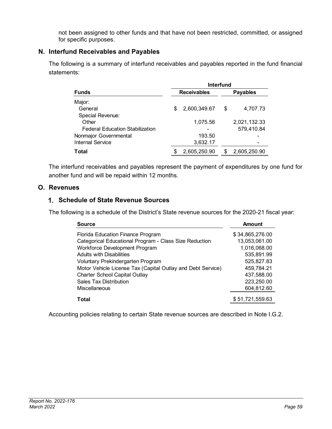not been assigned to other funds and that have not been restricted, committed, or assigned for specific purposes.

#### **N. Interfund Receivables and Payables**

The following is a summary of interfund receivables and payables reported in the fund financial statements:

|                                        |    |                    |                 | <b>Interfund</b> |  |  |  |
|----------------------------------------|----|--------------------|-----------------|------------------|--|--|--|
| <b>Funds</b>                           |    | <b>Receivables</b> | <b>Payables</b> |                  |  |  |  |
| Major:                                 |    |                    |                 |                  |  |  |  |
| General                                | \$ | 2,600,349.67       | S               | 4,707.73         |  |  |  |
| Special Revenue:                       |    |                    |                 |                  |  |  |  |
| Other                                  |    | 1,075.56           |                 | 2,021,132.33     |  |  |  |
| <b>Federal Education Stabilization</b> |    |                    |                 | 579,410.84       |  |  |  |
| Nonmajor Governmental                  |    | 193.50             |                 |                  |  |  |  |
| <b>Internal Service</b>                |    | 3,632.17           |                 |                  |  |  |  |
| Total                                  |    | 2,605,250.90       | S               | 2,605,250.90     |  |  |  |

The interfund receivables and payables represent the payment of expenditures by one fund for another fund and will be repaid within 12 months.

#### **O. Revenues**

#### **Schedule of State Revenue Sources**

The following is a schedule of the District's State revenue sources for the 2020-21 fiscal year:

| <b>Source</b>                                               | Amount          |
|-------------------------------------------------------------|-----------------|
| Florida Education Finance Program                           | \$34,865,276.00 |
| Categorical Educational Program - Class Size Reduction      | 13,053,061.00   |
| Workforce Development Program                               | 1,016,068.00    |
| <b>Adults with Disabilities</b>                             | 535,891.99      |
| Voluntary Prekindergarten Program                           | 525,827.83      |
| Motor Vehicle License Tax (Capital Outlay and Debt Service) | 459,784.21      |
| Charter School Capital Outlay                               | 437,588.00      |
| <b>Sales Tax Distribution</b>                               | 223,250.00      |
| Miscellaneous                                               | 604,812.60      |
| Total                                                       | \$51,721,559.63 |

Accounting policies relating to certain State revenue sources are described in Note I.G.2.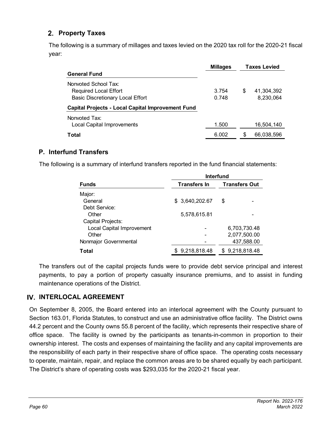# **Property Taxes**

The following is a summary of millages and taxes levied on the 2020 tax roll for the 2020-21 fiscal year:

|                                                          | <b>Millages</b> |     | Taxes Levied |
|----------------------------------------------------------|-----------------|-----|--------------|
| <b>General Fund</b>                                      |                 |     |              |
| Nonvoted School Tax:                                     |                 |     |              |
| Required Local Effort                                    | 3.754           | \$  | 41,304,392   |
| <b>Basic Discretionary Local Effort</b>                  | 0.748           |     | 8,230,064    |
| <b>Capital Projects - Local Capital Improvement Fund</b> |                 |     |              |
| Nonvoted Tax:                                            |                 |     |              |
| Local Capital Improvements                               | 1.500           |     | 16,504,140   |
| Total                                                    | 6.002           | \$. | 66,038,596   |

## **P. Interfund Transfers**

The following is a summary of interfund transfers reported in the fund financial statements:

|                                  |                     | <b>Interfund</b>     |  |  |  |  |  |
|----------------------------------|---------------------|----------------------|--|--|--|--|--|
| <b>Funds</b>                     | <b>Transfers In</b> | <b>Transfers Out</b> |  |  |  |  |  |
| Major:                           |                     |                      |  |  |  |  |  |
| General                          | \$3,640,202.67      | S                    |  |  |  |  |  |
| Debt Service:                    |                     |                      |  |  |  |  |  |
| Other                            | 5,578,615.81        |                      |  |  |  |  |  |
| Capital Projects:                |                     |                      |  |  |  |  |  |
| <b>Local Capital Improvement</b> |                     | 6,703,730.48         |  |  |  |  |  |
| Other                            |                     | 2,077,500.00         |  |  |  |  |  |
| Nonmajor Governmental            |                     | 437,588.00           |  |  |  |  |  |
| Total                            | 9,218,818.48<br>S   | \$9,218,818.48       |  |  |  |  |  |

The transfers out of the capital projects funds were to provide debt service principal and interest payments, to pay a portion of property casualty insurance premiums, and to assist in funding maintenance operations of the District.

# **INTERLOCAL AGREEMENT**

On September 8, 2005, the Board entered into an interlocal agreement with the County pursuant to Section 163.01, Florida Statutes, to construct and use an administrative office facility. The District owns 44.2 percent and the County owns 55.8 percent of the facility, which represents their respective share of office space. The facility is owned by the participants as tenants-in-common in proportion to their ownership interest. The costs and expenses of maintaining the facility and any capital improvements are the responsibility of each party in their respective share of office space. The operating costs necessary to operate, maintain, repair, and replace the common areas are to be shared equally by each participant. The District's share of operating costs was \$293,035 for the 2020-21 fiscal year.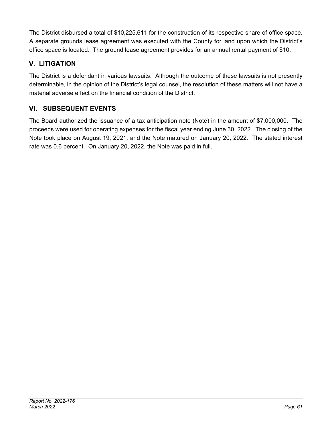The District disbursed a total of \$10,225,611 for the construction of its respective share of office space. A separate grounds lease agreement was executed with the County for land upon which the District's office space is located. The ground lease agreement provides for an annual rental payment of \$10.

# **LITIGATION**

The District is a defendant in various lawsuits. Although the outcome of these lawsuits is not presently determinable, in the opinion of the District's legal counsel, the resolution of these matters will not have a material adverse effect on the financial condition of the District.

# **SUBSEQUENT EVENTS**

The Board authorized the issuance of a tax anticipation note (Note) in the amount of \$7,000,000. The proceeds were used for operating expenses for the fiscal year ending June 30, 2022. The closing of the Note took place on August 19, 2021, and the Note matured on January 20, 2022. The stated interest rate was 0.6 percent. On January 20, 2022, the Note was paid in full.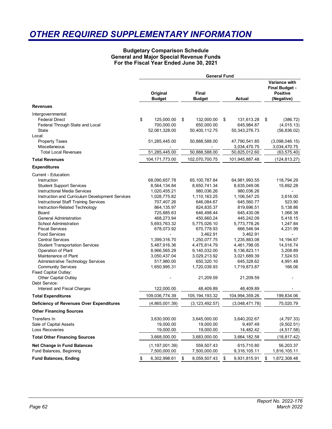# *OTHER REQUIRED SUPPLEMENTARY INFORMATION*

#### **Budgetary Comparison Schedule General and Major Special Revenue Funds For the Fiscal Year Ended June 30, 2021**

|                                                                                                                                                                                                                                                                                                                                                                                                                                                                                                                                                                                                                                                                       | <b>General Fund</b> |                                                                                                                                                                                                                                                                  |    |                                                                                                                                                                                                                                                                                       |    |                                                                                                                                                                                                                                                                                       |    |                                                                                                                                                                                                       |
|-----------------------------------------------------------------------------------------------------------------------------------------------------------------------------------------------------------------------------------------------------------------------------------------------------------------------------------------------------------------------------------------------------------------------------------------------------------------------------------------------------------------------------------------------------------------------------------------------------------------------------------------------------------------------|---------------------|------------------------------------------------------------------------------------------------------------------------------------------------------------------------------------------------------------------------------------------------------------------|----|---------------------------------------------------------------------------------------------------------------------------------------------------------------------------------------------------------------------------------------------------------------------------------------|----|---------------------------------------------------------------------------------------------------------------------------------------------------------------------------------------------------------------------------------------------------------------------------------------|----|-------------------------------------------------------------------------------------------------------------------------------------------------------------------------------------------------------|
|                                                                                                                                                                                                                                                                                                                                                                                                                                                                                                                                                                                                                                                                       |                     | Original<br><b>Budget</b>                                                                                                                                                                                                                                        |    | Final<br><b>Budget</b>                                                                                                                                                                                                                                                                |    | <b>Actual</b>                                                                                                                                                                                                                                                                         |    | <b>Variance with</b><br><b>Final Budget -</b><br><b>Positive</b><br>(Negative)                                                                                                                        |
| <b>Revenues</b>                                                                                                                                                                                                                                                                                                                                                                                                                                                                                                                                                                                                                                                       |                     |                                                                                                                                                                                                                                                                  |    |                                                                                                                                                                                                                                                                                       |    |                                                                                                                                                                                                                                                                                       |    |                                                                                                                                                                                                       |
| Intergovernmental:<br><b>Federal Direct</b><br>Federal Through State and Local<br><b>State</b>                                                                                                                                                                                                                                                                                                                                                                                                                                                                                                                                                                        | \$                  | 125,000.00<br>700,000.00<br>52,061,328.00                                                                                                                                                                                                                        |    | \$<br>132,000.00<br>650,000.00<br>50,400,112.75                                                                                                                                                                                                                                       | \$ | 131,613.28<br>645,984.87<br>50, 343, 276. 73                                                                                                                                                                                                                                          | \$ | (386.72)<br>(4,015.13)<br>(56, 836.02)                                                                                                                                                                |
| Local:<br><b>Property Taxes</b><br>Miscellaneous<br><b>Total Local Revenues</b>                                                                                                                                                                                                                                                                                                                                                                                                                                                                                                                                                                                       |                     | 51,285,445.00<br>51,285,445.00                                                                                                                                                                                                                                   |    | 50,888,588.00<br>50,888,588.00                                                                                                                                                                                                                                                        |    | 47,790,541.85<br>3,034,470.75<br>50,825,012.60                                                                                                                                                                                                                                        |    | (3,098,046.15)<br>3,034,470.75<br>(63, 575.40)                                                                                                                                                        |
| <b>Total Revenues</b>                                                                                                                                                                                                                                                                                                                                                                                                                                                                                                                                                                                                                                                 |                     | 104, 171, 773.00                                                                                                                                                                                                                                                 |    | 102,070,700.75                                                                                                                                                                                                                                                                        |    | 101,945,887.48                                                                                                                                                                                                                                                                        |    | (124, 813.27)                                                                                                                                                                                         |
| <b>Expenditures</b>                                                                                                                                                                                                                                                                                                                                                                                                                                                                                                                                                                                                                                                   |                     |                                                                                                                                                                                                                                                                  |    |                                                                                                                                                                                                                                                                                       |    |                                                                                                                                                                                                                                                                                       |    |                                                                                                                                                                                                       |
| Current - Education:<br>Instruction<br><b>Student Support Services</b><br><b>Instructional Media Services</b><br>Instruction and Curriculum Development Services<br>Instructional Staff Training Services<br>Instruction-Related Technology<br>Board<br><b>General Administration</b><br><b>School Administration</b><br><b>Fiscal Services</b><br><b>Food Services</b><br><b>Central Services</b><br><b>Student Transportation Services</b><br>Operation of Plant<br>Maintenance of Plant<br><b>Administrative Technology Services</b><br><b>Community Services</b><br>Fixed Capital Outlay:<br>Other Capital Outlay<br>Debt Service:<br>Interest and Fiscal Charges |                     | 68,090,657.78<br>8,564,134.84<br>1,020,455.21<br>1,028,775.82<br>707,407.26<br>864, 135.97<br>725,885.63<br>468,273.94<br>5,693,763.32<br>678,073.92<br>1,399,316.70<br>5,487,916.36<br>8,966,565.29<br>3,050,437.04<br>517,980.00<br>1,650,995.31<br>122,000.00 |    | 65,100,787.84<br>8,650,741.34<br>980,036.26<br>1,110,163.25<br>646,084.67<br>824,835.37<br>646,498.44<br>450,660.24<br>5,775,026.10<br>670,778.93<br>3,462.91<br>1,250,077.75<br>4,475,814.79<br>9,140,032.00<br>3,029,213.92<br>650,320.10<br>1,720,039.93<br>21,209.59<br>48,409.89 |    | 64,981,993.55<br>8,635,049.06<br>980,036.26<br>1,106,547.25<br>645,560.77<br>819,696.51<br>645,430.06<br>445,242.09<br>5,773,778.26<br>666,546.94<br>3,462.91<br>1,235,883.08<br>4,461,798.05<br>9,136,823.11<br>3,021,689.39<br>645,328.62<br>1,719,873.87<br>21,209.59<br>48,409.89 |    | 118,794.29<br>15,692.28<br>$\overline{a}$<br>3,616.00<br>523.90<br>5,138.86<br>1,068.38<br>5,418.15<br>1,247.84<br>4,231.99<br>14, 194. 67<br>14,016.74<br>3,208.89<br>7,524.53<br>4,991.48<br>166.06 |
| <b>Total Expenditures</b>                                                                                                                                                                                                                                                                                                                                                                                                                                                                                                                                                                                                                                             |                     | 109,036,774.39                                                                                                                                                                                                                                                   |    | 105, 194, 193. 32                                                                                                                                                                                                                                                                     |    | 104,994,359.26                                                                                                                                                                                                                                                                        |    | 199,834.06                                                                                                                                                                                            |
| Deficiency of Revenues Over Expenditures                                                                                                                                                                                                                                                                                                                                                                                                                                                                                                                                                                                                                              |                     | (4,865,001.39)                                                                                                                                                                                                                                                   |    | (3, 123, 492.57)                                                                                                                                                                                                                                                                      |    | (3,048,471.78)                                                                                                                                                                                                                                                                        |    | 75,020.79                                                                                                                                                                                             |
| <b>Other Financing Sources</b>                                                                                                                                                                                                                                                                                                                                                                                                                                                                                                                                                                                                                                        |                     |                                                                                                                                                                                                                                                                  |    |                                                                                                                                                                                                                                                                                       |    |                                                                                                                                                                                                                                                                                       |    |                                                                                                                                                                                                       |
| Transfers In<br>Sale of Capital Assets<br>Loss Recoveries                                                                                                                                                                                                                                                                                                                                                                                                                                                                                                                                                                                                             |                     | 3,630,000.00<br>19,000.00<br>19,000.00                                                                                                                                                                                                                           |    | 3,645,000.00<br>19,000.00<br>19,000.00                                                                                                                                                                                                                                                |    | 3,640,202.67<br>9,497.49<br>14,482.42                                                                                                                                                                                                                                                 |    | (4, 797.33)<br>(9,502.51)<br>(4, 517.58)                                                                                                                                                              |
| <b>Total Other Financing Sources</b>                                                                                                                                                                                                                                                                                                                                                                                                                                                                                                                                                                                                                                  |                     | 3,668,000.00                                                                                                                                                                                                                                                     |    | 3,683,000.00                                                                                                                                                                                                                                                                          |    | 3,664,182.58                                                                                                                                                                                                                                                                          |    | (18, 817.42)                                                                                                                                                                                          |
| <b>Net Change in Fund Balances</b><br>Fund Balances, Beginning                                                                                                                                                                                                                                                                                                                                                                                                                                                                                                                                                                                                        |                     | (1, 197, 001.39)<br>7,500,000.00                                                                                                                                                                                                                                 |    | 559,507.43<br>7,500,000.00                                                                                                                                                                                                                                                            |    | 615,710.80<br>9,316,105.11                                                                                                                                                                                                                                                            |    | 56,203.37<br>1,816,105.11                                                                                                                                                                             |
| <b>Fund Balances, Ending</b>                                                                                                                                                                                                                                                                                                                                                                                                                                                                                                                                                                                                                                          | \$                  | 6,302,998.61                                                                                                                                                                                                                                                     | \$ | 8,059,507.43                                                                                                                                                                                                                                                                          | \$ | 9,931,815.91                                                                                                                                                                                                                                                                          | \$ | 1,872,308.48                                                                                                                                                                                          |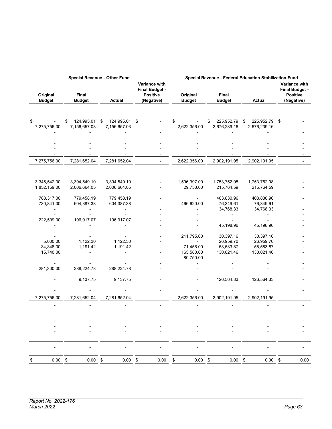|                           |                        | Special Revenue - Other Fund |                                                                  |                                        | Special Revenue - Federal Education Stabilization Fund |               |                                                                  |  |  |
|---------------------------|------------------------|------------------------------|------------------------------------------------------------------|----------------------------------------|--------------------------------------------------------|---------------|------------------------------------------------------------------|--|--|
| Original<br><b>Budget</b> | Final<br><b>Budget</b> | <b>Actual</b>                | Variance with<br>Final Budget -<br><b>Positive</b><br>(Negative) | Original<br><b>Budget</b>              | Final<br><b>Budget</b>                                 | Actual        | Variance with<br>Final Budget -<br><b>Positive</b><br>(Negative) |  |  |
|                           |                        |                              |                                                                  |                                        |                                                        |               |                                                                  |  |  |
| \$                        | 124,995.01 \$<br>\$    | 124,995.01 \$                |                                                                  |                                        | 225,952.79 \$<br>\$                                    | 225,952.79 \$ |                                                                  |  |  |
| 7,275,756.00              | 7,156,657.03           | 7,156,657.03                 |                                                                  | 2,622,356.00                           | 2,676,239.16                                           | 2,676,239.16  |                                                                  |  |  |
|                           |                        |                              |                                                                  |                                        |                                                        |               |                                                                  |  |  |
|                           |                        |                              |                                                                  |                                        |                                                        |               |                                                                  |  |  |
|                           |                        |                              |                                                                  |                                        |                                                        |               |                                                                  |  |  |
|                           |                        |                              | $\blacksquare$                                                   |                                        |                                                        |               |                                                                  |  |  |
| 7,275,756.00              | 7,281,652.04           | 7,281,652.04                 | $\mathcal{L}^{\pm}$                                              | 2,622,356.00                           | 2,902,191.95                                           | 2,902,191.95  | $\overline{\phantom{0}}$                                         |  |  |
|                           |                        |                              |                                                                  |                                        |                                                        |               |                                                                  |  |  |
| 3,345,542.00              | 3,394,549.10           | 3,394,549.10                 |                                                                  | 1,596,397.00                           | 1,753,752.98                                           | 1,753,752.98  |                                                                  |  |  |
| 1,852,159.00              | 2,006,664.05           | 2,006,664.05                 |                                                                  | 29,758.00                              | 215,764.59                                             | 215,764.59    |                                                                  |  |  |
|                           |                        |                              |                                                                  | $\overline{\phantom{a}}$               |                                                        |               |                                                                  |  |  |
| 788,317.00                | 779,458.19             | 779,458.19                   |                                                                  |                                        | 403,830.96                                             | 403,830.96    |                                                                  |  |  |
| 730,841.00                | 604,387.38             | 604,387.38                   |                                                                  | 466,620.00                             | 76,349.61                                              | 76,349.61     |                                                                  |  |  |
|                           |                        |                              |                                                                  |                                        | 34,768.33                                              | 34,768.33     |                                                                  |  |  |
|                           |                        |                              |                                                                  |                                        |                                                        |               |                                                                  |  |  |
| 222,509.00                | 196,917.07             | 196,917.07                   |                                                                  |                                        |                                                        |               |                                                                  |  |  |
|                           |                        |                              |                                                                  |                                        | 45,198.96                                              | 45,198.96     |                                                                  |  |  |
|                           |                        |                              |                                                                  |                                        |                                                        | 30,397.16     |                                                                  |  |  |
| 5,000.00                  | 1,122.30               | 1,122.30                     |                                                                  | 211,795.00                             | 30,397.16<br>26,959.70                                 | 26,959.70     |                                                                  |  |  |
| 34,348.00                 | 1,191.42               | 1,191.42                     |                                                                  | 71,456.00                              | 58,583.87                                              | 58,583.87     |                                                                  |  |  |
| 15,740.00                 |                        |                              |                                                                  | 165,580.00                             | 130,021.46                                             | 130,021.46    |                                                                  |  |  |
|                           |                        |                              |                                                                  | 80,750.00                              |                                                        |               |                                                                  |  |  |
|                           |                        |                              |                                                                  |                                        |                                                        |               |                                                                  |  |  |
| 281,300.00                | 288,224.78             | 288,224.78                   |                                                                  |                                        |                                                        |               |                                                                  |  |  |
|                           |                        |                              |                                                                  |                                        |                                                        |               |                                                                  |  |  |
|                           | 9,137.75               | 9,137.75                     |                                                                  |                                        | 126,564.33                                             | 126,564.33    |                                                                  |  |  |
|                           |                        |                              |                                                                  |                                        |                                                        |               |                                                                  |  |  |
| 7,275,756.00              | 7,281,652.04           | 7,281,652.04                 | $\sim$                                                           | 2,622,356.00                           | 2,902,191.95                                           | 2,902,191.95  |                                                                  |  |  |
|                           |                        |                              |                                                                  |                                        |                                                        |               |                                                                  |  |  |
|                           |                        |                              |                                                                  |                                        |                                                        |               |                                                                  |  |  |
|                           |                        |                              |                                                                  |                                        |                                                        |               |                                                                  |  |  |
|                           |                        |                              |                                                                  |                                        |                                                        |               |                                                                  |  |  |
|                           |                        |                              |                                                                  |                                        |                                                        |               |                                                                  |  |  |
|                           |                        |                              |                                                                  |                                        |                                                        |               |                                                                  |  |  |
|                           |                        |                              |                                                                  |                                        |                                                        |               |                                                                  |  |  |
|                           |                        |                              |                                                                  |                                        |                                                        |               |                                                                  |  |  |
| $0.00$ \$                 | $0.00$ \$              | $0.00$ \$                    | 0.00                                                             | $\boldsymbol{\mathsf{S}}$<br>$0.00$ \$ | $0.00$ \$                                              | $0.00\,$ \$   | 0.00                                                             |  |  |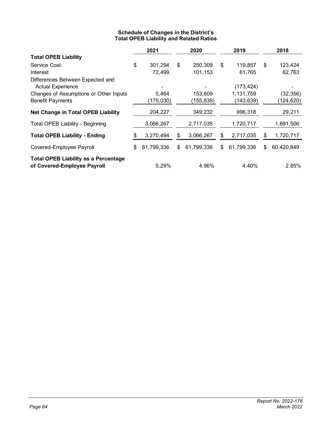#### **Schedule of Changes in the District's Total OPEB Liability and Related Ratios**

|                                                                            | 2021 |            | 2020 |            |    | 2019       | 2018 |            |
|----------------------------------------------------------------------------|------|------------|------|------------|----|------------|------|------------|
| <b>Total OPEB Liability</b>                                                |      |            |      |            |    |            |      |            |
| Service Cost                                                               | \$   | 301,294    | \$   | 250,309    | \$ | 119,857    | \$   | 123,424    |
| Interest                                                                   |      | 72,499     |      | 101,153    |    | 61,765     |      | 62,763     |
| Differences Between Expected and                                           |      |            |      |            |    |            |      |            |
| <b>Actual Experience</b>                                                   |      |            |      |            |    | (173, 424) |      |            |
| Changes of Assumptions or Other Inputs                                     |      | 5,464      |      | 153,609    |    | 1,131,759  |      | (32, 356)  |
| <b>Benefit Payments</b>                                                    |      | (175, 030) |      | (155,839)  |    | (143,639)  |      | (124, 620) |
| <b>Net Change in Total OPEB Liability</b>                                  |      | 204,227    |      | 349,232    |    | 996,318    |      | 29,211     |
| <b>Total OPEB Liability - Beginning</b>                                    |      | 3,066,267  |      | 2,717,035  |    | 1,720,717  |      | 1,691,506  |
| <b>Total OPEB Liability - Ending</b>                                       |      | 3,270,494  | \$   | 3,066,267  | \$ | 2,717,035  | \$   | 1,720,717  |
| Covered-Employee Payroll                                                   | \$   | 61,799,336 | \$   | 61,799,336 | \$ | 61,799,336 | \$   | 60,420,849 |
| <b>Total OPEB Liability as a Percentage</b><br>of Covered-Employee Payroll |      | 5.29%      |      | 4.96%      |    | 4.40%      |      | 2.85%      |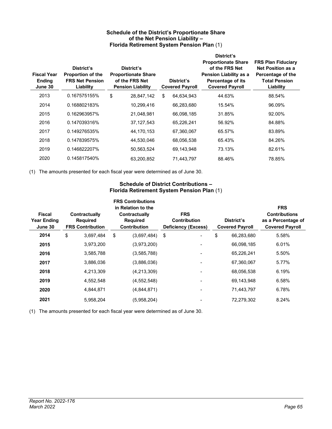#### **Schedule of the District's Proportionate Share of the Net Pension Liability – Florida Retirement System Pension Plan** (1)

| <b>Fiscal Year</b><br><b>Ending</b><br>June 30 | District's<br><b>Proportion of the</b><br><b>FRS Net Pension</b><br>Liability | District's<br><b>Proportionate Share</b><br>of the FRS Net<br><b>Pension Liability</b> | District's<br><b>Covered Payroll</b> | District's<br><b>Proportionate Share</b><br>of the FRS Net<br>Pension Liability as a<br>Percentage of its<br><b>Covered Payroll</b> | <b>FRS Plan Fiduciary</b><br><b>Net Position as a</b><br>Percentage of the<br><b>Total Pension</b><br>Liability |
|------------------------------------------------|-------------------------------------------------------------------------------|----------------------------------------------------------------------------------------|--------------------------------------|-------------------------------------------------------------------------------------------------------------------------------------|-----------------------------------------------------------------------------------------------------------------|
| 2013                                           | 0.167575155%                                                                  | \$<br>28,847,142                                                                       | \$<br>64,634,943                     | 44.63%                                                                                                                              | 88.54%                                                                                                          |
| 2014                                           | 0.168802183%                                                                  | 10,299,416                                                                             | 66,283,680                           | 15.54%                                                                                                                              | 96.09%                                                                                                          |
| 2015                                           | 0.162963957%                                                                  | 21,048,981                                                                             | 66,098,185                           | 31.85%                                                                                                                              | 92.00%                                                                                                          |
| 2016                                           | 0.147039316%                                                                  | 37, 127, 543                                                                           | 65,226,241                           | 56.92%                                                                                                                              | 84.88%                                                                                                          |
| 2017                                           | 0.149276535%                                                                  | 44,170,153                                                                             | 67,360,067                           | 65.57%                                                                                                                              | 83.89%                                                                                                          |
| 2018                                           | 0.147839575%                                                                  | 44,530,046                                                                             | 68,056,538                           | 65.43%                                                                                                                              | 84.26%                                                                                                          |
| 2019                                           | 0.146822207%                                                                  | 50,563,524                                                                             | 69,143,948                           | 73.13%                                                                                                                              | 82.61%                                                                                                          |
| 2020                                           | 0.145817540%                                                                  | 63.200.852                                                                             | 71.443.797                           | 88.46%                                                                                                                              | 78.85%                                                                                                          |

(1) The amounts presented for each fiscal year were determined as of June 30.

#### **Schedule of District Contributions – Florida Retirement System Pension Plan** (1)

| <b>Fiscal</b><br><b>Year Ending</b><br>June 30 | Contractually<br><b>Required</b><br><b>FRS Contribution</b> |           | <b>FRS Contributions</b><br>in Relation to the<br>Contractually<br><b>Required</b><br><b>Contribution</b> |               | <b>FRS</b><br><b>Contribution</b><br><b>Deficiency (Excess)</b> |                |    | District's<br><b>Covered Payroll</b> | <b>FRS</b><br><b>Contributions</b><br>as a Percentage of<br><b>Covered Payroll</b> |  |
|------------------------------------------------|-------------------------------------------------------------|-----------|-----------------------------------------------------------------------------------------------------------|---------------|-----------------------------------------------------------------|----------------|----|--------------------------------------|------------------------------------------------------------------------------------|--|
| 2014                                           | \$                                                          | 3,697,484 | \$                                                                                                        | (3,697,484)   | \$                                                              | $\blacksquare$ | \$ | 66,283,680                           | 5.58%                                                                              |  |
| 2015                                           |                                                             | 3,973,200 |                                                                                                           | (3,973,200)   |                                                                 |                |    | 66.098.185                           | 6.01%                                                                              |  |
| 2016                                           |                                                             | 3,585,788 |                                                                                                           | (3,585,788)   |                                                                 |                |    | 65,226,241                           | 5.50%                                                                              |  |
| 2017                                           |                                                             | 3,886,036 |                                                                                                           | (3,886,036)   |                                                                 |                |    | 67,360,067                           | 5.77%                                                                              |  |
| 2018                                           |                                                             | 4,213,309 |                                                                                                           | (4,213,309)   |                                                                 |                |    | 68,056,538                           | 6.19%                                                                              |  |
| 2019                                           |                                                             | 4,552,548 |                                                                                                           | (4, 552, 548) |                                                                 |                |    | 69,143,948                           | 6.58%                                                                              |  |
| 2020                                           |                                                             | 4,844,871 |                                                                                                           | (4,844,871)   |                                                                 |                |    | 71,443,797                           | 6.78%                                                                              |  |
| 2021                                           |                                                             | 5,958,204 |                                                                                                           | (5,958,204)   |                                                                 |                |    | 72,279,302                           | 8.24%                                                                              |  |
|                                                |                                                             |           |                                                                                                           |               |                                                                 |                |    |                                      |                                                                                    |  |

(1) The amounts presented for each fiscal year were determined as of June 30.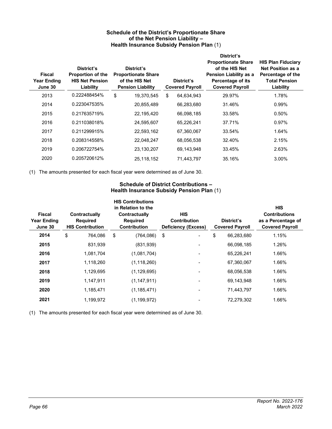#### **Schedule of the District's Proportionate Share of the Net Pension Liability – Health Insurance Subsidy Pension Plan** (1)

|                                                |                                                                 |                                                                          |                                      | District's                                                            |                                                        |
|------------------------------------------------|-----------------------------------------------------------------|--------------------------------------------------------------------------|--------------------------------------|-----------------------------------------------------------------------|--------------------------------------------------------|
|                                                | District's                                                      | District's                                                               |                                      | <b>Proportionate Share</b><br>of the HIS Net                          | <b>HIS Plan Fiduciary</b><br>Net Position as a         |
| <b>Fiscal</b><br><b>Year Ending</b><br>June 30 | <b>Proportion of the</b><br><b>HIS Net Pension</b><br>Liability | <b>Proportionate Share</b><br>of the HIS Net<br><b>Pension Liability</b> | District's<br><b>Covered Payroll</b> | Pension Liability as a<br>Percentage of its<br><b>Covered Payroll</b> | Percentage of the<br><b>Total Pension</b><br>Liability |
| 2013                                           | 0.222488454%                                                    | \$<br>19,370,545                                                         | \$<br>64,634,943                     | 29.97%                                                                | 1.78%                                                  |
| 2014                                           | 0.223047535%                                                    | 20,855,489                                                               | 66.283.680                           | 31.46%                                                                | 0.99%                                                  |
| 2015                                           | 0.217635719%                                                    | 22,195,420                                                               | 66.098.185                           | 33.58%                                                                | 0.50%                                                  |
| 2016                                           | 0.211038018%                                                    | 24,595,607                                                               | 65,226,241                           | 37.71%                                                                | 0.97%                                                  |
| 2017                                           | 0.211299915%                                                    | 22,593,162                                                               | 67,360,067                           | 33.54%                                                                | 1.64%                                                  |
| 2018                                           | 0.208314558%                                                    | 22,048,247                                                               | 68,056,538                           | 32.40%                                                                | 2.15%                                                  |
| 2019                                           | 0.206722754%                                                    | 23, 130, 207                                                             | 69,143,948                           | 33.45%                                                                | 2.63%                                                  |
| 2020                                           | 0.205720612%                                                    | 25,118,152                                                               | 71.443.797                           | 35.16%                                                                | 3.00%                                                  |

(1) The amounts presented for each fiscal year were determined as of June 30.

#### **Schedule of District Contributions – Health Insurance Subsidy Pension Plan** (1)

| <b>Fiscal</b><br><b>Year Ending</b><br>June 30 | Contractually<br><b>Required</b><br><b>HIS Contribution</b> |           | <b>HIS Contributions</b><br>in Relation to the<br>Contractually<br><b>Required</b><br><b>Contribution</b> |               |     | <b>HIS</b><br><b>Contribution</b><br><b>Deficiency (Excess)</b> | District's<br><b>Covered Payroll</b> | <b>HIS</b><br><b>Contributions</b><br>as a Percentage of<br><b>Covered Payroll</b> |  |
|------------------------------------------------|-------------------------------------------------------------|-----------|-----------------------------------------------------------------------------------------------------------|---------------|-----|-----------------------------------------------------------------|--------------------------------------|------------------------------------------------------------------------------------|--|
| 2014                                           | \$                                                          | 764.086   | \$                                                                                                        | (764, 086)    | -\$ | $\blacksquare$                                                  | \$<br>66,283,680                     | 1.15%                                                                              |  |
| 2015                                           |                                                             | 831,939   |                                                                                                           | (831,939)     |     | $\qquad \qquad \blacksquare$                                    | 66,098,185                           | 1.26%                                                                              |  |
| 2016                                           |                                                             | 1,081,704 |                                                                                                           | (1,081,704)   |     | $\blacksquare$                                                  | 65,226,241                           | 1.66%                                                                              |  |
| 2017                                           |                                                             | 1,118,260 |                                                                                                           | (1, 118, 260) |     | $\blacksquare$                                                  | 67,360,067                           | 1.66%                                                                              |  |
| 2018                                           |                                                             | 1,129,695 |                                                                                                           | (1, 129, 695) |     | $\blacksquare$                                                  | 68,056,538                           | 1.66%                                                                              |  |
| 2019                                           |                                                             | 1,147,911 |                                                                                                           | (1, 147, 911) |     |                                                                 | 69,143,948                           | 1.66%                                                                              |  |
| 2020                                           |                                                             | 1,185,471 |                                                                                                           | (1, 185, 471) |     | $\qquad \qquad \blacksquare$                                    | 71.443.797                           | 1.66%                                                                              |  |
| 2021                                           |                                                             | 1,199,972 |                                                                                                           | (1, 199, 972) |     |                                                                 | 72,279,302                           | 1.66%                                                                              |  |

(1) The amounts presented for each fiscal year were determined as of June 30.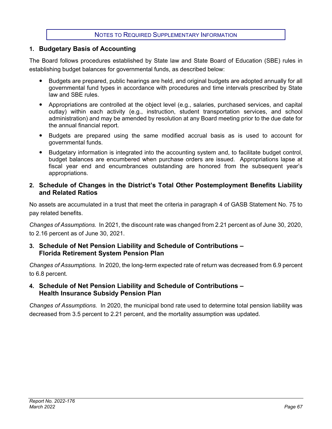#### NOTES TO REQUIRED SUPPLEMENTARY INFORMATION

#### **1. Budgetary Basis of Accounting**

The Board follows procedures established by State law and State Board of Education (SBE) rules in establishing budget balances for governmental funds, as described below:

- Budgets are prepared, public hearings are held, and original budgets are adopted annually for all governmental fund types in accordance with procedures and time intervals prescribed by State law and SBE rules.
- Appropriations are controlled at the object level (e.g., salaries, purchased services, and capital outlay) within each activity (e.g., instruction, student transportation services, and school administration) and may be amended by resolution at any Board meeting prior to the due date for the annual financial report.
- Budgets are prepared using the same modified accrual basis as is used to account for governmental funds.
- Budgetary information is integrated into the accounting system and, to facilitate budget control, budget balances are encumbered when purchase orders are issued. Appropriations lapse at fiscal year end and encumbrances outstanding are honored from the subsequent year's appropriations.

#### **2. Schedule of Changes in the District's Total Other Postemployment Benefits Liability and Related Ratios**

No assets are accumulated in a trust that meet the criteria in paragraph 4 of GASB Statement No. 75 to pay related benefits.

*Changes of Assumptions.* In 2021, the discount rate was changed from 2.21 percent as of June 30, 2020, to 2.16 percent as of June 30, 2021.

#### **3. Schedule of Net Pension Liability and Schedule of Contributions – Florida Retirement System Pension Plan**

*Changes of Assumptions.* In 2020, the long-term expected rate of return was decreased from 6.9 percent to 6.8 percent.

#### **4. Schedule of Net Pension Liability and Schedule of Contributions – Health Insurance Subsidy Pension Plan**

*Changes of Assumptions.* In 2020, the municipal bond rate used to determine total pension liability was decreased from 3.5 percent to 2.21 percent, and the mortality assumption was updated.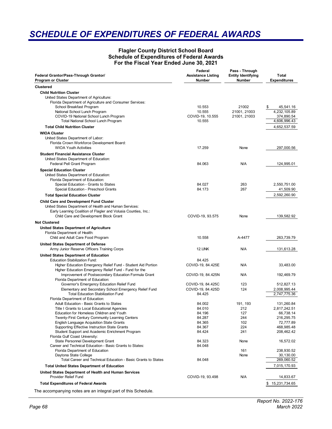## *SCHEDULE OF EXPENDITURES OF FEDERAL AWARDS*

#### **Flagler County District School Board Schedule of Expenditures of Federal Awards For the Fiscal Year Ended June 30, 2021**

| Federal Grantor/Pass-Through Grantor/<br><b>Program or Cluster</b>                                                                                                                                                                                                                          | Federal<br><b>Assistance Listing</b><br>Number   | Pass - Through<br><b>Entity Identifying</b><br><b>Number</b> | <b>Total</b><br><b>Expenditures</b>                           |
|---------------------------------------------------------------------------------------------------------------------------------------------------------------------------------------------------------------------------------------------------------------------------------------------|--------------------------------------------------|--------------------------------------------------------------|---------------------------------------------------------------|
| <b>Clustered</b>                                                                                                                                                                                                                                                                            |                                                  |                                                              |                                                               |
| <b>Child Nutrition Cluster</b><br>United States Department of Agriculture:<br>Florida Department of Agriculture and Consumer Services:<br>School Breakfast Program<br>National School Lunch Program<br>COVID-19 National School Lunch Program<br><b>Total National School Lunch Program</b> | 10.553<br>10.555<br>COVID-19, 10.555<br>10.555   | 21002<br>21001, 21003<br>21001, 21003                        | 45,541.16<br>\$<br>4,232,105.89<br>374,890.54<br>4,606,996.43 |
| <b>Total Child Nutrition Cluster</b>                                                                                                                                                                                                                                                        |                                                  |                                                              | 4,652,537.59                                                  |
| <b>WIOA Cluster</b><br>United States Department of Labor:<br>Florida Crown Workforce Development Board:<br><b>WIOA Youth Activities</b>                                                                                                                                                     | 17.259                                           | None                                                         | 297,000.56                                                    |
| <b>Student Financial Assistance Cluster</b><br>United States Department of Education:<br>Federal Pell Grant Program                                                                                                                                                                         | 84.063                                           | N/A                                                          | 124,995.01                                                    |
| <b>Special Education Cluster</b><br>United States Department of Education:<br>Florida Department of Education:<br>Special Education - Grants to States<br>Special Education - Preschool Grants                                                                                              | 84.027<br>84.173                                 | 263<br>267                                                   | 2,550,751.00<br>41,509.90                                     |
| <b>Total Special Education Cluster</b>                                                                                                                                                                                                                                                      |                                                  |                                                              | 2,592,260.90                                                  |
| <b>Child Care and Development Fund Cluster</b><br>United States Department of Health and Human Services:<br>Early Learning Coalition of Flagler and Volusia Counties, Inc.:<br>Child Care and Development Block Grant                                                                       | COVID-19, 93.575                                 | None                                                         | 139,582.92                                                    |
| <b>Not Clustered</b>                                                                                                                                                                                                                                                                        |                                                  |                                                              |                                                               |
| United States Department of Agriculture<br>Florida Department of Health:<br>Child and Adult Care Food Program                                                                                                                                                                               | 10.558                                           | A-4477                                                       | 263,739.79                                                    |
| United States Department of Defense<br>Army Junior Reserve Officers Training Corps                                                                                                                                                                                                          | 12.UNK                                           | <b>N/A</b>                                                   | 131,613.28                                                    |
| United States Department of Education<br><b>Education Stabilization Fund:</b>                                                                                                                                                                                                               | 84.425                                           |                                                              |                                                               |
| Higher Education Emergency Relief Fund - Student Aid Portion<br>Higher Education Emergency Relief Fund - Fund for the                                                                                                                                                                       | COVID-19, 84.425E                                | N/A                                                          | 33,483.00                                                     |
| Improvement of Postsecondary Education Formula Grant<br>Florida Department of Education:                                                                                                                                                                                                    | COVID-19, 84.425N                                | N/A                                                          | 192,469.79                                                    |
| Governor's Emergency Education Relief Fund<br>Elementary and Secondary School Emergency Relief Fund<br><b>Total Education Stabilization Fund</b><br>Florida Department of Education:                                                                                                        | COVID-19, 84.425C<br>COVID-19, 84.425D<br>84.425 | 123<br>124                                                   | 512,827.13<br>2,008,995.44<br>2,747,775.36                    |
| Adult Education - Basic Grants to States<br>Title I Grants to Local Educational Agencies<br>Education for Homeless Children and Youth                                                                                                                                                       | 84.002<br>84.010<br>84.196                       | 191, 193<br>212<br>127                                       | 131,260.84<br>2,817,242.51<br>66,738.14                       |
| <b>Twenty-First Century Community Learning Centers</b><br><b>English Language Acquisition State Grants</b><br>Supporting Effective Instruction State Grants<br>Student Support and Academic Enrichment Program                                                                              | 84.287<br>84.365<br>84.367<br>84.424             | 244<br>102<br>224<br>241                                     | 216,295.75<br>72,777.89<br>468,985.48<br>208,462.42           |
| Florida Gulf Coast University:<br>State Personnel Development Grant<br>Career and Technical Education - Basic Grants to States:                                                                                                                                                             | 84.323<br>84.048                                 | None                                                         | 16,572.02                                                     |
| Florida Department of Education<br>Daytona State College<br>Total Career and Technical Education - Basic Grants to States                                                                                                                                                                   | 84.048                                           | 161<br>None                                                  | 238,930.52<br>30,130.00<br>269,060.52                         |
| <b>Total United States Department of Education</b>                                                                                                                                                                                                                                          |                                                  |                                                              | 7,015,170.93                                                  |
| United States Department of Health and Human Services<br><b>Provider Relief Fund</b>                                                                                                                                                                                                        | COVID-19, 93.498                                 | N/A                                                          | 14,833.67                                                     |
| <b>Total Expenditures of Federal Awards</b><br>noton are an integral nort of this Cahadula                                                                                                                                                                                                  |                                                  |                                                              | \$15,231,734.65                                               |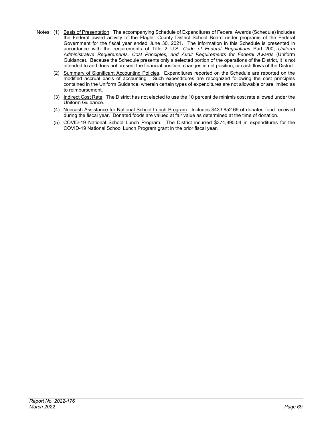- Notes: (1) Basis of Presentation. The accompanying Schedule of Expenditures of Federal Awards (Schedule) includes the Federal award activity of the Flagler County District School Board under programs of the Federal Government for the fiscal year ended June 30, 2021. The information in this Schedule is presented in accordance with the requirements of Title 2 U.S. *Code of Federal Regulations* Part 200, *Uniform Administrative Requirements, Cost Principles, and Audit Requirements for Federal Awards* (Uniform Guidance). Because the Schedule presents only a selected portion of the operations of the District, it is not intended to and does not present the financial position, changes in net position, or cash flows of the District.
	- (2) Summary of Significant Accounting Policies. Expenditures reported on the Schedule are reported on the modified accrual basis of accounting. Such expenditures are recognized following the cost principles contained in the Uniform Guidance, wherein certain types of expenditures are not allowable or are limited as to reimbursement.
	- (3) Indirect Cost Rate. The District has not elected to use the 10 percent de minimis cost rate allowed under the Uniform Guidance.
	- (4) Noncash Assistance for National School Lunch Program. Includes \$433,852.69 of donated food received during the fiscal year. Donated foods are valued at fair value as determined at the time of donation.
	- (5) COVID-19 National School Lunch Program. The District incurred \$374,890.54 in expenditures for the COVID-19 National School Lunch Program grant in the prior fiscal year.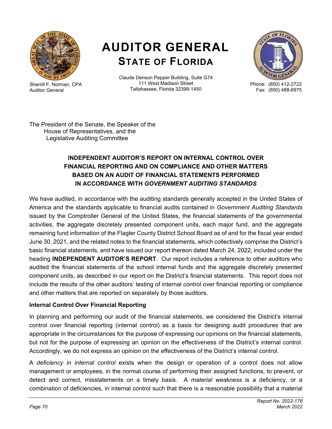

Sherrill F. Norman, CPA Auditor General

# **AUDITOR GENERAL STATE OF FLORIDA**

Claude Denson Pepper Building, Suite G74 111 West Madison Street Tallahassee, Florida 32399-1450



Phone: (850) 412-2722 Fax: (850) 488-6975

The President of the Senate, the Speaker of the House of Representatives, and the Legislative Auditing Committee

### **INDEPENDENT AUDITOR'S REPORT ON INTERNAL CONTROL OVER FINANCIAL REPORTING AND ON COMPLIANCE AND OTHER MATTERS BASED ON AN AUDIT OF FINANCIAL STATEMENTS PERFORMED IN ACCORDANCE WITH** *GOVERNMENT AUDITING STANDARDS*

We have audited, in accordance with the auditing standards generally accepted in the United States of America and the standards applicable to financial audits contained in *Government Auditing Standards* issued by the Comptroller General of the United States, the financial statements of the governmental activities, the aggregate discretely presented component units, each major fund, and the aggregate remaining fund information of the Flagler County District School Board as of and for the fiscal year ended June 30, 2021, and the related notes to the financial statements, which collectively comprise the District's basic financial statements, and have issued our report thereon dated March 24, 2022, included under the heading **INDEPENDENT AUDITOR'S REPORT**. Our report includes a reference to other auditors who audited the financial statements of the school internal funds and the aggregate discretely presented component units, as described in our report on the District's financial statements. This report does not include the results of the other auditors' testing of internal control over financial reporting or compliance and other matters that are reported on separately by those auditors.

#### **Internal Control Over Financial Reporting**

In planning and performing our audit of the financial statements, we considered the District's internal control over financial reporting (internal control) as a basis for designing audit procedures that are appropriate in the circumstances for the purpose of expressing our opinions on the financial statements, but not for the purpose of expressing an opinion on the effectiveness of the District's internal control. Accordingly, we do not express an opinion on the effectiveness of the District's internal control.

A *deficiency in internal control* exists when the design or operation of a control does not allow management or employees, in the normal course of performing their assigned functions, to prevent, or detect and correct, misstatements on a timely basis. A *material weakness* is a deficiency, or a combination of deficiencies, in internal control such that there is a reasonable possibility that a material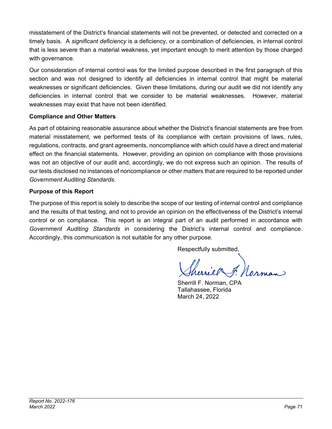misstatement of the District's financial statements will not be prevented, or detected and corrected on a timely basis. A *significant deficiency* is a deficiency, or a combination of deficiencies, in internal control that is less severe than a material weakness, yet important enough to merit attention by those charged with governance.

Our consideration of internal control was for the limited purpose described in the first paragraph of this section and was not designed to identify all deficiencies in internal control that might be material weaknesses or significant deficiencies. Given these limitations, during our audit we did not identify any deficiencies in internal control that we consider to be material weaknesses. However, material weaknesses may exist that have not been identified.

#### **Compliance and Other Matters**

As part of obtaining reasonable assurance about whether the District's financial statements are free from material misstatement, we performed tests of its compliance with certain provisions of laws, rules, regulations, contracts, and grant agreements, noncompliance with which could have a direct and material effect on the financial statements. However, providing an opinion on compliance with those provisions was not an objective of our audit and, accordingly, we do not express such an opinion. The results of our tests disclosed no instances of noncompliance or other matters that are required to be reported under *Government Auditing Standards*.

#### **Purpose of this Report**

The purpose of this report is solely to describe the scope of our testing of internal control and compliance and the results of that testing, and not to provide an opinion on the effectiveness of the District's internal control or on compliance. This report is an integral part of an audit performed in accordance with *Government Auditing Standards* in considering the District's internal control and compliance. Accordingly, this communication is not suitable for any other purpose.

Respectfully submitted,

Sherrill F. Norman, CPA Tallahassee, Florida March 24, 2022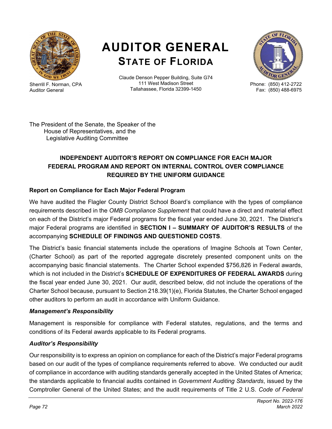

Sherrill F. Norman, CPA Auditor General

# **AUDITOR GENERAL STATE OF FLORIDA**

Claude Denson Pepper Building, Suite G74 111 West Madison Street Tallahassee, Florida 32399-1450



Phone: (850) 412-2722 Fax: (850) 488-6975

The President of the Senate, the Speaker of the House of Representatives, and the Legislative Auditing Committee

### **INDEPENDENT AUDITOR'S REPORT ON COMPLIANCE FOR EACH MAJOR FEDERAL PROGRAM AND REPORT ON INTERNAL CONTROL OVER COMPLIANCE REQUIRED BY THE UNIFORM GUIDANCE**

#### **Report on Compliance for Each Major Federal Program**

We have audited the Flagler County District School Board's compliance with the types of compliance requirements described in the *OMB Compliance Supplement* that could have a direct and material effect on each of the District's major Federal programs for the fiscal year ended June 30, 2021. The District's major Federal programs are identified in **SECTION I – SUMMARY OF AUDITOR'S RESULTS** of the accompanying **SCHEDULE OF FINDINGS AND QUESTIONED COSTS**.

The District's basic financial statements include the operations of Imagine Schools at Town Center, (Charter School) as part of the reported aggregate discretely presented component units on the accompanying basic financial statements. The Charter School expended \$756,826 in Federal awards, which is not included in the District's **SCHEDULE OF EXPENDITURES OF FEDERAL AWARDS** during the fiscal year ended June 30, 2021. Our audit, described below, did not include the operations of the Charter School because, pursuant to Section 218.39(1)(e), Florida Statutes, the Charter School engaged other auditors to perform an audit in accordance with Uniform Guidance.

#### *Management's Responsibility*

Management is responsible for compliance with Federal statutes, regulations, and the terms and conditions of its Federal awards applicable to its Federal programs.

#### *Auditor's Responsibility*

Our responsibility is to express an opinion on compliance for each of the District's major Federal programs based on our audit of the types of compliance requirements referred to above. We conducted our audit of compliance in accordance with auditing standards generally accepted in the United States of America; the standards applicable to financial audits contained in *Government Auditing Standards*, issued by the Comptroller General of the United States; and the audit requirements of Title 2 U.S. *Code of Federal*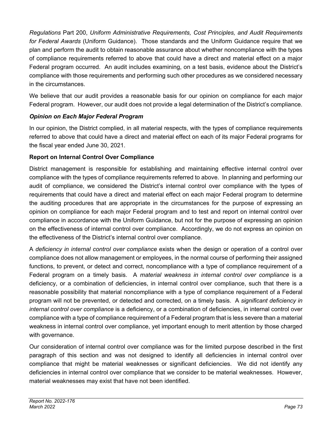*Regulations* Part 200, *Uniform Administrative Requirements, Cost Principles, and Audit Requirements for Federal Awards* (Uniform Guidance). Those standards and the Uniform Guidance require that we plan and perform the audit to obtain reasonable assurance about whether noncompliance with the types of compliance requirements referred to above that could have a direct and material effect on a major Federal program occurred. An audit includes examining, on a test basis, evidence about the District's compliance with those requirements and performing such other procedures as we considered necessary in the circumstances.

We believe that our audit provides a reasonable basis for our opinion on compliance for each major Federal program. However, our audit does not provide a legal determination of the District's compliance.

#### *Opinion on Each Major Federal Program*

In our opinion, the District complied, in all material respects, with the types of compliance requirements referred to above that could have a direct and material effect on each of its major Federal programs for the fiscal year ended June 30, 2021.

#### **Report on Internal Control Over Compliance**

District management is responsible for establishing and maintaining effective internal control over compliance with the types of compliance requirements referred to above. In planning and performing our audit of compliance, we considered the District's internal control over compliance with the types of requirements that could have a direct and material effect on each major Federal program to determine the auditing procedures that are appropriate in the circumstances for the purpose of expressing an opinion on compliance for each major Federal program and to test and report on internal control over compliance in accordance with the Uniform Guidance, but not for the purpose of expressing an opinion on the effectiveness of internal control over compliance. Accordingly, we do not express an opinion on the effectiveness of the District's internal control over compliance.

A *deficiency in internal control over compliance* exists when the design or operation of a control over compliance does not allow management or employees, in the normal course of performing their assigned functions, to prevent, or detect and correct, noncompliance with a type of compliance requirement of a Federal program on a timely basis. A *material weakness in internal control over compliance* is a deficiency, or a combination of deficiencies, in internal control over compliance, such that there is a reasonable possibility that material noncompliance with a type of compliance requirement of a Federal program will not be prevented, or detected and corrected, on a timely basis. A *significant deficiency in internal control over compliance* is a deficiency, or a combination of deficiencies, in internal control over compliance with a type of compliance requirement of a Federal program that is less severe than a material weakness in internal control over compliance, yet important enough to merit attention by those charged with governance.

Our consideration of internal control over compliance was for the limited purpose described in the first paragraph of this section and was not designed to identify all deficiencies in internal control over compliance that might be material weaknesses or significant deficiencies. We did not identify any deficiencies in internal control over compliance that we consider to be material weaknesses. However, material weaknesses may exist that have not been identified.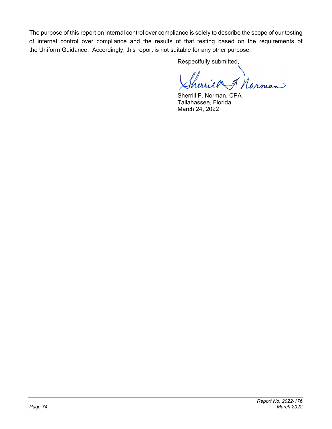The purpose of this report on internal control over compliance is solely to describe the scope of our testing of internal control over compliance and the results of that testing based on the requirements of the Uniform Guidance. Accordingly, this report is not suitable for any other purpose.

Respectfully submitted,

F. Norman

Sherrill F. Norman, CPA Tallahassee, Florida March 24, 2022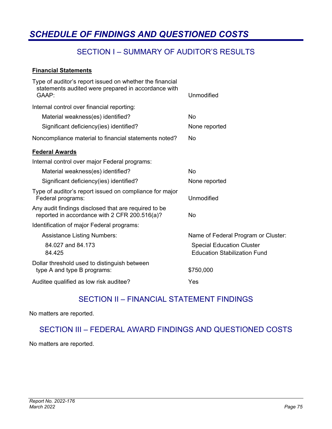# *SCHEDULE OF FINDINGS AND QUESTIONED COSTS*

## SECTION I – SUMMARY OF AUDITOR'S RESULTS

#### **Financial Statements**

| Type of auditor's report issued on whether the financial<br>statements audited were prepared in accordance with<br>GAAP: | Unmodified                                                              |
|--------------------------------------------------------------------------------------------------------------------------|-------------------------------------------------------------------------|
| Internal control over financial reporting:                                                                               |                                                                         |
| Material weakness(es) identified?                                                                                        | <b>No</b>                                                               |
| Significant deficiency(ies) identified?                                                                                  | None reported                                                           |
| Noncompliance material to financial statements noted?                                                                    | No                                                                      |
| <b>Federal Awards</b>                                                                                                    |                                                                         |
| Internal control over major Federal programs:                                                                            |                                                                         |
| Material weakness(es) identified?                                                                                        | No                                                                      |
| Significant deficiency(ies) identified?                                                                                  | None reported                                                           |
| Type of auditor's report issued on compliance for major<br>Federal programs:                                             | Unmodified                                                              |
| Any audit findings disclosed that are required to be<br>reported in accordance with 2 CFR 200.516(a)?                    | No                                                                      |
| Identification of major Federal programs:                                                                                |                                                                         |
| <b>Assistance Listing Numbers:</b>                                                                                       | Name of Federal Program or Cluster:                                     |
| 84.027 and 84.173<br>84.425                                                                                              | <b>Special Education Cluster</b><br><b>Education Stabilization Fund</b> |
| Dollar threshold used to distinguish between<br>type A and type B programs:                                              | \$750,000                                                               |
| Auditee qualified as low risk auditee?                                                                                   | Yes                                                                     |

## SECTION II – FINANCIAL STATEMENT FINDINGS

No matters are reported.

## SECTION III – FEDERAL AWARD FINDINGS AND QUESTIONED COSTS

No matters are reported.